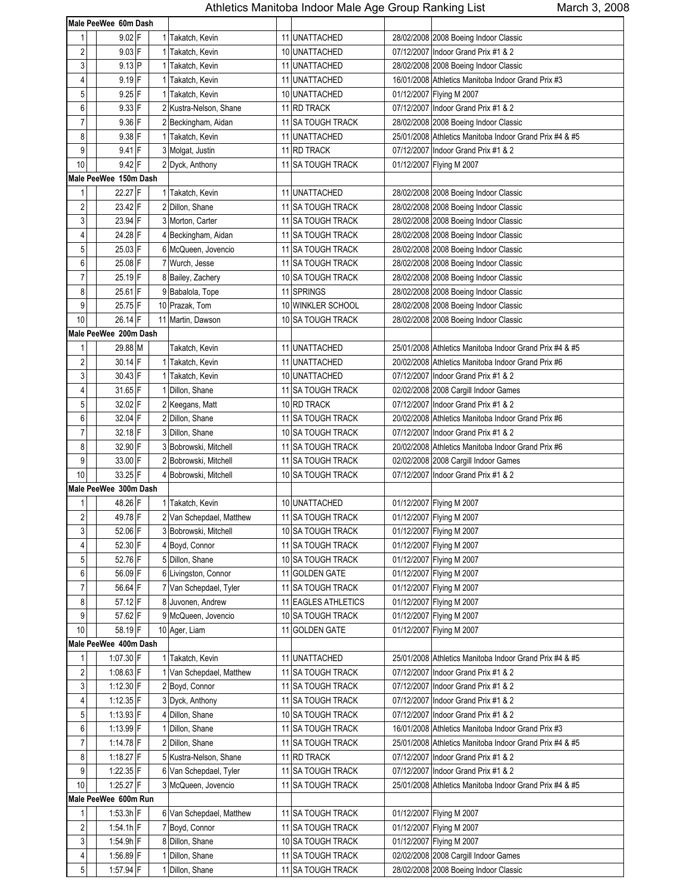|                         | Male PeeWee 60m Dash  |                          |    |                       |            |                                                         |
|-------------------------|-----------------------|--------------------------|----|-----------------------|------------|---------------------------------------------------------|
| 1                       | $9.02$ F              | 1 Takatch, Kevin         |    | 11 UNATTACHED         |            | 28/02/2008 2008 Boeing Indoor Classic                   |
| $\overline{2}$          | $9.03$ F              | Takatch, Kevin           |    | 10 UNATTACHED         |            | 07/12/2007 Indoor Grand Prix #1 & 2                     |
| 3                       | $9.13$ P              | 1 Takatch, Kevin         |    | 11 UNATTACHED         |            | 28/02/2008 2008 Boeing Indoor Classic                   |
| 4                       | $9.19$ F              | 1 Takatch, Kevin         |    | 11 UNATTACHED         |            | 16/01/2008 Athletics Manitoba Indoor Grand Prix #3      |
| 5                       | $9.25$ F              | 1 Takatch, Kevin         |    | 10 UNATTACHED         |            | 01/12/2007 Flying M 2007                                |
| 6                       | $9.33$ F              | 2 Kustra-Nelson, Shane   |    | 11 RD TRACK           |            | 07/12/2007 Indoor Grand Prix #1 & 2                     |
| $\overline{7}$          | 9.36 F                | 2 Beckingham, Aidan      |    | 11 SA TOUGH TRACK     |            | 28/02/2008 2008 Boeing Indoor Classic                   |
| 8                       | $9.38$ F              |                          |    |                       |            |                                                         |
| 9                       | $9.41$ F              | 1 Takatch, Kevin         |    | 11 UNATTACHED         |            | 25/01/2008 Athletics Manitoba Indoor Grand Prix #4 & #5 |
|                         |                       | 3 Molgat, Justin         |    | 11 RD TRACK           |            | 07/12/2007 Indoor Grand Prix #1 & 2                     |
| 10                      | $9.42$ F              | 2 Dyck, Anthony          | 11 | <b>SA TOUGH TRACK</b> |            | 01/12/2007 Flying M 2007                                |
|                         | Male PeeWee 150m Dash |                          |    |                       |            |                                                         |
| $\mathbf{1}$            | 22.27 F               | 1 Takatch, Kevin         |    | 11 UNATTACHED         |            | 28/02/2008 2008 Boeing Indoor Classic                   |
| $\sqrt{2}$              | 23.42 F               | 2 Dillon, Shane          |    | 11 SA TOUGH TRACK     |            | 28/02/2008 2008 Boeing Indoor Classic                   |
| 3                       | 23.94 F               | 3 Morton, Carter         |    | 11 SA TOUGH TRACK     |            | 28/02/2008 2008 Boeing Indoor Classic                   |
| 4                       | 24.28 F               | 4 Beckingham, Aidan      |    | 11 SA TOUGH TRACK     |            | 28/02/2008 2008 Boeing Indoor Classic                   |
| 5                       | 25.03 F               | 6 McQueen, Jovencio      |    | 11 SA TOUGH TRACK     |            | 28/02/2008 2008 Boeing Indoor Classic                   |
| 6                       | 25.08 F               | 7 Wurch, Jesse           |    | 11 SA TOUGH TRACK     |            | 28/02/2008 2008 Boeing Indoor Classic                   |
| $\overline{7}$          | 25.19 F               | 8 Bailey, Zachery        |    | 10 SA TOUGH TRACK     |            | 28/02/2008 2008 Boeing Indoor Classic                   |
| 8                       | 25.61 F               | 9 Babalola, Tope         |    | 11 SPRINGS            |            | 28/02/2008 2008 Boeing Indoor Classic                   |
| 9                       | 25.75 F               | 10 Prazak, Tom           |    | 10 WINKLER SCHOOL     |            | 28/02/2008 2008 Boeing Indoor Classic                   |
| 10                      | 26.14 F               | 11 Martin, Dawson        |    | 10 SA TOUGH TRACK     |            | 28/02/2008 2008 Boeing Indoor Classic                   |
|                         | Male PeeWee 200m Dash |                          |    |                       |            |                                                         |
| 1                       | 29.88 M               | Takatch, Kevin           |    | 11 UNATTACHED         |            | 25/01/2008 Athletics Manitoba Indoor Grand Prix #4 & #5 |
| $\sqrt{2}$              | $30.14$ F             | 1 Takatch, Kevin         |    | 11 UNATTACHED         |            | 20/02/2008 Athletics Manitoba Indoor Grand Prix #6      |
| 3                       | 30.43 F               | 1 Takatch, Kevin         |    | 10 UNATTACHED         |            | 07/12/2007 Indoor Grand Prix #1 & 2                     |
| 4                       | 31.65 F               | 1 Dillon, Shane          |    | 11 SA TOUGH TRACK     |            | 02/02/2008 2008 Cargill Indoor Games                    |
| 5                       | 32.02 F               | 2 Keegans, Matt          |    | 10 RD TRACK           |            | 07/12/2007 Indoor Grand Prix #1 & 2                     |
| 6                       | 32.04 F               | 2 Dillon, Shane          |    | 11 SA TOUGH TRACK     |            | 20/02/2008 Athletics Manitoba Indoor Grand Prix #6      |
| $\overline{7}$          | 32.18 F               | 3 Dillon, Shane          |    | 10 SA TOUGH TRACK     |            | 07/12/2007 Indoor Grand Prix #1 & 2                     |
| 8                       | 32.90 F               | 3 Bobrowski, Mitchell    |    | 11 SA TOUGH TRACK     |            | 20/02/2008 Athletics Manitoba Indoor Grand Prix #6      |
| 9                       | 33.00 F               | 2 Bobrowski, Mitchell    |    | 11 SA TOUGH TRACK     |            | 02/02/2008 2008 Cargill Indoor Games                    |
| 10                      | 33.25 F               | 4 Bobrowski, Mitchell    |    | 10 SA TOUGH TRACK     |            | 07/12/2007 Indoor Grand Prix #1 & 2                     |
|                         | Male PeeWee 300m Dash |                          |    |                       |            |                                                         |
|                         | 48.26 F               |                          |    | 10 UNATTACHED         |            |                                                         |
| 1<br>$\overline{2}$     | 49.78 F               | Takatch, Kevin           |    |                       |            | 01/12/2007 Flying M 2007<br>01/12/2007 Flying M 2007    |
|                         | 52.06 F               | 2 Van Schepdael, Matthew |    | 11 ISA TOUGH TRACK    |            |                                                         |
| 3                       |                       | 3 Bobrowski, Mitchell    |    | 10 SA TOUGH TRACK     |            | 01/12/2007 Flying M 2007                                |
| 4                       | 52.30 F               | 4 Boyd, Connor           |    | 11 SA TOUGH TRACK     |            | 01/12/2007 Flying M 2007                                |
| 5                       | 52.76 F               | 5 Dillon, Shane          |    | 10 SA TOUGH TRACK     |            | 01/12/2007 Flying M 2007                                |
| 6                       | 56.09 F               | 6 Livingston, Connor     |    | 11 GOLDEN GATE        |            | 01/12/2007 Flying M 2007                                |
| $\overline{7}$          | 56.64 F               | 7 Van Schepdael, Tyler   |    | 11 SA TOUGH TRACK     |            | 01/12/2007 Flying M 2007                                |
| 8                       | 57.12 F               | 8 Juvonen, Andrew        |    | 11 EAGLES ATHLETICS   |            | 01/12/2007 Flying M 2007                                |
| 9                       | 57.62 F               | 9 McQueen, Jovencio      |    | 10 SA TOUGH TRACK     |            | 01/12/2007 Flying M 2007                                |
| 10                      | 58.19F                | 10 Ager, Liam            |    | 11 GOLDEN GATE        |            | 01/12/2007 Flying M 2007                                |
|                         | Male PeeWee 400m Dash |                          |    |                       |            |                                                         |
| 1                       | 1:07.30 F             | 1 Takatch, Kevin         |    | 11 UNATTACHED         |            | 25/01/2008 Athletics Manitoba Indoor Grand Prix #4 & #5 |
| $\sqrt{2}$              | $1:08.63$ F           | 1 Van Schepdael, Matthew |    | 11 SA TOUGH TRACK     |            | 07/12/2007 Indoor Grand Prix #1 & 2                     |
| 3                       | 1:12.30 F             | 2 Boyd, Connor           |    | 11 SA TOUGH TRACK     |            | 07/12/2007 Indoor Grand Prix #1 & 2                     |
| 4                       | $1:12.35$ F           | 3 Dyck, Anthony          |    | 11 SA TOUGH TRACK     |            | 07/12/2007 Indoor Grand Prix #1 & 2                     |
| $\sqrt{5}$              | 1:13.93 F             | 4 Dillon, Shane          |    | 10 SA TOUGH TRACK     |            | 07/12/2007 Indoor Grand Prix #1 & 2                     |
| 6                       | 1:13.99 F             | I Dillon, Shane          |    | 11 SA TOUGH TRACK     |            | 16/01/2008 Athletics Manitoba Indoor Grand Prix #3      |
| $\boldsymbol{7}$        | $1:14.78$ F           | 2 Dillon, Shane          |    | 11 SA TOUGH TRACK     |            | 25/01/2008 Athletics Manitoba Indoor Grand Prix #4 & #5 |
| 8                       | 1:18.27 F             | 5 Kustra-Nelson, Shane   |    | 11 RD TRACK           |            | 07/12/2007 Indoor Grand Prix #1 & 2                     |
| 9                       | $1:22.35$ F           | 6 Van Schepdael, Tyler   | 11 | <b>SA TOUGH TRACK</b> | 07/12/2007 | Indoor Grand Prix #1 & 2                                |
| 10                      | 1:25.27 F             | 3 McQueen, Jovencio      |    | 11 SA TOUGH TRACK     |            | 25/01/2008 Athletics Manitoba Indoor Grand Prix #4 & #5 |
|                         | Male PeeWee 600m Run  |                          |    |                       |            |                                                         |
| 1                       | 1:53.3h F             | 6 Van Schepdael, Matthew |    | 11 SA TOUGH TRACK     |            | 01/12/2007 Flying M 2007                                |
|                         | $1:54.1h$ F           | 7 Boyd, Connor           |    |                       |            |                                                         |
| $\overline{\mathbf{c}}$ |                       |                          |    | 11 SA TOUGH TRACK     |            | 01/12/2007 Flying M 2007                                |
| 3                       | 1:54.9h F             | 8 Dillon, Shane          |    | 10 SA TOUGH TRACK     |            | 01/12/2007 Flying M 2007                                |
| 4                       | 1:56.89 F             | 1 Dillon, Shane          |    | 11 SA TOUGH TRACK     |            | 02/02/2008 2008 Cargill Indoor Games                    |
| $\mathbf 5$             | $1:57.94$ F           | 1 Dillon, Shane          |    | 11 SA TOUGH TRACK     |            | 28/02/2008 2008 Boeing Indoor Classic                   |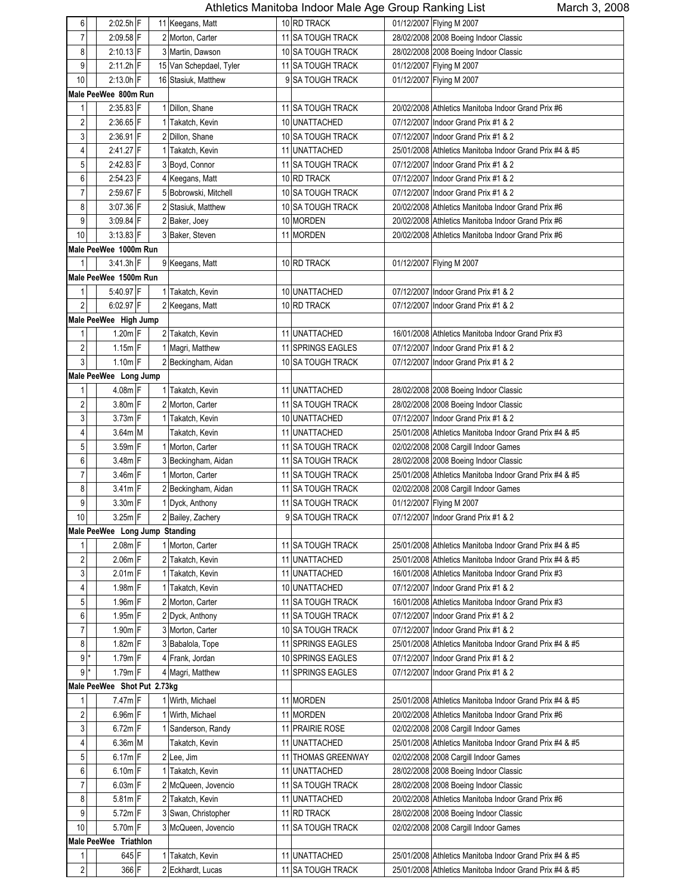| 6                       | 2:02.5h F                      |  | 11 Keegans, Matt        |    | 10 RD TRACK              |            | 01/12/2007 Flying M 2007                                |
|-------------------------|--------------------------------|--|-------------------------|----|--------------------------|------------|---------------------------------------------------------|
| $\overline{7}$          | 2:09.58 F                      |  | 2 Morton, Carter        |    | 11 SA TOUGH TRACK        |            | 28/02/2008 2008 Boeing Indoor Classic                   |
| 8                       | $2:10.13$ F                    |  | 3 Martin, Dawson        |    | 10 SA TOUGH TRACK        |            | 28/02/2008 2008 Boeing Indoor Classic                   |
| 9                       | $2:11.2h$ F                    |  | 15 Van Schepdael, Tyler |    | 11 SA TOUGH TRACK        |            | 01/12/2007 Flying M 2007                                |
| 10                      | 2:13.0h F                      |  | 16 Stasiuk, Matthew     |    | 9 SA TOUGH TRACK         |            | 01/12/2007 Flying M 2007                                |
|                         | Male PeeWee 800m Run           |  |                         |    |                          |            |                                                         |
| 1                       | $2.35.83$ F                    |  | 1 Dillon, Shane         |    | 11 SA TOUGH TRACK        |            | 20/02/2008 Athletics Manitoba Indoor Grand Prix #6      |
| $\overline{\mathbf{c}}$ | $2:36.65$ F                    |  | 1 Takatch, Kevin        |    | 10 UNATTACHED            |            | 07/12/2007 Indoor Grand Prix #1 & 2                     |
| 3                       | 2:36.91 F                      |  | 2 Dillon, Shane         |    | 10 SA TOUGH TRACK        |            | 07/12/2007 Indoor Grand Prix #1 & 2                     |
| $\overline{4}$          | 2:41.27 F                      |  | 1 Takatch, Kevin        |    | 11 UNATTACHED            |            | 25/01/2008 Athletics Manitoba Indoor Grand Prix #4 & #5 |
| 5                       | $2:42.83$ F                    |  |                         |    | 11 SA TOUGH TRACK        |            |                                                         |
|                         |                                |  | 3 Boyd, Connor          |    |                          |            | 07/12/2007 Indoor Grand Prix #1 & 2                     |
| 6                       | 2:54.23 F                      |  | 4 Keegans, Matt         |    | 10 RD TRACK              |            | 07/12/2007 Indoor Grand Prix #1 & 2                     |
| $\overline{7}$          | $2:59.67$ F                    |  | 5 Bobrowski, Mitchell   |    | 10 SA TOUGH TRACK        |            | 07/12/2007 Indoor Grand Prix #1 & 2                     |
| 8                       | 3:07.36 F                      |  | 2 Stasiuk, Matthew      |    | 10 SA TOUGH TRACK        |            | 20/02/2008 Athletics Manitoba Indoor Grand Prix #6      |
| 9                       | 3:09.84 F                      |  | 2 Baker, Joey           |    | 10 MORDEN                |            | 20/02/2008 Athletics Manitoba Indoor Grand Prix #6      |
| 10                      | $3:13.83$ F                    |  | 3 Baker, Steven         |    | 11 MORDEN                |            | 20/02/2008 Athletics Manitoba Indoor Grand Prix #6      |
|                         | Male PeeWee 1000m Run          |  |                         |    |                          |            |                                                         |
| $\mathbf{1}$            | $3.41.3h$ F                    |  | 9 Keegans, Matt         |    | 10 RD TRACK              |            | 01/12/2007 Flying M 2007                                |
|                         | Male PeeWee 1500m Run          |  |                         |    |                          |            |                                                         |
| 1                       | 5:40.97 F                      |  | 1 Takatch, Kevin        |    | 10 UNATTACHED            |            | 07/12/2007 Indoor Grand Prix #1 & 2                     |
| $\overline{c}$          | 6:02.97 F                      |  | 2 Keegans, Matt         |    | 10 RD TRACK              |            | 07/12/2007 Indoor Grand Prix #1 & 2                     |
|                         | Male PeeWee High Jump          |  |                         |    |                          |            |                                                         |
| 1                       | $1.20m$ F                      |  | 2 Takatch, Kevin        |    | 11 UNATTACHED            |            | 16/01/2008 Athletics Manitoba Indoor Grand Prix #3      |
| $\overline{c}$          | $1.15m$ F                      |  | 1 Magri, Matthew        |    | 11 SPRINGS EAGLES        |            | 07/12/2007 Indoor Grand Prix #1 & 2                     |
| $\mathfrak{z}$          | $1.10m$ F                      |  | 2 Beckingham, Aidan     |    | 10 SA TOUGH TRACK        |            | 07/12/2007 Indoor Grand Prix #1 & 2                     |
|                         | Male PeeWee Long Jump          |  |                         |    |                          |            |                                                         |
| 1                       | 4.08m F                        |  | 1 Takatch, Kevin        |    | 11 UNATTACHED            |            | 28/02/2008 2008 Boeing Indoor Classic                   |
| $\sqrt{2}$              | 3.80m F                        |  | 2 Morton, Carter        |    | 11 SA TOUGH TRACK        |            | 28/02/2008 2008 Boeing Indoor Classic                   |
| $\sqrt{3}$              | $3.73m$ F                      |  | 1 Takatch, Kevin        |    | 10 UNATTACHED            |            | 07/12/2007 Indoor Grand Prix #1 & 2                     |
| 4                       | 3.64m M                        |  | Takatch, Kevin          |    | 11 UNATTACHED            |            | 25/01/2008 Athletics Manitoba Indoor Grand Prix #4 & #5 |
| 5                       | 3.59m F                        |  |                         |    |                          |            |                                                         |
| 6                       |                                |  | 1 Morton, Carter        |    | 11 SA TOUGH TRACK        |            | 02/02/2008 2008 Cargill Indoor Games                    |
|                         | 3.48m F                        |  | 3 Beckingham, Aidan     |    | <b>11 SA TOUGH TRACK</b> |            | 28/02/2008 2008 Boeing Indoor Classic                   |
| $\overline{7}$          | $3.46m$ F                      |  | 1 Morton, Carter        |    | 11 SA TOUGH TRACK        |            | 25/01/2008 Athletics Manitoba Indoor Grand Prix #4 & #5 |
| 8                       | $3.41m$ F                      |  | 2 Beckingham, Aidan     |    | 11 SA TOUGH TRACK        |            | 02/02/2008 2008 Cargill Indoor Games                    |
| $\overline{9}$          | 3.30m F                        |  | 1 Dyck, Anthony         |    | 11 SA TOUGH TRACK        |            | 01/12/2007 Flying M 2007                                |
| 10                      | 3.25m F                        |  | 2 Bailey, Zachery       | 9  | <b>SA TOUGH TRACK</b>    |            | 07/12/2007 Indoor Grand Prix #1 & 2                     |
|                         | Male PeeWee Long Jump Standing |  |                         |    |                          |            |                                                         |
| 1                       | $2.08m$ F                      |  | 1 Morton, Carter        |    | 11 SA TOUGH TRACK        |            | 25/01/2008 Athletics Manitoba Indoor Grand Prix #4 & #5 |
| $\overline{\mathbf{c}}$ | $2.06m$ <sup>F</sup>           |  | 2 Takatch, Kevin        | 11 | <b>UNATTACHED</b>        |            | 25/01/2008 Athletics Manitoba Indoor Grand Prix #4 & #5 |
| 3                       | $2.01m$ F                      |  | 1 Takatch, Kevin        |    | 11 UNATTACHED            |            | 16/01/2008 Athletics Manitoba Indoor Grand Prix #3      |
| 4                       | $1.98m$ F                      |  | 1 Takatch, Kevin        |    | 10 UNATTACHED            |            | 07/12/2007 Indoor Grand Prix #1 & 2                     |
| 5                       | $1.96m$ F                      |  | 2 Morton, Carter        |    | 11 SA TOUGH TRACK        |            | 16/01/2008 Athletics Manitoba Indoor Grand Prix #3      |
| 6                       | 1.95m F                        |  | 2 Dyck, Anthony         |    | 11 SA TOUGH TRACK        |            | 07/12/2007 Indoor Grand Prix #1 & 2                     |
| $\overline{7}$          | 1.90m F                        |  | 3 Morton, Carter        |    | 10 SA TOUGH TRACK        |            | 07/12/2007 Indoor Grand Prix #1 & 2                     |
| 8                       | $1.82m$ F                      |  | 3 Babalola, Tope        | 11 | <b>SPRINGS EAGLES</b>    |            | 25/01/2008 Athletics Manitoba Indoor Grand Prix #4 & #5 |
| $\boldsymbol{9}$        | 1.79m F                        |  | 4 Frank, Jordan         | 10 | <b>SPRINGS EAGLES</b>    |            | 07/12/2007 Indoor Grand Prix #1 & 2                     |
| 9                       | $1.79m$ F                      |  | 4 Magri, Matthew        | 11 | <b>SPRINGS EAGLES</b>    | 07/12/2007 | Indoor Grand Prix #1 & 2                                |
|                         | Male PeeWee Shot Put 2.73kg    |  |                         |    |                          |            |                                                         |
| 1                       | $7.47m$ F                      |  | 1 Wirth, Michael        |    | 11 MORDEN                |            | 25/01/2008 Athletics Manitoba Indoor Grand Prix #4 & #5 |
| $\sqrt{2}$              | $6.96m$ F                      |  | 1 Wirth, Michael        |    | 11 MORDEN                |            | 20/02/2008 Athletics Manitoba Indoor Grand Prix #6      |
| $\mathsf 3$             | $6.72m$ F                      |  | 1 Sanderson, Randy      |    | 11 PRAIRIE ROSE          |            | 02/02/2008 2008 Cargill Indoor Games                    |
|                         | $6.36m$ M                      |  |                         |    |                          |            |                                                         |
| 4                       |                                |  | Takatch, Kevin          | 11 | <b>UNATTACHED</b>        |            | 25/01/2008 Athletics Manitoba Indoor Grand Prix #4 & #5 |
| 5                       | $6.17m$ F                      |  | 2 Lee, Jim              |    | 11 THOMAS GREENWAY       |            | 02/02/2008 2008 Cargill Indoor Games                    |
| 6                       | $6.10m$ F                      |  | 1 Takatch, Kevin        |    | 11 UNATTACHED            |            | 28/02/2008 2008 Boeing Indoor Classic                   |
| $\overline{7}$          | $6.03m$ F                      |  | 2 McQueen, Jovencio     |    | 11 SA TOUGH TRACK        |            | 28/02/2008 2008 Boeing Indoor Classic                   |
| 8                       | $5.81m$ F                      |  | 2 Takatch, Kevin        |    | 11 UNATTACHED            |            | 20/02/2008 Athletics Manitoba Indoor Grand Prix #6      |
| 9                       | 5.72m F                        |  | 3 Swan, Christopher     |    | 11 RD TRACK              |            | 28/02/2008 2008 Boeing Indoor Classic                   |
| 10                      | 5.70m F                        |  | 3 McQueen, Jovencio     | 11 | <b>SA TOUGH TRACK</b>    |            | 02/02/2008 2008 Cargill Indoor Games                    |
|                         | Male PeeWee Triathlon          |  |                         |    |                          |            |                                                         |
| 1                       | $645$ F                        |  | 1 Takatch, Kevin        |    | 11 UNATTACHED            |            | 25/01/2008 Athletics Manitoba Indoor Grand Prix #4 & #5 |
| $\sqrt{2}$              | 366 F                          |  | 2 Eckhardt, Lucas       |    | 11 SA TOUGH TRACK        |            | 25/01/2008 Athletics Manitoba Indoor Grand Prix #4 & #5 |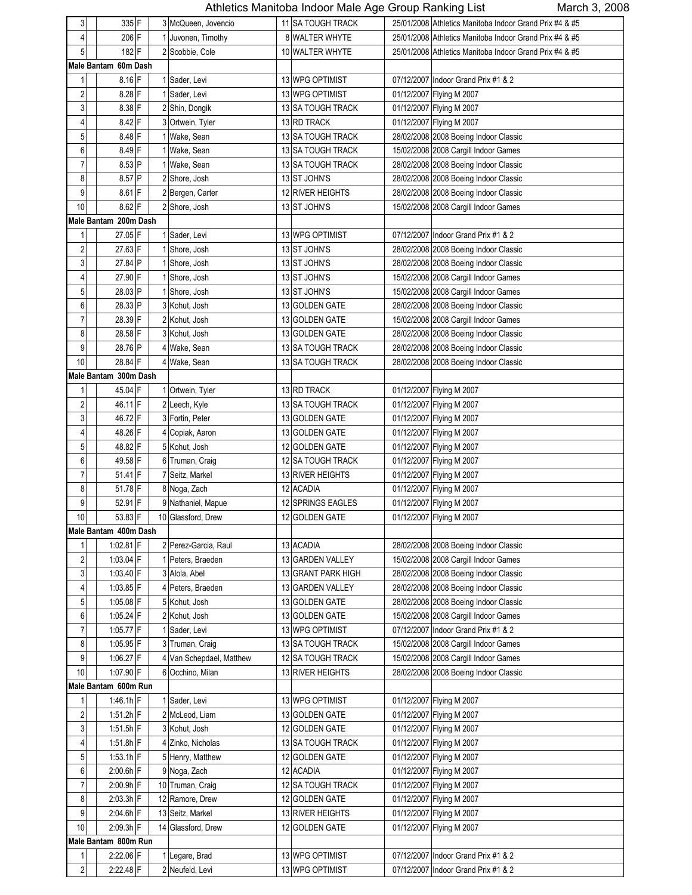|                  |                       |  |                          |                    | whohoo manhoba macor maio rigo Oroap riamming Liot      |
|------------------|-----------------------|--|--------------------------|--------------------|---------------------------------------------------------|
| 3                | 335 F                 |  | 3 McQueen, Jovencio      | 11 SA TOUGH TRACK  | 25/01/2008 Athletics Manitoba Indoor Grand Prix #4 & #5 |
| 4                | 206 F                 |  | 1 Juvonen, Timothy       | 8 WALTER WHYTE     | 25/01/2008 Athletics Manitoba Indoor Grand Prix #4 & #5 |
| 5                | 182F                  |  | 2 Scobbie, Cole          | 10 WALTER WHYTE    | 25/01/2008 Athletics Manitoba Indoor Grand Prix #4 & #5 |
|                  | Male Bantam 60m Dash  |  |                          |                    |                                                         |
| 1                | $8.16$ F              |  | 1 Sader, Levi            | 13 WPG OPTIMIST    | 07/12/2007 Indoor Grand Prix #1 & 2                     |
| $\sqrt{2}$       | $8.28$ F              |  | 1 Sader, Levi            | 13 WPG OPTIMIST    | 01/12/2007 Flying M 2007                                |
| 3                | 8.38 F                |  | 2 Shin, Dongik           | 13 SA TOUGH TRACK  | 01/12/2007 Flying M 2007                                |
| 4                | 8.42 F                |  | 3 Ortwein, Tyler         | 13 RD TRACK        | 01/12/2007 Flying M 2007                                |
| 5                | 8.48 F                |  | 1 Wake, Sean             | 13 SA TOUGH TRACK  | 28/02/2008 2008 Boeing Indoor Classic                   |
| 6                | 8.49 F                |  | 1 Wake, Sean             | 13 SA TOUGH TRACK  | 15/02/2008 2008 Cargill Indoor Games                    |
|                  |                       |  |                          |                    |                                                         |
| $\overline{7}$   | 8.53 P                |  | 1 Wake, Sean             | 13 SA TOUGH TRACK  | 28/02/2008 2008 Boeing Indoor Classic                   |
| 8                | 8.57 P                |  | 2 Shore, Josh            | 13 ST JOHN'S       | 28/02/2008 2008 Boeing Indoor Classic                   |
| 9                | 8.61 F                |  | 2 Bergen, Carter         | 12 RIVER HEIGHTS   | 28/02/2008 2008 Boeing Indoor Classic                   |
| 10               | 8.62 F                |  | 2 Shore, Josh            | 13 ST JOHN'S       | 15/02/2008 2008 Cargill Indoor Games                    |
|                  | Male Bantam 200m Dash |  |                          |                    |                                                         |
| $\mathbf{1}$     | 27.05 F               |  | 1 Sader, Levi            | 13 WPG OPTIMIST    | 07/12/2007 Indoor Grand Prix #1 & 2                     |
| $\sqrt{2}$       | 27.63 F               |  | 1 Shore, Josh            | 13 ST JOHN'S       | 28/02/2008 2008 Boeing Indoor Classic                   |
| $\mathsf 3$      | 27.84 P               |  | 1 Shore, Josh            | 13 ST JOHN'S       | 28/02/2008 2008 Boeing Indoor Classic                   |
| $\overline{4}$   | 27.90 F               |  | 1 Shore, Josh            | 13 ST JOHN'S       | 15/02/2008 2008 Cargill Indoor Games                    |
| 5                | 28.03 P               |  | 1 Shore, Josh            | 13 ST JOHN'S       | 15/02/2008 2008 Cargill Indoor Games                    |
| 6                | 28.33 P               |  | 3 Kohut, Josh            | 13 GOLDEN GATE     | 28/02/2008 2008 Boeing Indoor Classic                   |
| $\overline{7}$   | 28.39 F               |  | 2 Kohut, Josh            | 13 GOLDEN GATE     | 15/02/2008 2008 Cargill Indoor Games                    |
| 8                | 28.58 F               |  | 3 Kohut, Josh            | 13 GOLDEN GATE     | 28/02/2008 2008 Boeing Indoor Classic                   |
| 9                | 28.76 P               |  | 4 Wake, Sean             | 13 SA TOUGH TRACK  | 28/02/2008 2008 Boeing Indoor Classic                   |
| 10               | 28.84 F               |  | 4 Wake, Sean             | 13 SA TOUGH TRACK  | 28/02/2008 2008 Boeing Indoor Classic                   |
|                  | Male Bantam 300m Dash |  |                          |                    |                                                         |
| 1                | 45.04 F               |  | 1 Ortwein, Tyler         | 13 RD TRACK        | 01/12/2007 Flying M 2007                                |
| $\overline{2}$   | 46.11 F               |  | 2 Leech, Kyle            | 13 SA TOUGH TRACK  | 01/12/2007 Flying M 2007                                |
| $\mathsf 3$      |                       |  |                          |                    |                                                         |
|                  | 46.72 F               |  | 3 Fortin, Peter          | 13 GOLDEN GATE     | 01/12/2007 Flying M 2007                                |
| 4                | 48.26 F               |  | 4 Copiak, Aaron          | 13 GOLDEN GATE     | 01/12/2007 Flying M 2007                                |
| $\mathbf 5$      | 48.82 F               |  | 5 Kohut, Josh            | 12 GOLDEN GATE     | 01/12/2007 Flying M 2007                                |
| 6                | 49.58 F               |  | 6 Truman, Craig          | 12 SA TOUGH TRACK  | 01/12/2007 Flying M 2007                                |
| $\overline{7}$   | 51.41 F               |  | 7 Seitz, Markel          | 13 RIVER HEIGHTS   | 01/12/2007 Flying M 2007                                |
| 8                | 51.78 F               |  | 8 Noga, Zach             | 12 ACADIA          | 01/12/2007 Flying M 2007                                |
| 9                | 52.91 F               |  | 9 Nathaniel, Mapue       | 12 SPRINGS EAGLES  | 01/12/2007 Flying M 2007                                |
| 10 <sub>1</sub>  | 53.83 F               |  | 10 Glassford, Drew       | 12 GOLDEN GATE     | 01/12/2007 Flying M 2007                                |
|                  | Male Bantam 400m Dash |  |                          |                    |                                                         |
| $\mathbf{1}$     | 1:02.81 F             |  | 2 Perez-Garcia, Raul     | 13 ACADIA          | 28/02/2008 2008 Boeing Indoor Classic                   |
| $\sqrt{2}$       | 1:03.04 F             |  | 1 Peters, Braeden        | 13 GARDEN VALLEY   | 15/02/2008 2008 Cargill Indoor Games                    |
| $\mathsf 3$      | 1:03.40 F             |  | 3 Alola, Abel            | 13 GRANT PARK HIGH | 28/02/2008 2008 Boeing Indoor Classic                   |
| 4                | 1:03.85 F             |  | 4 Peters, Braeden        | 13 GARDEN VALLEY   | 28/02/2008 2008 Boeing Indoor Classic                   |
| 5                | 1:05.08 F             |  | 5 Kohut, Josh            | 13 GOLDEN GATE     | 28/02/2008 2008 Boeing Indoor Classic                   |
| $\boldsymbol{6}$ | 1:05.24 F             |  | 2 Kohut, Josh            | 13 GOLDEN GATE     | 15/02/2008 2008 Cargill Indoor Games                    |
| $\overline{7}$   | 1:05.77 F             |  | 1 Sader, Levi            | 13 WPG OPTIMIST    | 07/12/2007 Indoor Grand Prix #1 & 2                     |
| 8                | 1:05.95 F             |  | 3 Truman, Craig          | 13 SA TOUGH TRACK  | 15/02/2008 2008 Cargill Indoor Games                    |
| 9                | $1:06.27$ F           |  | 4 Van Schepdael, Matthew | 12 SA TOUGH TRACK  | 15/02/2008 2008 Cargill Indoor Games                    |
| 10               | $1:07.90$ F           |  | 6 Occhino, Milan         | 13 RIVER HEIGHTS   | 28/02/2008 2008 Boeing Indoor Classic                   |
|                  | Male Bantam 600m Run  |  |                          |                    |                                                         |
| $\mathbf{1}$     | $1.46.1h$ F           |  | 1 Sader, Levi            | 13 WPG OPTIMIST    | 01/12/2007 Flying M 2007                                |
| $\sqrt{2}$       | 1:51.2h F             |  | 2 McLeod, Liam           | 13 GOLDEN GATE     |                                                         |
|                  |                       |  |                          |                    | 01/12/2007 Flying M 2007                                |
| 3                | $1:51.5h$ F           |  | 3 Kohut, Josh            | 12 GOLDEN GATE     | 01/12/2007 Flying M 2007                                |
| 4                | $1:51.8h$ F           |  | 4 Zinko, Nicholas        | 13 SA TOUGH TRACK  | 01/12/2007 Flying M 2007                                |
| $\mathbf 5$      | $1.53.1h$ F           |  | 5 Henry, Matthew         | 12 GOLDEN GATE     | 01/12/2007 Flying M 2007                                |
| 6                | $2.00.6h$ F           |  | 9 Noga, Zach             | 12 ACADIA          | 01/12/2007 Flying M 2007                                |
| 7                | $2:00.9h$ F           |  | 10 Truman, Craig         | 12 SA TOUGH TRACK  | 01/12/2007 Flying M 2007                                |
| 8                | $2:03.3h$ F           |  | 12 Ramore, Drew          | 12 GOLDEN GATE     | 01/12/2007 Flying M 2007                                |
| 9                | 2:04.6h F             |  | 13 Seitz, Markel         | 13 RIVER HEIGHTS   | 01/12/2007 Flying M 2007                                |
| $10$             | 2:09.3h F             |  | 14 Glassford, Drew       | 12 GOLDEN GATE     | 01/12/2007 Flying M 2007                                |
|                  | Male Bantam 800m Run  |  |                          |                    |                                                         |
| 1                | 2:22.06 F             |  | 1 Legare, Brad           | 13 WPG OPTIMIST    | 07/12/2007 Indoor Grand Prix #1 & 2                     |
| $\overline{2}$   | 2:22.48 F             |  | 2 Neufeld, Levi          | 13 WPG OPTIMIST    | 07/12/2007 Indoor Grand Prix #1 & 2                     |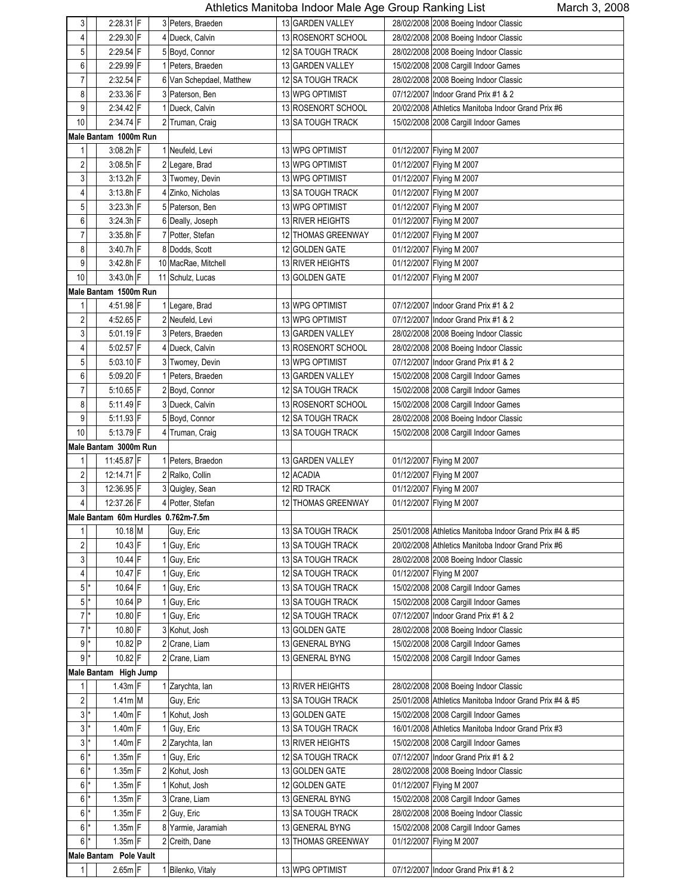| 3                       |                        |  |                                     |                    |                                                         |
|-------------------------|------------------------|--|-------------------------------------|--------------------|---------------------------------------------------------|
|                         | $2:28.31$ F            |  | 3 Peters, Braeden                   | 13 GARDEN VALLEY   | 28/02/2008 2008 Boeing Indoor Classic                   |
| 4                       | 2:29.30 F              |  | 4 Dueck, Calvin                     | 13 ROSENORT SCHOOL | 28/02/2008 2008 Boeing Indoor Classic                   |
| 5                       | 2:29.54 F              |  | 5 Boyd, Connor                      | 12 SA TOUGH TRACK  | 28/02/2008 2008 Boeing Indoor Classic                   |
| 6                       | 2:29.99 F              |  | 1 Peters, Braeden                   | 13 GARDEN VALLEY   | 15/02/2008 2008 Cargill Indoor Games                    |
| 7                       | 2:32.54 F              |  | 6 Van Schepdael, Matthew            | 12 SA TOUGH TRACK  | 28/02/2008 2008 Boeing Indoor Classic                   |
| 8                       | 2:33.36 F              |  | 3 Paterson, Ben                     | 13 WPG OPTIMIST    | 07/12/2007 Indoor Grand Prix #1 & 2                     |
| 9                       | 2:34.42 F              |  | 1 Dueck, Calvin                     | 13 ROSENORT SCHOOL | 20/02/2008 Athletics Manitoba Indoor Grand Prix #6      |
| 10                      | 2:34.74 F              |  | 2 Truman, Craig                     | 13 SA TOUGH TRACK  | 15/02/2008 2008 Cargill Indoor Games                    |
|                         | Male Bantam 1000m Run  |  |                                     |                    |                                                         |
|                         |                        |  |                                     |                    |                                                         |
| 1                       | 3:08.2h F              |  | 1 Neufeld, Levi                     | 13 WPG OPTIMIST    | 01/12/2007 Flying M 2007                                |
| $\overline{\mathbf{c}}$ | 3:08.5h F              |  | 2 Legare, Brad                      | 13 WPG OPTIMIST    | 01/12/2007 Flying M 2007                                |
| $\mathsf 3$             | $3:13.2h$ F            |  | 3 Twomey, Devin                     | 13 WPG OPTIMIST    | 01/12/2007 Flying M 2007                                |
| 4                       | 3:13.8h F              |  | 4 Zinko, Nicholas                   | 13 SA TOUGH TRACK  | 01/12/2007 Flying M 2007                                |
| 5                       | $3:23.3h$ F            |  | 5 Paterson, Ben                     | 13 WPG OPTIMIST    | 01/12/2007 Flying M 2007                                |
| 6                       | $3:24.3h$ F            |  | 6 Deally, Joseph                    | 13 RIVER HEIGHTS   | 01/12/2007 Flying M 2007                                |
| $\overline{7}$          | $3:35.8h$ F            |  | 7 Potter, Stefan                    | 12 THOMAS GREENWAY | 01/12/2007 Flying M 2007                                |
| 8                       | 3:40.7h F              |  | 8 Dodds, Scott                      | 12 GOLDEN GATE     | 01/12/2007 Flying M 2007                                |
| 9                       | $3:42.8h$ F            |  | 10 MacRae, Mitchell                 | 13 RIVER HEIGHTS   | 01/12/2007 Flying M 2007                                |
| 10                      | 3:43.0h F              |  | 11 Schulz, Lucas                    | 13 GOLDEN GATE     | 01/12/2007 Flying M 2007                                |
|                         | Male Bantam 1500m Run  |  |                                     |                    |                                                         |
| 1                       | 4:51.98 F              |  | 1 Legare, Brad                      | 13 WPG OPTIMIST    | 07/12/2007 Indoor Grand Prix #1 & 2                     |
| $\overline{\mathbf{c}}$ | 4:52.65 F              |  | 2 Neufeld, Levi                     | 13 WPG OPTIMIST    | 07/12/2007 Indoor Grand Prix #1 & 2                     |
|                         |                        |  |                                     |                    |                                                         |
| 3                       | $5.01.19$ F            |  | 3 Peters, Braeden                   | 13 GARDEN VALLEY   | 28/02/2008 2008 Boeing Indoor Classic                   |
| 4                       | $5:02.57$ F            |  | 4 Dueck, Calvin                     | 13 ROSENORT SCHOOL | 28/02/2008 2008 Boeing Indoor Classic                   |
| 5                       | 5:03.10 F              |  | 3 Twomey, Devin                     | 13 WPG OPTIMIST    | 07/12/2007 Indoor Grand Prix #1 & 2                     |
| 6                       | 5:09.20 F              |  | 1 Peters, Braeden                   | 13 GARDEN VALLEY   | 15/02/2008 2008 Cargill Indoor Games                    |
| 7                       | $5:10.65$ F            |  | 2 Boyd, Connor                      | 12 SA TOUGH TRACK  | 15/02/2008 2008 Cargill Indoor Games                    |
| 8                       | 5:11.49 F              |  | 3 Dueck, Calvin                     | 13 ROSENORT SCHOOL | 15/02/2008 2008 Cargill Indoor Games                    |
| 9                       | 5:11.93 F              |  | 5 Boyd, Connor                      | 12 SA TOUGH TRACK  | 28/02/2008 2008 Boeing Indoor Classic                   |
| 10                      | 5:13.79 F              |  | 4 Truman, Craig                     | 13 SA TOUGH TRACK  | 15/02/2008 2008 Cargill Indoor Games                    |
|                         | Male Bantam 3000m Run  |  |                                     |                    |                                                         |
|                         |                        |  |                                     |                    |                                                         |
| 1                       |                        |  |                                     |                    |                                                         |
|                         | 11:45.87 F             |  | 1 Peters, Braedon                   | 13 GARDEN VALLEY   | 01/12/2007 Flying M 2007                                |
| $\sqrt{2}$              | 12:14.71 F             |  | 2 Ralko, Collin                     | 12 ACADIA          | 01/12/2007 Flying M 2007                                |
| $\mathfrak{z}$          | 12:36.95 F             |  | 3 Quigley, Sean                     | 12 RD TRACK        | 01/12/2007 Flying M 2007                                |
| $\overline{4}$          | 12:37.26 F             |  | 4 Potter, Stefan                    | 12 THOMAS GREENWAY | 01/12/2007 Flying M 2007                                |
|                         |                        |  | Male Bantam 60m Hurdles 0.762m-7.5m |                    |                                                         |
| 1                       | 10.18 M                |  | Guy, Eric                           | 13 SA TOUGH TRACK  | 25/01/2008 Athletics Manitoba Indoor Grand Prix #4 & #5 |
| $\overline{\mathbf{c}}$ | $10.43$ F              |  | 1 Guy, Eric                         | 13 SA TOUGH TRACK  | 20/02/2008 Athletics Manitoba Indoor Grand Prix #6      |
| $\sqrt{3}$              | $10.44$ F              |  | 1 Guy, Eric                         | 13 SA TOUGH TRACK  | 28/02/2008 2008 Boeing Indoor Classic                   |
| 4                       | 10.47 F                |  | 1 Guy, Eric                         | 12 SA TOUGH TRACK  | 01/12/2007 Flying M 2007                                |
| 5                       | 10.64 F                |  | 1 Guy, Eric                         | 13 SA TOUGH TRACK  | 15/02/2008 2008 Cargill Indoor Games                    |
| $5*$                    | 10.64 P                |  | 1 Guy, Eric                         | 13 SA TOUGH TRACK  | 15/02/2008 2008 Cargill Indoor Games                    |
| $7^{\ast}$              | 10.80 F                |  | 1 Guy, Eric                         | 12 SA TOUGH TRACK  | 07/12/2007 Indoor Grand Prix #1 & 2                     |
| $\overline{7}$          | 10.80 F                |  | 3 Kohut, Josh                       | 13 GOLDEN GATE     | 28/02/2008 2008 Boeing Indoor Classic                   |
| $9*$                    | 10.82 P                |  | 2 Crane, Liam                       | 13 GENERAL BYNG    | 15/02/2008 2008 Cargill Indoor Games                    |
| $\boldsymbol{9}$        | 10.82 F                |  | 2 Crane, Liam                       | 13 GENERAL BYNG    |                                                         |
|                         |                        |  |                                     |                    | 15/02/2008 2008 Cargill Indoor Games                    |
| 1                       | Male Bantam High Jump  |  |                                     |                    |                                                         |
|                         | $1.43m$ F              |  | 1 Zarychta, Ian                     | 13 RIVER HEIGHTS   | 28/02/2008 2008 Boeing Indoor Classic                   |
| $\sqrt{2}$              | 1.41m M                |  | Guy, Eric                           | 13 SA TOUGH TRACK  | 25/01/2008 Athletics Manitoba Indoor Grand Prix #4 & #5 |
| $\sqrt{3}$              | 1.40m F                |  | 1 Kohut, Josh                       | 13 GOLDEN GATE     | 15/02/2008 2008 Cargill Indoor Games                    |
| 3                       | $1.40m$ F              |  | 1 Guy, Eric                         | 13 SA TOUGH TRACK  | 16/01/2008 Athletics Manitoba Indoor Grand Prix #3      |
| $3$ <sup>*</sup>        | $1.40m$ F              |  | 2 Zarychta, Ian                     | 13 RIVER HEIGHTS   | 15/02/2008 2008 Cargill Indoor Games                    |
| $6$ $*$                 | $1.35m$ F              |  | 1 Guy, Eric                         | 12 SA TOUGH TRACK  | 07/12/2007 Indoor Grand Prix #1 & 2                     |
| $6$ <sup>*</sup>        | $1.35m$ F              |  | 2 Kohut, Josh                       | 13 GOLDEN GATE     | 28/02/2008 2008 Boeing Indoor Classic                   |
| $\,6$                   | $1.35m$ F              |  | 1 Kohut, Josh                       | 12 GOLDEN GATE     | 01/12/2007 Flying M 2007                                |
| 6                       | $1.35m$ F              |  | 3 Crane, Liam                       | 13 GENERAL BYNG    | 15/02/2008 2008 Cargill Indoor Games                    |
| 6                       | $1.35m$ F              |  | 2 Guy, Eric                         | 13 SA TOUGH TRACK  | 28/02/2008 2008 Boeing Indoor Classic                   |
| $\,6$                   | $1.35m$ F              |  | 8 Yarmie, Jaramiah                  | 13 GENERAL BYNG    | 15/02/2008 2008 Cargill Indoor Games                    |
| $6$ <sup>*</sup>        | $1.35m$ F              |  | 2 Creith, Dane                      | 13 THOMAS GREENWAY | 01/12/2007 Flying M 2007                                |
|                         | Male Bantam Pole Vault |  |                                     |                    |                                                         |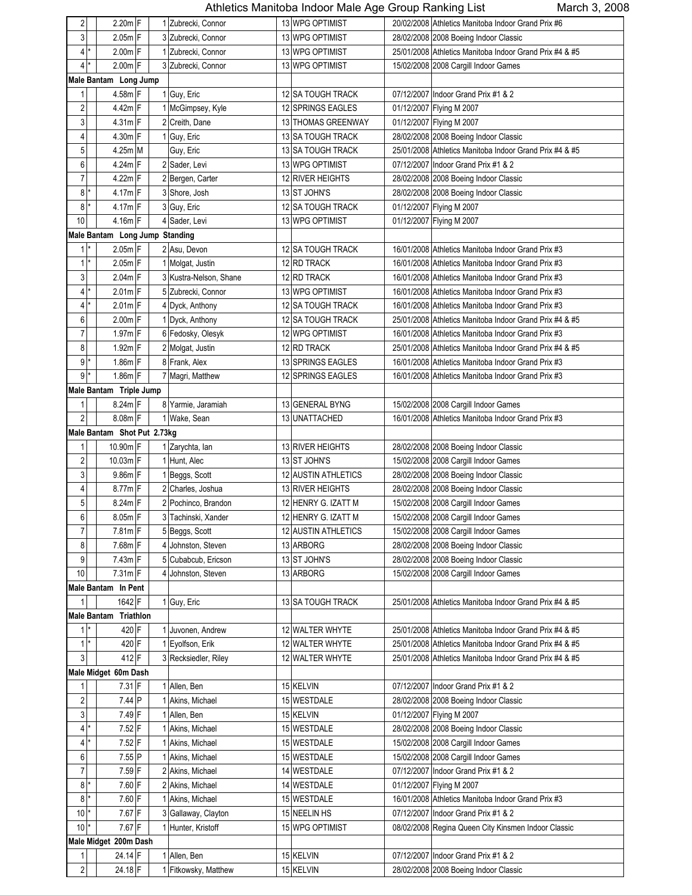| 2                          | $2.20m$ F                      |  | 1 Zubrecki, Connor     | 13 WPG OPTIMIST          | 20/02/2008 Athletics Manitoba Indoor Grand Prix #6      |
|----------------------------|--------------------------------|--|------------------------|--------------------------|---------------------------------------------------------|
| 3                          | $2.05m$ F                      |  | 3 Zubrecki, Connor     | 13 WPG OPTIMIST          | 28/02/2008 2008 Boeing Indoor Classic                   |
| $\vert 4 \vert$<br>$\star$ | $2.00m$ F                      |  | 1 Zubrecki, Connor     | 13 WPG OPTIMIST          | 25/01/2008 Athletics Manitoba Indoor Grand Prix #4 & #5 |
| $4^*$                      | $2.00m$ F                      |  | 3 Zubrecki, Connor     | 13 WPG OPTIMIST          | 15/02/2008 2008 Cargill Indoor Games                    |
|                            | Male Bantam Long Jump          |  |                        |                          |                                                         |
| $\mathbf{1}$               | 4.58m F                        |  | 1 Guy, Eric            | 12 SA TOUGH TRACK        | 07/12/2007 Indoor Grand Prix #1 & 2                     |
| 2                          | 4.42m F                        |  | 1 McGimpsey, Kyle      | 12 SPRINGS EAGLES        | 01/12/2007 Flying M 2007                                |
| 3                          | 4.31m F                        |  | 2 Creith, Dane         | 13 THOMAS GREENWAY       | 01/12/2007 Flying M 2007                                |
| 4                          | $4.30m$ F                      |  | 1 Guy, Eric            | 13 SA TOUGH TRACK        | 28/02/2008 2008 Boeing Indoor Classic                   |
| 5                          | $4.25m$ M                      |  | Guy, Eric              | <b>13 SA TOUGH TRACK</b> | 25/01/2008 Athletics Manitoba Indoor Grand Prix #4 & #5 |
| 6                          | $4.24m$ F                      |  | 2 Sader, Levi          | 13 WPG OPTIMIST          | 07/12/2007 Indoor Grand Prix #1 & 2                     |
| $\overline{7}$             | $4.22m$ F                      |  | 2 Bergen, Carter       | 12 RIVER HEIGHTS         | 28/02/2008 2008 Boeing Indoor Classic                   |
| 8                          | 4.17m F                        |  | 3 Shore, Josh          | 13 ST JOHN'S             | 28/02/2008 2008 Boeing Indoor Classic                   |
| 8                          | $4.17m$ F                      |  | 3 Guy, Eric            | 12 SA TOUGH TRACK        | 01/12/2007 Flying M 2007                                |
| 10                         | 4.16m F                        |  | 4 Sader, Levi          | 13 WPG OPTIMIST          | 01/12/2007 Flying M 2007                                |
|                            | Male Bantam Long Jump Standing |  |                        |                          |                                                         |
| $1$ <sup>*</sup>           | $2.05m$ F                      |  | 2 Asu, Devon           | 12 SA TOUGH TRACK        | 16/01/2008 Athletics Manitoba Indoor Grand Prix #3      |
| $\mathbf{1}$<br>*          | $2.05m$ F                      |  | 1 Molgat, Justin       | 12 RD TRACK              | 16/01/2008 Athletics Manitoba Indoor Grand Prix #3      |
| 3                          | $2.04m$ F                      |  | 3 Kustra-Nelson, Shane | 12 RD TRACK              | 16/01/2008 Athletics Manitoba Indoor Grand Prix #3      |
| *                          | $2.01m$ F                      |  | 5 Zubrecki, Connor     | 13 WPG OPTIMIST          | 16/01/2008 Athletics Manitoba Indoor Grand Prix #3      |
| 4 <sup>1</sup><br>*        | $2.01m$ F                      |  |                        | <b>12 SA TOUGH TRACK</b> | 16/01/2008 Athletics Manitoba Indoor Grand Prix #3      |
| 4                          |                                |  | 4 Dyck, Anthony        |                          |                                                         |
| 6                          | 2.00m F                        |  | 1 Dyck, Anthony        | 12 SA TOUGH TRACK        | 25/01/2008 Athletics Manitoba Indoor Grand Prix #4 & #5 |
| $\overline{7}$             | 1.97m F                        |  | 6 Fedosky, Olesyk      | 12 WPG OPTIMIST          | 16/01/2008 Athletics Manitoba Indoor Grand Prix #3      |
| 8                          | $1.92m$ F                      |  | 2 Molgat, Justin       | 12 RD TRACK              | 25/01/2008 Athletics Manitoba Indoor Grand Prix #4 & #5 |
| 9                          | 1.86m F                        |  | 8 Frank, Alex          | 13 SPRINGS EAGLES        | 16/01/2008 Athletics Manitoba Indoor Grand Prix #3      |
| $\overline{9}$             | $1.86m$ F                      |  | 7 Magri, Matthew       | 12 SPRINGS EAGLES        | 16/01/2008 Athletics Manitoba Indoor Grand Prix #3      |
|                            | Male Bantam Triple Jump        |  |                        |                          |                                                         |
| $\mathbf{1}$               | 8.24m F                        |  | 8 Yarmie, Jaramiah     | 13 GENERAL BYNG          | 15/02/2008 2008 Cargill Indoor Games                    |
| $\overline{2}$             | 8.08m F                        |  | 1 Wake, Sean           | 13 UNATTACHED            | 16/01/2008 Athletics Manitoba Indoor Grand Prix #3      |
|                            | Male Bantam Shot Put 2.73kg    |  |                        |                          |                                                         |
| 1                          | 10.90m F                       |  | 1 Zarychta, Ian        | 13 RIVER HEIGHTS         | 28/02/2008 2008 Boeing Indoor Classic                   |
| 2                          | 10.03m F                       |  | 1 Hunt, Alec           | 13 ST JOHN'S             | 15/02/2008 2008 Cargill Indoor Games                    |
| 3                          | $9.86m$ F                      |  | 1 Beggs, Scott         | 12 AUSTIN ATHLETICS      | 28/02/2008 2008 Boeing Indoor Classic                   |
| 4                          | 8.77m F                        |  | 2 Charles, Joshua      | <b>13 RIVER HEIGHTS</b>  | 28/02/2008 2008 Boeing Indoor Classic                   |
| 5                          | $8.24m$ F                      |  | 2 Pochinco, Brandon    | 12 HENRY G. IZATT M      | 15/02/2008 2008 Cargill Indoor Games                    |
| 6                          | 8.05m F                        |  | 3 Tachinski, Xander    | 12 HENRY G. IZATT M      | 15/02/2008 2008 Cargill Indoor Games                    |
| $\overline{7}$             | $7.81m$ F                      |  | 5 Beggs, Scott         | 12 AUSTIN ATHLETICS      | 15/02/2008 2008 Cargill Indoor Games                    |
| 8                          | 7.68m F                        |  | 4 Johnston, Steven     | 13 ARBORG                | 28/02/2008 2008 Boeing Indoor Classic                   |
| 9                          | $7.43m$ F                      |  | 5 Cubabcub, Ericson    | 13 ST JOHN'S             | 28/02/2008 2008 Boeing Indoor Classic                   |
| 10                         | $7.31m$ F                      |  | 4 Johnston, Steven     | 13 ARBORG                | 15/02/2008 2008 Cargill Indoor Games                    |
|                            | Male Bantam In Pent            |  |                        |                          |                                                         |
| $\mathbf{1}$               | 1642 F                         |  | 1 Guy, Eric            | 13 SA TOUGH TRACK        | 25/01/2008 Athletics Manitoba Indoor Grand Prix #4 & #5 |
|                            | Male Bantam Triathlon          |  |                        |                          |                                                         |
| $1*$                       | 420 F                          |  | 1 Juvonen, Andrew      | 12 WALTER WHYTE          | 25/01/2008 Athletics Manitoba Indoor Grand Prix #4 & #5 |
| $1^*$                      | 420 F                          |  | 1 Eyolfson, Erik       | 12 WALTER WHYTE          | 25/01/2008 Athletics Manitoba Indoor Grand Prix #4 & #5 |
| 3                          | 412 F                          |  | 3 Recksiedler, Riley   | 12 WALTER WHYTE          | 25/01/2008 Athletics Manitoba Indoor Grand Prix #4 & #5 |
|                            | Male Midget 60m Dash           |  |                        |                          |                                                         |
| 1                          | $7.31$ F                       |  | 1 Allen, Ben           | 15 KELVIN                | 07/12/2007 Indoor Grand Prix #1 & 2                     |
| $\sqrt{2}$                 | $7.44$ P                       |  | 1 Akins, Michael       | 15 WESTDALE              | 28/02/2008 2008 Boeing Indoor Classic                   |
| 3                          | 7.49 F                         |  | 1 Allen, Ben           | 15 KELVIN                | 01/12/2007 Flying M 2007                                |
| $\vert 4 \vert$            | $7.52$ F                       |  | 1 Akins, Michael       | 15 WESTDALE              | 28/02/2008 2008 Boeing Indoor Classic                   |
| $4$ *                      | $7.52$ F                       |  | 1 Akins, Michael       | 15 WESTDALE              | 15/02/2008 2008 Cargill Indoor Games                    |
| 6                          | 7.55 P                         |  | 1 Akins, Michael       | 15 WESTDALE              | 15/02/2008 2008 Cargill Indoor Games                    |
| 7                          | $7.59$ F                       |  | 2 Akins, Michael       | 14 WESTDALE              | 07/12/2007 Indoor Grand Prix #1 & 2                     |
| $8*$                       | 7.60 F                         |  | 2 Akins, Michael       | 14 WESTDALE              | 01/12/2007 Flying M 2007                                |
| $8*$                       | $7.60$ F                       |  | 1 Akins, Michael       | 15 WESTDALE              | 16/01/2008 Athletics Manitoba Indoor Grand Prix #3      |
| 10                         | $7.67$ F                       |  | 3 Gallaway, Clayton    | 15 NEELIN HS             | 07/12/2007 Indoor Grand Prix #1 & 2                     |
| $10*$                      | 7.67 F                         |  | 1 Hunter, Kristoff     | 15 WPG OPTIMIST          | 08/02/2008 Regina Queen City Kinsmen Indoor Classic     |
|                            | Male Midget 200m Dash          |  |                        |                          |                                                         |
| 1                          | 24.14 F                        |  | 1 Allen, Ben           | 15 KELVIN                | 07/12/2007 Indoor Grand Prix #1 & 2                     |
| $\sqrt{2}$                 | 24.18 F                        |  | 1 Fitkowsky, Matthew   | 15 KELVIN                | 28/02/2008 2008 Boeing Indoor Classic                   |
|                            |                                |  |                        |                          |                                                         |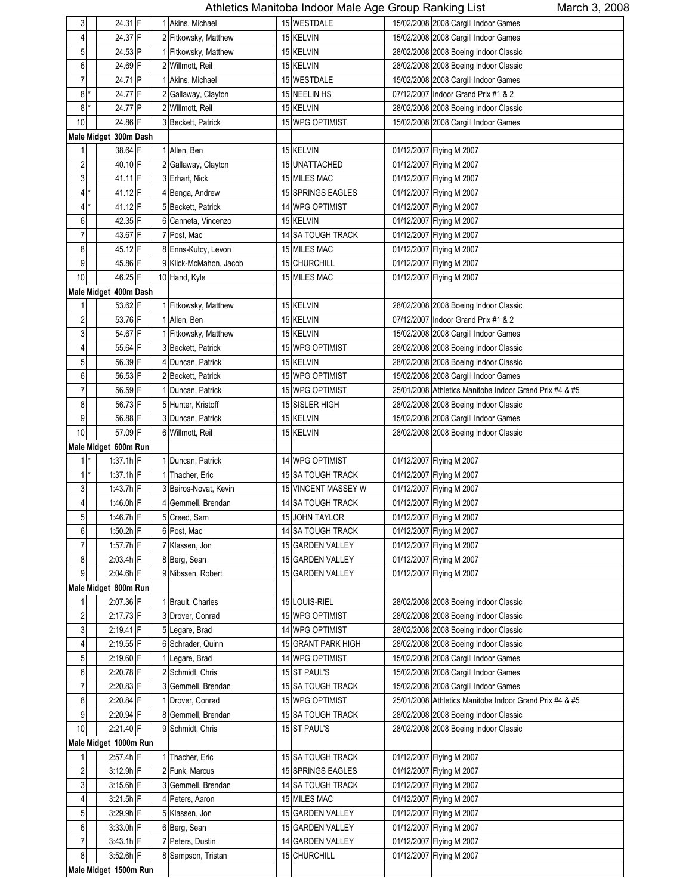| 24.37 F<br>15/02/2008 2008 Cargill Indoor Games<br>4<br>2 Fitkowsky, Matthew<br>15 KELVIN<br>24.53 P<br>5<br>1 Fitkowsky, Matthew<br>15 KELVIN<br>28/02/2008 2008 Boeing Indoor Classic<br>24.69 F<br>6<br>2 Willmott, Reil<br>15 KELVIN<br>28/02/2008 2008 Boeing Indoor Classic<br>$\overline{7}$<br>24.71 P<br>1 Akins, Michael<br>15 WESTDALE<br>15/02/2008 2008 Cargill Indoor Games<br>8<br>24.77 F<br>2 Gallaway, Clayton<br>15 NEELIN HS<br>07/12/2007 Indoor Grand Prix #1 & 2<br>8<br>24.77 P<br>2 Willmott, Reil<br>15 KELVIN<br>28/02/2008 2008 Boeing Indoor Classic<br>10<br>24.86 F<br>15 WPG OPTIMIST<br>3 Beckett, Patrick<br>15/02/2008 2008 Cargill Indoor Games<br>Male Midget 300m Dash<br>38.64 F<br>1<br>1 Allen, Ben<br>15 KELVIN<br>01/12/2007 Flying M 2007<br>2<br>40.10 F<br>15 UNATTACHED<br>2 Gallaway, Clayton<br>01/12/2007 Flying M 2007<br>3<br>41.11 F<br>3 Erhart, Nick<br>15 MILES MAC<br>01/12/2007 Flying M 2007<br>41.12 F<br>4<br>15 SPRINGS EAGLES<br>01/12/2007 Flying M 2007<br>4 Benga, Andrew<br>×<br>41.12 F<br>5 Beckett, Patrick<br>14 WPG OPTIMIST<br>01/12/2007 Flying M 2007<br>4<br>42.35 F<br>6<br>6 Canneta, Vincenzo<br>15 KELVIN<br>01/12/2007 Flying M 2007<br>43.67 F<br>7<br>7 Post, Mac<br>14 SA TOUGH TRACK<br>01/12/2007 Flying M 2007<br>8<br>45.12 F<br>8 Enns-Kutcy, Levon<br>01/12/2007 Flying M 2007<br>15 MILES MAC<br>9<br>45.86 F<br>9 Klick-McMahon, Jacob<br>15 CHURCHILL<br>01/12/2007 Flying M 2007<br>10<br>46.25 F<br>10 Hand, Kyle<br>15 MILES MAC<br>01/12/2007 Flying M 2007<br>Male Midget 400m Dash<br>53.62 F<br>1 Fitkowsky, Matthew<br>15 KELVIN<br>1<br>28/02/2008 2008 Boeing Indoor Classic<br>53.76 F<br>2<br>1 Allen, Ben<br>15 KELVIN<br>07/12/2007 Indoor Grand Prix #1 & 2<br>3<br>54.67 F<br>1 Fitkowsky, Matthew<br>15 KELVIN<br>15/02/2008 2008 Cargill Indoor Games<br>55.64 F<br>4<br>3 Beckett, Patrick<br>15 WPG OPTIMIST<br>28/02/2008 2008 Boeing Indoor Classic<br>5<br>56.39 F<br>4 Duncan, Patrick<br>15 KELVIN<br>28/02/2008 2008 Boeing Indoor Classic<br>56.53 F<br>6<br>15 WPG OPTIMIST<br>15/02/2008 2008 Cargill Indoor Games<br>2 Beckett, Patrick<br>$\overline{7}$<br>56.59 F<br>1 Duncan, Patrick<br>15 WPG OPTIMIST<br>25/01/2008 Athletics Manitoba Indoor Grand Prix #4 & #5<br>56.73 F<br>8<br>5 Hunter, Kristoff<br>15 SISLER HIGH<br>28/02/2008 2008 Boeing Indoor Classic<br>56.88 F<br>9<br>3 Duncan, Patrick<br>15 KELVIN<br>15/02/2008 2008 Cargill Indoor Games<br>10<br>57.09 F<br>6 Willmott, Reil<br>15 KELVIN<br>28/02/2008 2008 Boeing Indoor Classic<br>Male Midget 600m Run<br>$1$ <sup>*</sup><br>$1:37.1h$ F<br>1 Duncan, Patrick<br>14 WPG OPTIMIST<br>01/12/2007 Flying M 2007<br>$1^*$<br>$1:37.1h$ F<br>1 Thacher, Eric<br>15 SA TOUGH TRACK<br>01/12/2007 Flying M 2007<br>3<br>$1.43.7h$ F<br>15 VINCENT MASSEY W<br>01/12/2007 Flying M 2007<br>3 Bairos-Novat, Kevin<br>1:46.0h F<br>4<br>Gemmell, Brendan<br>14 SA TOUGH TRACK<br>01/12/2007 Flying M 2007<br>5<br>1:46.7h F<br>01/12/2007 Flying M 2007<br>5 Creed, Sam<br>15 JOHN TAYLOR<br>$1.50.2h$ F<br>6<br>6 Post, Mac<br>14 SA TOUGH TRACK<br>01/12/2007 Flying M 2007<br>7<br>1.57.7h F<br>15 GARDEN VALLEY<br>7 Klassen, Jon<br>01/12/2007 Flying M 2007<br>8<br>$2:03.4h$ F<br>8 Berg, Sean<br>15 GARDEN VALLEY<br>01/12/2007 Flying M 2007<br>9<br>$2:04.6h$ F<br>9 Nibssen, Robert<br>15 GARDEN VALLEY<br>01/12/2007 Flying M 2007<br>Male Midget 800m Run<br>2:07.36 F<br>1 Brault, Charles<br>15 LOUIS-RIEL<br>28/02/2008 2008 Boeing Indoor Classic<br>1<br>2<br>2:17.73 F<br>3 Drover, Conrad<br>15 WPG OPTIMIST<br>28/02/2008 2008 Boeing Indoor Classic<br>3<br>$2:19.41$ F<br>5 Legare, Brad<br>14 WPG OPTIMIST<br>28/02/2008 2008 Boeing Indoor Classic<br>2:19.55 F<br>6 Schrader, Quinn<br>15 GRANT PARK HIGH<br>28/02/2008 2008 Boeing Indoor Classic<br>4<br>5<br>2:19.60 F<br>1 Legare, Brad<br>14 WPG OPTIMIST<br>15/02/2008 2008 Cargill Indoor Games<br>6<br>2:20.78 F<br>2 Schmidt, Chris<br>15 ST PAUL'S<br>15/02/2008 2008 Cargill Indoor Games<br>7<br>2:20.83 F<br>3 Gemmell, Brendan<br>15 SA TOUGH TRACK<br>15/02/2008 2008 Cargill Indoor Games<br>8<br>$2:20.84$ F<br>1 Drover, Conrad<br>15 WPG OPTIMIST<br>25/01/2008 Athletics Manitoba Indoor Grand Prix #4 & #5<br>9<br>2:20.94 F<br>8 Gemmell, Brendan<br>15 SA TOUGH TRACK<br>28/02/2008 2008 Boeing Indoor Classic<br>$10$<br>2:21.40 F<br>15 ST PAUL'S<br>9 Schmidt, Chris<br>28/02/2008 2008 Boeing Indoor Classic<br>Male Midget 1000m Run<br>2:57.4h F<br>1 Thacher, Eric<br>15 SA TOUGH TRACK<br>01/12/2007 Flying M 2007<br>1<br>2<br>3:12.9h F<br>2 Funk, Marcus<br>15 SPRINGS EAGLES<br>01/12/2007 Flying M 2007<br>3<br>3:15.6h F<br>3 Gemmell, Brendan<br>14 SA TOUGH TRACK<br>01/12/2007 Flying M 2007<br>15 MILES MAC<br>4<br>$3:21.5h$ F<br>4 Peters, Aaron<br>01/12/2007 Flying M 2007<br>5<br>3:29.9h F<br>5 Klassen, Jon<br>15 GARDEN VALLEY<br>01/12/2007 Flying M 2007<br>6<br>3:33.0h F<br>6 Berg, Sean<br>15 GARDEN VALLEY<br>01/12/2007 Flying M 2007<br>7<br>$3:43.1h$ F<br>7 Peters, Dustin<br>14 GARDEN VALLEY<br>01/12/2007 Flying M 2007<br>8<br>3:52.6h F<br>15 CHURCHILL<br>8 Sampson, Tristan<br>01/12/2007 Flying M 2007<br>Male Midget 1500m Run | 3 | 24.31 F |  | 1 Akins, Michael | 15 WESTDALE | 15/02/2008 2008 Cargill Indoor Games |
|-------------------------------------------------------------------------------------------------------------------------------------------------------------------------------------------------------------------------------------------------------------------------------------------------------------------------------------------------------------------------------------------------------------------------------------------------------------------------------------------------------------------------------------------------------------------------------------------------------------------------------------------------------------------------------------------------------------------------------------------------------------------------------------------------------------------------------------------------------------------------------------------------------------------------------------------------------------------------------------------------------------------------------------------------------------------------------------------------------------------------------------------------------------------------------------------------------------------------------------------------------------------------------------------------------------------------------------------------------------------------------------------------------------------------------------------------------------------------------------------------------------------------------------------------------------------------------------------------------------------------------------------------------------------------------------------------------------------------------------------------------------------------------------------------------------------------------------------------------------------------------------------------------------------------------------------------------------------------------------------------------------------------------------------------------------------------------------------------------------------------------------------------------------------------------------------------------------------------------------------------------------------------------------------------------------------------------------------------------------------------------------------------------------------------------------------------------------------------------------------------------------------------------------------------------------------------------------------------------------------------------------------------------------------------------------------------------------------------------------------------------------------------------------------------------------------------------------------------------------------------------------------------------------------------------------------------------------------------------------------------------------------------------------------------------------------------------------------------------------------------------------------------------------------------------------------------------------------------------------------------------------------------------------------------------------------------------------------------------------------------------------------------------------------------------------------------------------------------------------------------------------------------------------------------------------------------------------------------------------------------------------------------------------------------------------------------------------------------------------------------------------------------------------------------------------------------------------------------------------------------------------------------------------------------------------------------------------------------------------------------------------------------------------------------------------------------------------------------------------------------------------------------------------------------------------------------------------------------------------------------------------------------------------------------------------------------------------------------------------------------------------------------------------------------------------------------------------------------------------------------------------------------------------------------------------------------------------------------------------------------------------------------------------------------------------------------------------------------------------------------------------------------------------------------------------------------------------------------------------------------------------------------------------------------------------------------------------------------------------------------------------------------------------------------------------------------------------------------------------------------------------------------------------------------------------------------------------------------------------------------------------------------------|---|---------|--|------------------|-------------|--------------------------------------|
|                                                                                                                                                                                                                                                                                                                                                                                                                                                                                                                                                                                                                                                                                                                                                                                                                                                                                                                                                                                                                                                                                                                                                                                                                                                                                                                                                                                                                                                                                                                                                                                                                                                                                                                                                                                                                                                                                                                                                                                                                                                                                                                                                                                                                                                                                                                                                                                                                                                                                                                                                                                                                                                                                                                                                                                                                                                                                                                                                                                                                                                                                                                                                                                                                                                                                                                                                                                                                                                                                                                                                                                                                                                                                                                                                                                                                                                                                                                                                                                                                                                                                                                                                                                                                                                                                                                                                                                                                                                                                                                                                                                                                                                                                                                                                                                                                                                                                                                                                                                                                                                                                                                                                                                                                                                                               |   |         |  |                  |             |                                      |
|                                                                                                                                                                                                                                                                                                                                                                                                                                                                                                                                                                                                                                                                                                                                                                                                                                                                                                                                                                                                                                                                                                                                                                                                                                                                                                                                                                                                                                                                                                                                                                                                                                                                                                                                                                                                                                                                                                                                                                                                                                                                                                                                                                                                                                                                                                                                                                                                                                                                                                                                                                                                                                                                                                                                                                                                                                                                                                                                                                                                                                                                                                                                                                                                                                                                                                                                                                                                                                                                                                                                                                                                                                                                                                                                                                                                                                                                                                                                                                                                                                                                                                                                                                                                                                                                                                                                                                                                                                                                                                                                                                                                                                                                                                                                                                                                                                                                                                                                                                                                                                                                                                                                                                                                                                                                               |   |         |  |                  |             |                                      |
|                                                                                                                                                                                                                                                                                                                                                                                                                                                                                                                                                                                                                                                                                                                                                                                                                                                                                                                                                                                                                                                                                                                                                                                                                                                                                                                                                                                                                                                                                                                                                                                                                                                                                                                                                                                                                                                                                                                                                                                                                                                                                                                                                                                                                                                                                                                                                                                                                                                                                                                                                                                                                                                                                                                                                                                                                                                                                                                                                                                                                                                                                                                                                                                                                                                                                                                                                                                                                                                                                                                                                                                                                                                                                                                                                                                                                                                                                                                                                                                                                                                                                                                                                                                                                                                                                                                                                                                                                                                                                                                                                                                                                                                                                                                                                                                                                                                                                                                                                                                                                                                                                                                                                                                                                                                                               |   |         |  |                  |             |                                      |
|                                                                                                                                                                                                                                                                                                                                                                                                                                                                                                                                                                                                                                                                                                                                                                                                                                                                                                                                                                                                                                                                                                                                                                                                                                                                                                                                                                                                                                                                                                                                                                                                                                                                                                                                                                                                                                                                                                                                                                                                                                                                                                                                                                                                                                                                                                                                                                                                                                                                                                                                                                                                                                                                                                                                                                                                                                                                                                                                                                                                                                                                                                                                                                                                                                                                                                                                                                                                                                                                                                                                                                                                                                                                                                                                                                                                                                                                                                                                                                                                                                                                                                                                                                                                                                                                                                                                                                                                                                                                                                                                                                                                                                                                                                                                                                                                                                                                                                                                                                                                                                                                                                                                                                                                                                                                               |   |         |  |                  |             |                                      |
|                                                                                                                                                                                                                                                                                                                                                                                                                                                                                                                                                                                                                                                                                                                                                                                                                                                                                                                                                                                                                                                                                                                                                                                                                                                                                                                                                                                                                                                                                                                                                                                                                                                                                                                                                                                                                                                                                                                                                                                                                                                                                                                                                                                                                                                                                                                                                                                                                                                                                                                                                                                                                                                                                                                                                                                                                                                                                                                                                                                                                                                                                                                                                                                                                                                                                                                                                                                                                                                                                                                                                                                                                                                                                                                                                                                                                                                                                                                                                                                                                                                                                                                                                                                                                                                                                                                                                                                                                                                                                                                                                                                                                                                                                                                                                                                                                                                                                                                                                                                                                                                                                                                                                                                                                                                                               |   |         |  |                  |             |                                      |
|                                                                                                                                                                                                                                                                                                                                                                                                                                                                                                                                                                                                                                                                                                                                                                                                                                                                                                                                                                                                                                                                                                                                                                                                                                                                                                                                                                                                                                                                                                                                                                                                                                                                                                                                                                                                                                                                                                                                                                                                                                                                                                                                                                                                                                                                                                                                                                                                                                                                                                                                                                                                                                                                                                                                                                                                                                                                                                                                                                                                                                                                                                                                                                                                                                                                                                                                                                                                                                                                                                                                                                                                                                                                                                                                                                                                                                                                                                                                                                                                                                                                                                                                                                                                                                                                                                                                                                                                                                                                                                                                                                                                                                                                                                                                                                                                                                                                                                                                                                                                                                                                                                                                                                                                                                                                               |   |         |  |                  |             |                                      |
|                                                                                                                                                                                                                                                                                                                                                                                                                                                                                                                                                                                                                                                                                                                                                                                                                                                                                                                                                                                                                                                                                                                                                                                                                                                                                                                                                                                                                                                                                                                                                                                                                                                                                                                                                                                                                                                                                                                                                                                                                                                                                                                                                                                                                                                                                                                                                                                                                                                                                                                                                                                                                                                                                                                                                                                                                                                                                                                                                                                                                                                                                                                                                                                                                                                                                                                                                                                                                                                                                                                                                                                                                                                                                                                                                                                                                                                                                                                                                                                                                                                                                                                                                                                                                                                                                                                                                                                                                                                                                                                                                                                                                                                                                                                                                                                                                                                                                                                                                                                                                                                                                                                                                                                                                                                                               |   |         |  |                  |             |                                      |
|                                                                                                                                                                                                                                                                                                                                                                                                                                                                                                                                                                                                                                                                                                                                                                                                                                                                                                                                                                                                                                                                                                                                                                                                                                                                                                                                                                                                                                                                                                                                                                                                                                                                                                                                                                                                                                                                                                                                                                                                                                                                                                                                                                                                                                                                                                                                                                                                                                                                                                                                                                                                                                                                                                                                                                                                                                                                                                                                                                                                                                                                                                                                                                                                                                                                                                                                                                                                                                                                                                                                                                                                                                                                                                                                                                                                                                                                                                                                                                                                                                                                                                                                                                                                                                                                                                                                                                                                                                                                                                                                                                                                                                                                                                                                                                                                                                                                                                                                                                                                                                                                                                                                                                                                                                                                               |   |         |  |                  |             |                                      |
|                                                                                                                                                                                                                                                                                                                                                                                                                                                                                                                                                                                                                                                                                                                                                                                                                                                                                                                                                                                                                                                                                                                                                                                                                                                                                                                                                                                                                                                                                                                                                                                                                                                                                                                                                                                                                                                                                                                                                                                                                                                                                                                                                                                                                                                                                                                                                                                                                                                                                                                                                                                                                                                                                                                                                                                                                                                                                                                                                                                                                                                                                                                                                                                                                                                                                                                                                                                                                                                                                                                                                                                                                                                                                                                                                                                                                                                                                                                                                                                                                                                                                                                                                                                                                                                                                                                                                                                                                                                                                                                                                                                                                                                                                                                                                                                                                                                                                                                                                                                                                                                                                                                                                                                                                                                                               |   |         |  |                  |             |                                      |
|                                                                                                                                                                                                                                                                                                                                                                                                                                                                                                                                                                                                                                                                                                                                                                                                                                                                                                                                                                                                                                                                                                                                                                                                                                                                                                                                                                                                                                                                                                                                                                                                                                                                                                                                                                                                                                                                                                                                                                                                                                                                                                                                                                                                                                                                                                                                                                                                                                                                                                                                                                                                                                                                                                                                                                                                                                                                                                                                                                                                                                                                                                                                                                                                                                                                                                                                                                                                                                                                                                                                                                                                                                                                                                                                                                                                                                                                                                                                                                                                                                                                                                                                                                                                                                                                                                                                                                                                                                                                                                                                                                                                                                                                                                                                                                                                                                                                                                                                                                                                                                                                                                                                                                                                                                                                               |   |         |  |                  |             |                                      |
|                                                                                                                                                                                                                                                                                                                                                                                                                                                                                                                                                                                                                                                                                                                                                                                                                                                                                                                                                                                                                                                                                                                                                                                                                                                                                                                                                                                                                                                                                                                                                                                                                                                                                                                                                                                                                                                                                                                                                                                                                                                                                                                                                                                                                                                                                                                                                                                                                                                                                                                                                                                                                                                                                                                                                                                                                                                                                                                                                                                                                                                                                                                                                                                                                                                                                                                                                                                                                                                                                                                                                                                                                                                                                                                                                                                                                                                                                                                                                                                                                                                                                                                                                                                                                                                                                                                                                                                                                                                                                                                                                                                                                                                                                                                                                                                                                                                                                                                                                                                                                                                                                                                                                                                                                                                                               |   |         |  |                  |             |                                      |
|                                                                                                                                                                                                                                                                                                                                                                                                                                                                                                                                                                                                                                                                                                                                                                                                                                                                                                                                                                                                                                                                                                                                                                                                                                                                                                                                                                                                                                                                                                                                                                                                                                                                                                                                                                                                                                                                                                                                                                                                                                                                                                                                                                                                                                                                                                                                                                                                                                                                                                                                                                                                                                                                                                                                                                                                                                                                                                                                                                                                                                                                                                                                                                                                                                                                                                                                                                                                                                                                                                                                                                                                                                                                                                                                                                                                                                                                                                                                                                                                                                                                                                                                                                                                                                                                                                                                                                                                                                                                                                                                                                                                                                                                                                                                                                                                                                                                                                                                                                                                                                                                                                                                                                                                                                                                               |   |         |  |                  |             |                                      |
|                                                                                                                                                                                                                                                                                                                                                                                                                                                                                                                                                                                                                                                                                                                                                                                                                                                                                                                                                                                                                                                                                                                                                                                                                                                                                                                                                                                                                                                                                                                                                                                                                                                                                                                                                                                                                                                                                                                                                                                                                                                                                                                                                                                                                                                                                                                                                                                                                                                                                                                                                                                                                                                                                                                                                                                                                                                                                                                                                                                                                                                                                                                                                                                                                                                                                                                                                                                                                                                                                                                                                                                                                                                                                                                                                                                                                                                                                                                                                                                                                                                                                                                                                                                                                                                                                                                                                                                                                                                                                                                                                                                                                                                                                                                                                                                                                                                                                                                                                                                                                                                                                                                                                                                                                                                                               |   |         |  |                  |             |                                      |
|                                                                                                                                                                                                                                                                                                                                                                                                                                                                                                                                                                                                                                                                                                                                                                                                                                                                                                                                                                                                                                                                                                                                                                                                                                                                                                                                                                                                                                                                                                                                                                                                                                                                                                                                                                                                                                                                                                                                                                                                                                                                                                                                                                                                                                                                                                                                                                                                                                                                                                                                                                                                                                                                                                                                                                                                                                                                                                                                                                                                                                                                                                                                                                                                                                                                                                                                                                                                                                                                                                                                                                                                                                                                                                                                                                                                                                                                                                                                                                                                                                                                                                                                                                                                                                                                                                                                                                                                                                                                                                                                                                                                                                                                                                                                                                                                                                                                                                                                                                                                                                                                                                                                                                                                                                                                               |   |         |  |                  |             |                                      |
|                                                                                                                                                                                                                                                                                                                                                                                                                                                                                                                                                                                                                                                                                                                                                                                                                                                                                                                                                                                                                                                                                                                                                                                                                                                                                                                                                                                                                                                                                                                                                                                                                                                                                                                                                                                                                                                                                                                                                                                                                                                                                                                                                                                                                                                                                                                                                                                                                                                                                                                                                                                                                                                                                                                                                                                                                                                                                                                                                                                                                                                                                                                                                                                                                                                                                                                                                                                                                                                                                                                                                                                                                                                                                                                                                                                                                                                                                                                                                                                                                                                                                                                                                                                                                                                                                                                                                                                                                                                                                                                                                                                                                                                                                                                                                                                                                                                                                                                                                                                                                                                                                                                                                                                                                                                                               |   |         |  |                  |             |                                      |
|                                                                                                                                                                                                                                                                                                                                                                                                                                                                                                                                                                                                                                                                                                                                                                                                                                                                                                                                                                                                                                                                                                                                                                                                                                                                                                                                                                                                                                                                                                                                                                                                                                                                                                                                                                                                                                                                                                                                                                                                                                                                                                                                                                                                                                                                                                                                                                                                                                                                                                                                                                                                                                                                                                                                                                                                                                                                                                                                                                                                                                                                                                                                                                                                                                                                                                                                                                                                                                                                                                                                                                                                                                                                                                                                                                                                                                                                                                                                                                                                                                                                                                                                                                                                                                                                                                                                                                                                                                                                                                                                                                                                                                                                                                                                                                                                                                                                                                                                                                                                                                                                                                                                                                                                                                                                               |   |         |  |                  |             |                                      |
|                                                                                                                                                                                                                                                                                                                                                                                                                                                                                                                                                                                                                                                                                                                                                                                                                                                                                                                                                                                                                                                                                                                                                                                                                                                                                                                                                                                                                                                                                                                                                                                                                                                                                                                                                                                                                                                                                                                                                                                                                                                                                                                                                                                                                                                                                                                                                                                                                                                                                                                                                                                                                                                                                                                                                                                                                                                                                                                                                                                                                                                                                                                                                                                                                                                                                                                                                                                                                                                                                                                                                                                                                                                                                                                                                                                                                                                                                                                                                                                                                                                                                                                                                                                                                                                                                                                                                                                                                                                                                                                                                                                                                                                                                                                                                                                                                                                                                                                                                                                                                                                                                                                                                                                                                                                                               |   |         |  |                  |             |                                      |
|                                                                                                                                                                                                                                                                                                                                                                                                                                                                                                                                                                                                                                                                                                                                                                                                                                                                                                                                                                                                                                                                                                                                                                                                                                                                                                                                                                                                                                                                                                                                                                                                                                                                                                                                                                                                                                                                                                                                                                                                                                                                                                                                                                                                                                                                                                                                                                                                                                                                                                                                                                                                                                                                                                                                                                                                                                                                                                                                                                                                                                                                                                                                                                                                                                                                                                                                                                                                                                                                                                                                                                                                                                                                                                                                                                                                                                                                                                                                                                                                                                                                                                                                                                                                                                                                                                                                                                                                                                                                                                                                                                                                                                                                                                                                                                                                                                                                                                                                                                                                                                                                                                                                                                                                                                                                               |   |         |  |                  |             |                                      |
|                                                                                                                                                                                                                                                                                                                                                                                                                                                                                                                                                                                                                                                                                                                                                                                                                                                                                                                                                                                                                                                                                                                                                                                                                                                                                                                                                                                                                                                                                                                                                                                                                                                                                                                                                                                                                                                                                                                                                                                                                                                                                                                                                                                                                                                                                                                                                                                                                                                                                                                                                                                                                                                                                                                                                                                                                                                                                                                                                                                                                                                                                                                                                                                                                                                                                                                                                                                                                                                                                                                                                                                                                                                                                                                                                                                                                                                                                                                                                                                                                                                                                                                                                                                                                                                                                                                                                                                                                                                                                                                                                                                                                                                                                                                                                                                                                                                                                                                                                                                                                                                                                                                                                                                                                                                                               |   |         |  |                  |             |                                      |
|                                                                                                                                                                                                                                                                                                                                                                                                                                                                                                                                                                                                                                                                                                                                                                                                                                                                                                                                                                                                                                                                                                                                                                                                                                                                                                                                                                                                                                                                                                                                                                                                                                                                                                                                                                                                                                                                                                                                                                                                                                                                                                                                                                                                                                                                                                                                                                                                                                                                                                                                                                                                                                                                                                                                                                                                                                                                                                                                                                                                                                                                                                                                                                                                                                                                                                                                                                                                                                                                                                                                                                                                                                                                                                                                                                                                                                                                                                                                                                                                                                                                                                                                                                                                                                                                                                                                                                                                                                                                                                                                                                                                                                                                                                                                                                                                                                                                                                                                                                                                                                                                                                                                                                                                                                                                               |   |         |  |                  |             |                                      |
|                                                                                                                                                                                                                                                                                                                                                                                                                                                                                                                                                                                                                                                                                                                                                                                                                                                                                                                                                                                                                                                                                                                                                                                                                                                                                                                                                                                                                                                                                                                                                                                                                                                                                                                                                                                                                                                                                                                                                                                                                                                                                                                                                                                                                                                                                                                                                                                                                                                                                                                                                                                                                                                                                                                                                                                                                                                                                                                                                                                                                                                                                                                                                                                                                                                                                                                                                                                                                                                                                                                                                                                                                                                                                                                                                                                                                                                                                                                                                                                                                                                                                                                                                                                                                                                                                                                                                                                                                                                                                                                                                                                                                                                                                                                                                                                                                                                                                                                                                                                                                                                                                                                                                                                                                                                                               |   |         |  |                  |             |                                      |
|                                                                                                                                                                                                                                                                                                                                                                                                                                                                                                                                                                                                                                                                                                                                                                                                                                                                                                                                                                                                                                                                                                                                                                                                                                                                                                                                                                                                                                                                                                                                                                                                                                                                                                                                                                                                                                                                                                                                                                                                                                                                                                                                                                                                                                                                                                                                                                                                                                                                                                                                                                                                                                                                                                                                                                                                                                                                                                                                                                                                                                                                                                                                                                                                                                                                                                                                                                                                                                                                                                                                                                                                                                                                                                                                                                                                                                                                                                                                                                                                                                                                                                                                                                                                                                                                                                                                                                                                                                                                                                                                                                                                                                                                                                                                                                                                                                                                                                                                                                                                                                                                                                                                                                                                                                                                               |   |         |  |                  |             |                                      |
|                                                                                                                                                                                                                                                                                                                                                                                                                                                                                                                                                                                                                                                                                                                                                                                                                                                                                                                                                                                                                                                                                                                                                                                                                                                                                                                                                                                                                                                                                                                                                                                                                                                                                                                                                                                                                                                                                                                                                                                                                                                                                                                                                                                                                                                                                                                                                                                                                                                                                                                                                                                                                                                                                                                                                                                                                                                                                                                                                                                                                                                                                                                                                                                                                                                                                                                                                                                                                                                                                                                                                                                                                                                                                                                                                                                                                                                                                                                                                                                                                                                                                                                                                                                                                                                                                                                                                                                                                                                                                                                                                                                                                                                                                                                                                                                                                                                                                                                                                                                                                                                                                                                                                                                                                                                                               |   |         |  |                  |             |                                      |
|                                                                                                                                                                                                                                                                                                                                                                                                                                                                                                                                                                                                                                                                                                                                                                                                                                                                                                                                                                                                                                                                                                                                                                                                                                                                                                                                                                                                                                                                                                                                                                                                                                                                                                                                                                                                                                                                                                                                                                                                                                                                                                                                                                                                                                                                                                                                                                                                                                                                                                                                                                                                                                                                                                                                                                                                                                                                                                                                                                                                                                                                                                                                                                                                                                                                                                                                                                                                                                                                                                                                                                                                                                                                                                                                                                                                                                                                                                                                                                                                                                                                                                                                                                                                                                                                                                                                                                                                                                                                                                                                                                                                                                                                                                                                                                                                                                                                                                                                                                                                                                                                                                                                                                                                                                                                               |   |         |  |                  |             |                                      |
|                                                                                                                                                                                                                                                                                                                                                                                                                                                                                                                                                                                                                                                                                                                                                                                                                                                                                                                                                                                                                                                                                                                                                                                                                                                                                                                                                                                                                                                                                                                                                                                                                                                                                                                                                                                                                                                                                                                                                                                                                                                                                                                                                                                                                                                                                                                                                                                                                                                                                                                                                                                                                                                                                                                                                                                                                                                                                                                                                                                                                                                                                                                                                                                                                                                                                                                                                                                                                                                                                                                                                                                                                                                                                                                                                                                                                                                                                                                                                                                                                                                                                                                                                                                                                                                                                                                                                                                                                                                                                                                                                                                                                                                                                                                                                                                                                                                                                                                                                                                                                                                                                                                                                                                                                                                                               |   |         |  |                  |             |                                      |
|                                                                                                                                                                                                                                                                                                                                                                                                                                                                                                                                                                                                                                                                                                                                                                                                                                                                                                                                                                                                                                                                                                                                                                                                                                                                                                                                                                                                                                                                                                                                                                                                                                                                                                                                                                                                                                                                                                                                                                                                                                                                                                                                                                                                                                                                                                                                                                                                                                                                                                                                                                                                                                                                                                                                                                                                                                                                                                                                                                                                                                                                                                                                                                                                                                                                                                                                                                                                                                                                                                                                                                                                                                                                                                                                                                                                                                                                                                                                                                                                                                                                                                                                                                                                                                                                                                                                                                                                                                                                                                                                                                                                                                                                                                                                                                                                                                                                                                                                                                                                                                                                                                                                                                                                                                                                               |   |         |  |                  |             |                                      |
|                                                                                                                                                                                                                                                                                                                                                                                                                                                                                                                                                                                                                                                                                                                                                                                                                                                                                                                                                                                                                                                                                                                                                                                                                                                                                                                                                                                                                                                                                                                                                                                                                                                                                                                                                                                                                                                                                                                                                                                                                                                                                                                                                                                                                                                                                                                                                                                                                                                                                                                                                                                                                                                                                                                                                                                                                                                                                                                                                                                                                                                                                                                                                                                                                                                                                                                                                                                                                                                                                                                                                                                                                                                                                                                                                                                                                                                                                                                                                                                                                                                                                                                                                                                                                                                                                                                                                                                                                                                                                                                                                                                                                                                                                                                                                                                                                                                                                                                                                                                                                                                                                                                                                                                                                                                                               |   |         |  |                  |             |                                      |
|                                                                                                                                                                                                                                                                                                                                                                                                                                                                                                                                                                                                                                                                                                                                                                                                                                                                                                                                                                                                                                                                                                                                                                                                                                                                                                                                                                                                                                                                                                                                                                                                                                                                                                                                                                                                                                                                                                                                                                                                                                                                                                                                                                                                                                                                                                                                                                                                                                                                                                                                                                                                                                                                                                                                                                                                                                                                                                                                                                                                                                                                                                                                                                                                                                                                                                                                                                                                                                                                                                                                                                                                                                                                                                                                                                                                                                                                                                                                                                                                                                                                                                                                                                                                                                                                                                                                                                                                                                                                                                                                                                                                                                                                                                                                                                                                                                                                                                                                                                                                                                                                                                                                                                                                                                                                               |   |         |  |                  |             |                                      |
|                                                                                                                                                                                                                                                                                                                                                                                                                                                                                                                                                                                                                                                                                                                                                                                                                                                                                                                                                                                                                                                                                                                                                                                                                                                                                                                                                                                                                                                                                                                                                                                                                                                                                                                                                                                                                                                                                                                                                                                                                                                                                                                                                                                                                                                                                                                                                                                                                                                                                                                                                                                                                                                                                                                                                                                                                                                                                                                                                                                                                                                                                                                                                                                                                                                                                                                                                                                                                                                                                                                                                                                                                                                                                                                                                                                                                                                                                                                                                                                                                                                                                                                                                                                                                                                                                                                                                                                                                                                                                                                                                                                                                                                                                                                                                                                                                                                                                                                                                                                                                                                                                                                                                                                                                                                                               |   |         |  |                  |             |                                      |
|                                                                                                                                                                                                                                                                                                                                                                                                                                                                                                                                                                                                                                                                                                                                                                                                                                                                                                                                                                                                                                                                                                                                                                                                                                                                                                                                                                                                                                                                                                                                                                                                                                                                                                                                                                                                                                                                                                                                                                                                                                                                                                                                                                                                                                                                                                                                                                                                                                                                                                                                                                                                                                                                                                                                                                                                                                                                                                                                                                                                                                                                                                                                                                                                                                                                                                                                                                                                                                                                                                                                                                                                                                                                                                                                                                                                                                                                                                                                                                                                                                                                                                                                                                                                                                                                                                                                                                                                                                                                                                                                                                                                                                                                                                                                                                                                                                                                                                                                                                                                                                                                                                                                                                                                                                                                               |   |         |  |                  |             |                                      |
|                                                                                                                                                                                                                                                                                                                                                                                                                                                                                                                                                                                                                                                                                                                                                                                                                                                                                                                                                                                                                                                                                                                                                                                                                                                                                                                                                                                                                                                                                                                                                                                                                                                                                                                                                                                                                                                                                                                                                                                                                                                                                                                                                                                                                                                                                                                                                                                                                                                                                                                                                                                                                                                                                                                                                                                                                                                                                                                                                                                                                                                                                                                                                                                                                                                                                                                                                                                                                                                                                                                                                                                                                                                                                                                                                                                                                                                                                                                                                                                                                                                                                                                                                                                                                                                                                                                                                                                                                                                                                                                                                                                                                                                                                                                                                                                                                                                                                                                                                                                                                                                                                                                                                                                                                                                                               |   |         |  |                  |             |                                      |
|                                                                                                                                                                                                                                                                                                                                                                                                                                                                                                                                                                                                                                                                                                                                                                                                                                                                                                                                                                                                                                                                                                                                                                                                                                                                                                                                                                                                                                                                                                                                                                                                                                                                                                                                                                                                                                                                                                                                                                                                                                                                                                                                                                                                                                                                                                                                                                                                                                                                                                                                                                                                                                                                                                                                                                                                                                                                                                                                                                                                                                                                                                                                                                                                                                                                                                                                                                                                                                                                                                                                                                                                                                                                                                                                                                                                                                                                                                                                                                                                                                                                                                                                                                                                                                                                                                                                                                                                                                                                                                                                                                                                                                                                                                                                                                                                                                                                                                                                                                                                                                                                                                                                                                                                                                                                               |   |         |  |                  |             |                                      |
|                                                                                                                                                                                                                                                                                                                                                                                                                                                                                                                                                                                                                                                                                                                                                                                                                                                                                                                                                                                                                                                                                                                                                                                                                                                                                                                                                                                                                                                                                                                                                                                                                                                                                                                                                                                                                                                                                                                                                                                                                                                                                                                                                                                                                                                                                                                                                                                                                                                                                                                                                                                                                                                                                                                                                                                                                                                                                                                                                                                                                                                                                                                                                                                                                                                                                                                                                                                                                                                                                                                                                                                                                                                                                                                                                                                                                                                                                                                                                                                                                                                                                                                                                                                                                                                                                                                                                                                                                                                                                                                                                                                                                                                                                                                                                                                                                                                                                                                                                                                                                                                                                                                                                                                                                                                                               |   |         |  |                  |             |                                      |
|                                                                                                                                                                                                                                                                                                                                                                                                                                                                                                                                                                                                                                                                                                                                                                                                                                                                                                                                                                                                                                                                                                                                                                                                                                                                                                                                                                                                                                                                                                                                                                                                                                                                                                                                                                                                                                                                                                                                                                                                                                                                                                                                                                                                                                                                                                                                                                                                                                                                                                                                                                                                                                                                                                                                                                                                                                                                                                                                                                                                                                                                                                                                                                                                                                                                                                                                                                                                                                                                                                                                                                                                                                                                                                                                                                                                                                                                                                                                                                                                                                                                                                                                                                                                                                                                                                                                                                                                                                                                                                                                                                                                                                                                                                                                                                                                                                                                                                                                                                                                                                                                                                                                                                                                                                                                               |   |         |  |                  |             |                                      |
|                                                                                                                                                                                                                                                                                                                                                                                                                                                                                                                                                                                                                                                                                                                                                                                                                                                                                                                                                                                                                                                                                                                                                                                                                                                                                                                                                                                                                                                                                                                                                                                                                                                                                                                                                                                                                                                                                                                                                                                                                                                                                                                                                                                                                                                                                                                                                                                                                                                                                                                                                                                                                                                                                                                                                                                                                                                                                                                                                                                                                                                                                                                                                                                                                                                                                                                                                                                                                                                                                                                                                                                                                                                                                                                                                                                                                                                                                                                                                                                                                                                                                                                                                                                                                                                                                                                                                                                                                                                                                                                                                                                                                                                                                                                                                                                                                                                                                                                                                                                                                                                                                                                                                                                                                                                                               |   |         |  |                  |             |                                      |
|                                                                                                                                                                                                                                                                                                                                                                                                                                                                                                                                                                                                                                                                                                                                                                                                                                                                                                                                                                                                                                                                                                                                                                                                                                                                                                                                                                                                                                                                                                                                                                                                                                                                                                                                                                                                                                                                                                                                                                                                                                                                                                                                                                                                                                                                                                                                                                                                                                                                                                                                                                                                                                                                                                                                                                                                                                                                                                                                                                                                                                                                                                                                                                                                                                                                                                                                                                                                                                                                                                                                                                                                                                                                                                                                                                                                                                                                                                                                                                                                                                                                                                                                                                                                                                                                                                                                                                                                                                                                                                                                                                                                                                                                                                                                                                                                                                                                                                                                                                                                                                                                                                                                                                                                                                                                               |   |         |  |                  |             |                                      |
|                                                                                                                                                                                                                                                                                                                                                                                                                                                                                                                                                                                                                                                                                                                                                                                                                                                                                                                                                                                                                                                                                                                                                                                                                                                                                                                                                                                                                                                                                                                                                                                                                                                                                                                                                                                                                                                                                                                                                                                                                                                                                                                                                                                                                                                                                                                                                                                                                                                                                                                                                                                                                                                                                                                                                                                                                                                                                                                                                                                                                                                                                                                                                                                                                                                                                                                                                                                                                                                                                                                                                                                                                                                                                                                                                                                                                                                                                                                                                                                                                                                                                                                                                                                                                                                                                                                                                                                                                                                                                                                                                                                                                                                                                                                                                                                                                                                                                                                                                                                                                                                                                                                                                                                                                                                                               |   |         |  |                  |             |                                      |
|                                                                                                                                                                                                                                                                                                                                                                                                                                                                                                                                                                                                                                                                                                                                                                                                                                                                                                                                                                                                                                                                                                                                                                                                                                                                                                                                                                                                                                                                                                                                                                                                                                                                                                                                                                                                                                                                                                                                                                                                                                                                                                                                                                                                                                                                                                                                                                                                                                                                                                                                                                                                                                                                                                                                                                                                                                                                                                                                                                                                                                                                                                                                                                                                                                                                                                                                                                                                                                                                                                                                                                                                                                                                                                                                                                                                                                                                                                                                                                                                                                                                                                                                                                                                                                                                                                                                                                                                                                                                                                                                                                                                                                                                                                                                                                                                                                                                                                                                                                                                                                                                                                                                                                                                                                                                               |   |         |  |                  |             |                                      |
|                                                                                                                                                                                                                                                                                                                                                                                                                                                                                                                                                                                                                                                                                                                                                                                                                                                                                                                                                                                                                                                                                                                                                                                                                                                                                                                                                                                                                                                                                                                                                                                                                                                                                                                                                                                                                                                                                                                                                                                                                                                                                                                                                                                                                                                                                                                                                                                                                                                                                                                                                                                                                                                                                                                                                                                                                                                                                                                                                                                                                                                                                                                                                                                                                                                                                                                                                                                                                                                                                                                                                                                                                                                                                                                                                                                                                                                                                                                                                                                                                                                                                                                                                                                                                                                                                                                                                                                                                                                                                                                                                                                                                                                                                                                                                                                                                                                                                                                                                                                                                                                                                                                                                                                                                                                                               |   |         |  |                  |             |                                      |
|                                                                                                                                                                                                                                                                                                                                                                                                                                                                                                                                                                                                                                                                                                                                                                                                                                                                                                                                                                                                                                                                                                                                                                                                                                                                                                                                                                                                                                                                                                                                                                                                                                                                                                                                                                                                                                                                                                                                                                                                                                                                                                                                                                                                                                                                                                                                                                                                                                                                                                                                                                                                                                                                                                                                                                                                                                                                                                                                                                                                                                                                                                                                                                                                                                                                                                                                                                                                                                                                                                                                                                                                                                                                                                                                                                                                                                                                                                                                                                                                                                                                                                                                                                                                                                                                                                                                                                                                                                                                                                                                                                                                                                                                                                                                                                                                                                                                                                                                                                                                                                                                                                                                                                                                                                                                               |   |         |  |                  |             |                                      |
|                                                                                                                                                                                                                                                                                                                                                                                                                                                                                                                                                                                                                                                                                                                                                                                                                                                                                                                                                                                                                                                                                                                                                                                                                                                                                                                                                                                                                                                                                                                                                                                                                                                                                                                                                                                                                                                                                                                                                                                                                                                                                                                                                                                                                                                                                                                                                                                                                                                                                                                                                                                                                                                                                                                                                                                                                                                                                                                                                                                                                                                                                                                                                                                                                                                                                                                                                                                                                                                                                                                                                                                                                                                                                                                                                                                                                                                                                                                                                                                                                                                                                                                                                                                                                                                                                                                                                                                                                                                                                                                                                                                                                                                                                                                                                                                                                                                                                                                                                                                                                                                                                                                                                                                                                                                                               |   |         |  |                  |             |                                      |
|                                                                                                                                                                                                                                                                                                                                                                                                                                                                                                                                                                                                                                                                                                                                                                                                                                                                                                                                                                                                                                                                                                                                                                                                                                                                                                                                                                                                                                                                                                                                                                                                                                                                                                                                                                                                                                                                                                                                                                                                                                                                                                                                                                                                                                                                                                                                                                                                                                                                                                                                                                                                                                                                                                                                                                                                                                                                                                                                                                                                                                                                                                                                                                                                                                                                                                                                                                                                                                                                                                                                                                                                                                                                                                                                                                                                                                                                                                                                                                                                                                                                                                                                                                                                                                                                                                                                                                                                                                                                                                                                                                                                                                                                                                                                                                                                                                                                                                                                                                                                                                                                                                                                                                                                                                                                               |   |         |  |                  |             |                                      |
|                                                                                                                                                                                                                                                                                                                                                                                                                                                                                                                                                                                                                                                                                                                                                                                                                                                                                                                                                                                                                                                                                                                                                                                                                                                                                                                                                                                                                                                                                                                                                                                                                                                                                                                                                                                                                                                                                                                                                                                                                                                                                                                                                                                                                                                                                                                                                                                                                                                                                                                                                                                                                                                                                                                                                                                                                                                                                                                                                                                                                                                                                                                                                                                                                                                                                                                                                                                                                                                                                                                                                                                                                                                                                                                                                                                                                                                                                                                                                                                                                                                                                                                                                                                                                                                                                                                                                                                                                                                                                                                                                                                                                                                                                                                                                                                                                                                                                                                                                                                                                                                                                                                                                                                                                                                                               |   |         |  |                  |             |                                      |
|                                                                                                                                                                                                                                                                                                                                                                                                                                                                                                                                                                                                                                                                                                                                                                                                                                                                                                                                                                                                                                                                                                                                                                                                                                                                                                                                                                                                                                                                                                                                                                                                                                                                                                                                                                                                                                                                                                                                                                                                                                                                                                                                                                                                                                                                                                                                                                                                                                                                                                                                                                                                                                                                                                                                                                                                                                                                                                                                                                                                                                                                                                                                                                                                                                                                                                                                                                                                                                                                                                                                                                                                                                                                                                                                                                                                                                                                                                                                                                                                                                                                                                                                                                                                                                                                                                                                                                                                                                                                                                                                                                                                                                                                                                                                                                                                                                                                                                                                                                                                                                                                                                                                                                                                                                                                               |   |         |  |                  |             |                                      |
|                                                                                                                                                                                                                                                                                                                                                                                                                                                                                                                                                                                                                                                                                                                                                                                                                                                                                                                                                                                                                                                                                                                                                                                                                                                                                                                                                                                                                                                                                                                                                                                                                                                                                                                                                                                                                                                                                                                                                                                                                                                                                                                                                                                                                                                                                                                                                                                                                                                                                                                                                                                                                                                                                                                                                                                                                                                                                                                                                                                                                                                                                                                                                                                                                                                                                                                                                                                                                                                                                                                                                                                                                                                                                                                                                                                                                                                                                                                                                                                                                                                                                                                                                                                                                                                                                                                                                                                                                                                                                                                                                                                                                                                                                                                                                                                                                                                                                                                                                                                                                                                                                                                                                                                                                                                                               |   |         |  |                  |             |                                      |
|                                                                                                                                                                                                                                                                                                                                                                                                                                                                                                                                                                                                                                                                                                                                                                                                                                                                                                                                                                                                                                                                                                                                                                                                                                                                                                                                                                                                                                                                                                                                                                                                                                                                                                                                                                                                                                                                                                                                                                                                                                                                                                                                                                                                                                                                                                                                                                                                                                                                                                                                                                                                                                                                                                                                                                                                                                                                                                                                                                                                                                                                                                                                                                                                                                                                                                                                                                                                                                                                                                                                                                                                                                                                                                                                                                                                                                                                                                                                                                                                                                                                                                                                                                                                                                                                                                                                                                                                                                                                                                                                                                                                                                                                                                                                                                                                                                                                                                                                                                                                                                                                                                                                                                                                                                                                               |   |         |  |                  |             |                                      |
|                                                                                                                                                                                                                                                                                                                                                                                                                                                                                                                                                                                                                                                                                                                                                                                                                                                                                                                                                                                                                                                                                                                                                                                                                                                                                                                                                                                                                                                                                                                                                                                                                                                                                                                                                                                                                                                                                                                                                                                                                                                                                                                                                                                                                                                                                                                                                                                                                                                                                                                                                                                                                                                                                                                                                                                                                                                                                                                                                                                                                                                                                                                                                                                                                                                                                                                                                                                                                                                                                                                                                                                                                                                                                                                                                                                                                                                                                                                                                                                                                                                                                                                                                                                                                                                                                                                                                                                                                                                                                                                                                                                                                                                                                                                                                                                                                                                                                                                                                                                                                                                                                                                                                                                                                                                                               |   |         |  |                  |             |                                      |
|                                                                                                                                                                                                                                                                                                                                                                                                                                                                                                                                                                                                                                                                                                                                                                                                                                                                                                                                                                                                                                                                                                                                                                                                                                                                                                                                                                                                                                                                                                                                                                                                                                                                                                                                                                                                                                                                                                                                                                                                                                                                                                                                                                                                                                                                                                                                                                                                                                                                                                                                                                                                                                                                                                                                                                                                                                                                                                                                                                                                                                                                                                                                                                                                                                                                                                                                                                                                                                                                                                                                                                                                                                                                                                                                                                                                                                                                                                                                                                                                                                                                                                                                                                                                                                                                                                                                                                                                                                                                                                                                                                                                                                                                                                                                                                                                                                                                                                                                                                                                                                                                                                                                                                                                                                                                               |   |         |  |                  |             |                                      |
|                                                                                                                                                                                                                                                                                                                                                                                                                                                                                                                                                                                                                                                                                                                                                                                                                                                                                                                                                                                                                                                                                                                                                                                                                                                                                                                                                                                                                                                                                                                                                                                                                                                                                                                                                                                                                                                                                                                                                                                                                                                                                                                                                                                                                                                                                                                                                                                                                                                                                                                                                                                                                                                                                                                                                                                                                                                                                                                                                                                                                                                                                                                                                                                                                                                                                                                                                                                                                                                                                                                                                                                                                                                                                                                                                                                                                                                                                                                                                                                                                                                                                                                                                                                                                                                                                                                                                                                                                                                                                                                                                                                                                                                                                                                                                                                                                                                                                                                                                                                                                                                                                                                                                                                                                                                                               |   |         |  |                  |             |                                      |
|                                                                                                                                                                                                                                                                                                                                                                                                                                                                                                                                                                                                                                                                                                                                                                                                                                                                                                                                                                                                                                                                                                                                                                                                                                                                                                                                                                                                                                                                                                                                                                                                                                                                                                                                                                                                                                                                                                                                                                                                                                                                                                                                                                                                                                                                                                                                                                                                                                                                                                                                                                                                                                                                                                                                                                                                                                                                                                                                                                                                                                                                                                                                                                                                                                                                                                                                                                                                                                                                                                                                                                                                                                                                                                                                                                                                                                                                                                                                                                                                                                                                                                                                                                                                                                                                                                                                                                                                                                                                                                                                                                                                                                                                                                                                                                                                                                                                                                                                                                                                                                                                                                                                                                                                                                                                               |   |         |  |                  |             |                                      |
|                                                                                                                                                                                                                                                                                                                                                                                                                                                                                                                                                                                                                                                                                                                                                                                                                                                                                                                                                                                                                                                                                                                                                                                                                                                                                                                                                                                                                                                                                                                                                                                                                                                                                                                                                                                                                                                                                                                                                                                                                                                                                                                                                                                                                                                                                                                                                                                                                                                                                                                                                                                                                                                                                                                                                                                                                                                                                                                                                                                                                                                                                                                                                                                                                                                                                                                                                                                                                                                                                                                                                                                                                                                                                                                                                                                                                                                                                                                                                                                                                                                                                                                                                                                                                                                                                                                                                                                                                                                                                                                                                                                                                                                                                                                                                                                                                                                                                                                                                                                                                                                                                                                                                                                                                                                                               |   |         |  |                  |             |                                      |
|                                                                                                                                                                                                                                                                                                                                                                                                                                                                                                                                                                                                                                                                                                                                                                                                                                                                                                                                                                                                                                                                                                                                                                                                                                                                                                                                                                                                                                                                                                                                                                                                                                                                                                                                                                                                                                                                                                                                                                                                                                                                                                                                                                                                                                                                                                                                                                                                                                                                                                                                                                                                                                                                                                                                                                                                                                                                                                                                                                                                                                                                                                                                                                                                                                                                                                                                                                                                                                                                                                                                                                                                                                                                                                                                                                                                                                                                                                                                                                                                                                                                                                                                                                                                                                                                                                                                                                                                                                                                                                                                                                                                                                                                                                                                                                                                                                                                                                                                                                                                                                                                                                                                                                                                                                                                               |   |         |  |                  |             |                                      |
|                                                                                                                                                                                                                                                                                                                                                                                                                                                                                                                                                                                                                                                                                                                                                                                                                                                                                                                                                                                                                                                                                                                                                                                                                                                                                                                                                                                                                                                                                                                                                                                                                                                                                                                                                                                                                                                                                                                                                                                                                                                                                                                                                                                                                                                                                                                                                                                                                                                                                                                                                                                                                                                                                                                                                                                                                                                                                                                                                                                                                                                                                                                                                                                                                                                                                                                                                                                                                                                                                                                                                                                                                                                                                                                                                                                                                                                                                                                                                                                                                                                                                                                                                                                                                                                                                                                                                                                                                                                                                                                                                                                                                                                                                                                                                                                                                                                                                                                                                                                                                                                                                                                                                                                                                                                                               |   |         |  |                  |             |                                      |
|                                                                                                                                                                                                                                                                                                                                                                                                                                                                                                                                                                                                                                                                                                                                                                                                                                                                                                                                                                                                                                                                                                                                                                                                                                                                                                                                                                                                                                                                                                                                                                                                                                                                                                                                                                                                                                                                                                                                                                                                                                                                                                                                                                                                                                                                                                                                                                                                                                                                                                                                                                                                                                                                                                                                                                                                                                                                                                                                                                                                                                                                                                                                                                                                                                                                                                                                                                                                                                                                                                                                                                                                                                                                                                                                                                                                                                                                                                                                                                                                                                                                                                                                                                                                                                                                                                                                                                                                                                                                                                                                                                                                                                                                                                                                                                                                                                                                                                                                                                                                                                                                                                                                                                                                                                                                               |   |         |  |                  |             |                                      |
|                                                                                                                                                                                                                                                                                                                                                                                                                                                                                                                                                                                                                                                                                                                                                                                                                                                                                                                                                                                                                                                                                                                                                                                                                                                                                                                                                                                                                                                                                                                                                                                                                                                                                                                                                                                                                                                                                                                                                                                                                                                                                                                                                                                                                                                                                                                                                                                                                                                                                                                                                                                                                                                                                                                                                                                                                                                                                                                                                                                                                                                                                                                                                                                                                                                                                                                                                                                                                                                                                                                                                                                                                                                                                                                                                                                                                                                                                                                                                                                                                                                                                                                                                                                                                                                                                                                                                                                                                                                                                                                                                                                                                                                                                                                                                                                                                                                                                                                                                                                                                                                                                                                                                                                                                                                                               |   |         |  |                  |             |                                      |
|                                                                                                                                                                                                                                                                                                                                                                                                                                                                                                                                                                                                                                                                                                                                                                                                                                                                                                                                                                                                                                                                                                                                                                                                                                                                                                                                                                                                                                                                                                                                                                                                                                                                                                                                                                                                                                                                                                                                                                                                                                                                                                                                                                                                                                                                                                                                                                                                                                                                                                                                                                                                                                                                                                                                                                                                                                                                                                                                                                                                                                                                                                                                                                                                                                                                                                                                                                                                                                                                                                                                                                                                                                                                                                                                                                                                                                                                                                                                                                                                                                                                                                                                                                                                                                                                                                                                                                                                                                                                                                                                                                                                                                                                                                                                                                                                                                                                                                                                                                                                                                                                                                                                                                                                                                                                               |   |         |  |                  |             |                                      |
|                                                                                                                                                                                                                                                                                                                                                                                                                                                                                                                                                                                                                                                                                                                                                                                                                                                                                                                                                                                                                                                                                                                                                                                                                                                                                                                                                                                                                                                                                                                                                                                                                                                                                                                                                                                                                                                                                                                                                                                                                                                                                                                                                                                                                                                                                                                                                                                                                                                                                                                                                                                                                                                                                                                                                                                                                                                                                                                                                                                                                                                                                                                                                                                                                                                                                                                                                                                                                                                                                                                                                                                                                                                                                                                                                                                                                                                                                                                                                                                                                                                                                                                                                                                                                                                                                                                                                                                                                                                                                                                                                                                                                                                                                                                                                                                                                                                                                                                                                                                                                                                                                                                                                                                                                                                                               |   |         |  |                  |             |                                      |
|                                                                                                                                                                                                                                                                                                                                                                                                                                                                                                                                                                                                                                                                                                                                                                                                                                                                                                                                                                                                                                                                                                                                                                                                                                                                                                                                                                                                                                                                                                                                                                                                                                                                                                                                                                                                                                                                                                                                                                                                                                                                                                                                                                                                                                                                                                                                                                                                                                                                                                                                                                                                                                                                                                                                                                                                                                                                                                                                                                                                                                                                                                                                                                                                                                                                                                                                                                                                                                                                                                                                                                                                                                                                                                                                                                                                                                                                                                                                                                                                                                                                                                                                                                                                                                                                                                                                                                                                                                                                                                                                                                                                                                                                                                                                                                                                                                                                                                                                                                                                                                                                                                                                                                                                                                                                               |   |         |  |                  |             |                                      |
|                                                                                                                                                                                                                                                                                                                                                                                                                                                                                                                                                                                                                                                                                                                                                                                                                                                                                                                                                                                                                                                                                                                                                                                                                                                                                                                                                                                                                                                                                                                                                                                                                                                                                                                                                                                                                                                                                                                                                                                                                                                                                                                                                                                                                                                                                                                                                                                                                                                                                                                                                                                                                                                                                                                                                                                                                                                                                                                                                                                                                                                                                                                                                                                                                                                                                                                                                                                                                                                                                                                                                                                                                                                                                                                                                                                                                                                                                                                                                                                                                                                                                                                                                                                                                                                                                                                                                                                                                                                                                                                                                                                                                                                                                                                                                                                                                                                                                                                                                                                                                                                                                                                                                                                                                                                                               |   |         |  |                  |             |                                      |
|                                                                                                                                                                                                                                                                                                                                                                                                                                                                                                                                                                                                                                                                                                                                                                                                                                                                                                                                                                                                                                                                                                                                                                                                                                                                                                                                                                                                                                                                                                                                                                                                                                                                                                                                                                                                                                                                                                                                                                                                                                                                                                                                                                                                                                                                                                                                                                                                                                                                                                                                                                                                                                                                                                                                                                                                                                                                                                                                                                                                                                                                                                                                                                                                                                                                                                                                                                                                                                                                                                                                                                                                                                                                                                                                                                                                                                                                                                                                                                                                                                                                                                                                                                                                                                                                                                                                                                                                                                                                                                                                                                                                                                                                                                                                                                                                                                                                                                                                                                                                                                                                                                                                                                                                                                                                               |   |         |  |                  |             |                                      |
|                                                                                                                                                                                                                                                                                                                                                                                                                                                                                                                                                                                                                                                                                                                                                                                                                                                                                                                                                                                                                                                                                                                                                                                                                                                                                                                                                                                                                                                                                                                                                                                                                                                                                                                                                                                                                                                                                                                                                                                                                                                                                                                                                                                                                                                                                                                                                                                                                                                                                                                                                                                                                                                                                                                                                                                                                                                                                                                                                                                                                                                                                                                                                                                                                                                                                                                                                                                                                                                                                                                                                                                                                                                                                                                                                                                                                                                                                                                                                                                                                                                                                                                                                                                                                                                                                                                                                                                                                                                                                                                                                                                                                                                                                                                                                                                                                                                                                                                                                                                                                                                                                                                                                                                                                                                                               |   |         |  |                  |             |                                      |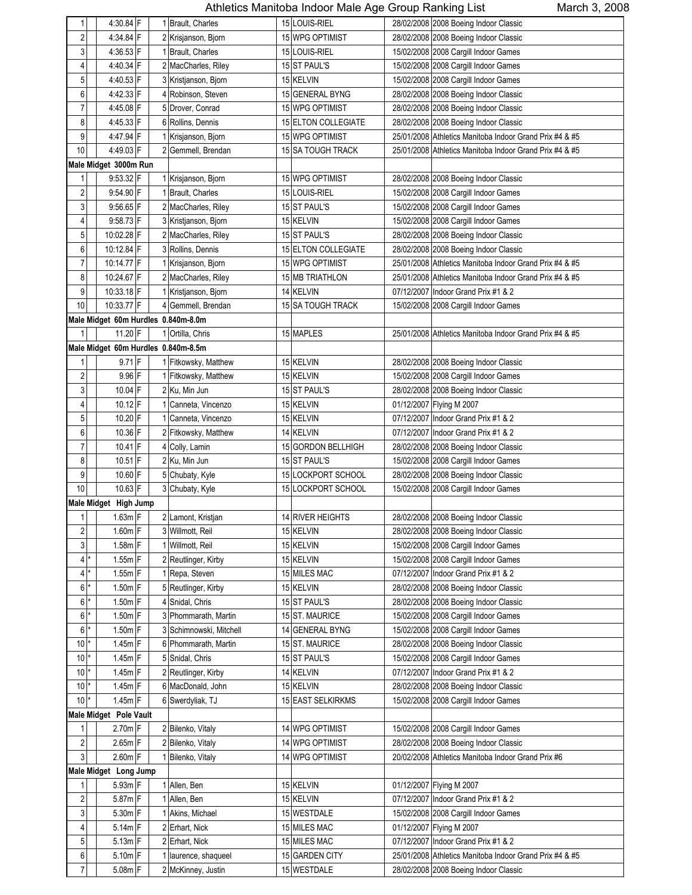| 1                       | 4:30.84 F                           | 1 Brault, Charles       | 15 LOUIS-RIEL       | 28/02/2008 2008 Boeing Indoor Classic                   |
|-------------------------|-------------------------------------|-------------------------|---------------------|---------------------------------------------------------|
| 2                       | 4:34.84 F                           | 2 Krisjanson, Bjorn     | 15 WPG OPTIMIST     | 28/02/2008 2008 Boeing Indoor Classic                   |
| 3                       | $4:36.53$ F                         | 1 Brault, Charles       | 15 LOUIS-RIEL       | 15/02/2008 2008 Cargill Indoor Games                    |
| 4                       | 4:40.34 F                           | 2 MacCharles, Riley     | 15 ST PAUL'S        | 15/02/2008 2008 Cargill Indoor Games                    |
| 5 <sub>5</sub>          | 4:40.53 F                           | 3 Kristjanson, Bjorn    | 15 KELVIN           | 15/02/2008 2008 Cargill Indoor Games                    |
| $6 \,$                  | 4:42.33 F                           | 4 Robinson, Steven      | 15 GENERAL BYNG     | 28/02/2008 2008 Boeing Indoor Classic                   |
|                         |                                     |                         |                     |                                                         |
| 7                       | 4:45.08 F                           | 5 Drover, Conrad        | 15 WPG OPTIMIST     | 28/02/2008 2008 Boeing Indoor Classic                   |
| 8                       | 4:45.33 F                           | 6 Rollins, Dennis       | 15 ELTON COLLEGIATE | 28/02/2008 2008 Boeing Indoor Classic                   |
| 9                       | 4:47.94 F                           | 1 Krisjanson, Bjorn     | 15 WPG OPTIMIST     | 25/01/2008 Athletics Manitoba Indoor Grand Prix #4 & #5 |
| 10                      | 4:49.03 F                           | 2 Gemmell, Brendan      | 15 SA TOUGH TRACK   | 25/01/2008 Athletics Manitoba Indoor Grand Prix #4 & #5 |
|                         | Male Midget 3000m Run               |                         |                     |                                                         |
| 1                       | 9.53.32 F                           | 1 Krisjanson, Bjorn     | 15 WPG OPTIMIST     | 28/02/2008 2008 Boeing Indoor Classic                   |
| 2                       | 9:54.90 F                           | 1 Brault, Charles       | 15 LOUIS-RIEL       | 15/02/2008 2008 Cargill Indoor Games                    |
| 3                       | 9:56.65 F                           | 2 MacCharles, Riley     | 15 ST PAUL'S        | 15/02/2008 2008 Cargill Indoor Games                    |
| 4                       | $9:58.73$ F                         | 3 Kristjanson, Bjorn    | 15 KELVIN           | 15/02/2008 2008 Cargill Indoor Games                    |
| 5                       | 10:02.28 F                          | 2 MacCharles, Riley     | 15 ST PAUL'S        | 28/02/2008 2008 Boeing Indoor Classic                   |
| 6                       | 10:12.84 F                          | 3 Rollins, Dennis       | 15 ELTON COLLEGIATE | 28/02/2008 2008 Boeing Indoor Classic                   |
| 7                       | 10:14.77 F                          | 1 Krisjanson, Bjorn     | 15 WPG OPTIMIST     | 25/01/2008 Athletics Manitoba Indoor Grand Prix #4 & #5 |
| 8                       | 10:24.67 F                          | 2 MacCharles, Riley     | 15 MB TRIATHLON     | 25/01/2008 Athletics Manitoba Indoor Grand Prix #4 & #5 |
| 9                       | 10:33.18 F                          | 1 Kristjanson, Bjorn    | 14 KELVIN           | 07/12/2007 Indoor Grand Prix #1 & 2                     |
| 10                      | 10:33.77 F                          | 4 Gemmell, Brendan      | 15 SA TOUGH TRACK   | 15/02/2008 2008 Cargill Indoor Games                    |
|                         | Male Midget 60m Hurdles 0.840m-8.0m |                         |                     |                                                         |
| $\mathbf{1}$            | 11.20 F                             | 1 Ortilla, Chris        | 15 MAPLES           | 25/01/2008 Athletics Manitoba Indoor Grand Prix #4 & #5 |
|                         | Male Midget 60m Hurdles 0.840m-8.5m |                         |                     |                                                         |
| 1                       | $9.71$ F                            | 1 Fitkowsky, Matthew    | 15 KELVIN           | 28/02/2008 2008 Boeing Indoor Classic                   |
|                         | 9.96 F                              |                         |                     |                                                         |
| 2                       |                                     | 1 Fitkowsky, Matthew    | 15 KELVIN           | 15/02/2008 2008 Cargill Indoor Games                    |
| $\overline{3}$          | 10.04 F                             | 2 Ku, Min Jun           | 15 ST PAUL'S        | 28/02/2008 2008 Boeing Indoor Classic                   |
| 4                       | $10.12$ F                           | 1 Canneta, Vincenzo     | 15 KELVIN           | 01/12/2007 Flying M 2007                                |
| 5 <sub>5</sub>          | 10.20 F                             | 1 Canneta, Vincenzo     | 15 KELVIN           | 07/12/2007 Indoor Grand Prix #1 & 2                     |
| 6                       | 10.36 F                             | 2 Fitkowsky, Matthew    | 14 KELVIN           | 07/12/2007 Indoor Grand Prix #1 & 2                     |
| 7                       | $10.41$ F                           | 4 Colly, Lamin          | 15 GORDON BELLHIGH  | 28/02/2008 2008 Boeing Indoor Classic                   |
| 8                       | $10.51$ F                           | 2 Ku, Min Jun           | 15 ST PAUL'S        | 15/02/2008 2008 Cargill Indoor Games                    |
| 9                       | 10.60 F                             | 5 Chubaty, Kyle         | 15 LOCKPORT SCHOOL  | 28/02/2008 2008 Boeing Indoor Classic                   |
| 10                      | 10.63 F                             | 3 Chubaty, Kyle         | 15 LOCKPORT SCHOOL  | 15/02/2008 2008 Cargill Indoor Games                    |
|                         | Male Midget High Jump               |                         |                     |                                                         |
| $\mathbf{1}$            | $1.63m$ F                           | 2 Lamont, Kristjan      | 14 RIVER HEIGHTS    | 28/02/2008 2008 Boeing Indoor Classic                   |
| $\overline{\mathbf{c}}$ | $1.60m$ F                           | 3 Willmott, Reil        | 15 KELVIN           | 28/02/2008 2008 Boeing Indoor Classic                   |
| $\mathbf{3}$            | $1.58m$ F                           | 1 Willmott, Reil        | 15 KELVIN           | 15/02/2008 2008 Cargill Indoor Games                    |
| $4$ $^{\star}$          | $1.55m$ F                           | 2 Reutlinger, Kirby     | 15 KELVIN           | 15/02/2008 2008 Cargill Indoor Games                    |
| $4$ $^{\star}$          | $1.55m$ F                           | Repa, Steven            | 15 MILES MAC        | 07/12/2007 Indoor Grand Prix #1 & 2                     |
| $6*$                    | $1.50m$ F                           | 5 Reutlinger, Kirby     | 15 KELVIN           | 28/02/2008 2008 Boeing Indoor Classic                   |
| $6*$                    | $1.50m$ F                           | 4 Snidal, Chris         | 15 ST PAUL'S        | 28/02/2008 2008 Boeing Indoor Classic                   |
| $6$ $*$                 | $1.50m$ F                           | 3 Phommarath, Martin    | 15 ST. MAURICE      | 15/02/2008 2008 Cargill Indoor Games                    |
| $6$ <sup>*</sup>        | 1.50m F                             | 3 Schimnowski, Mitchell | 14 GENERAL BYNG     | 15/02/2008 2008 Cargill Indoor Games                    |
| $10^*$                  | $1.45m$ F                           | 6 Phommarath, Martin    | 15 ST. MAURICE      | 28/02/2008 2008 Boeing Indoor Classic                   |
| $10^{*}$                | $1.45m$ F                           | 5 Snidal, Chris         | 15 ST PAUL'S        | 15/02/2008 2008 Cargill Indoor Games                    |
| $10*$                   | $1.45m$ F                           | 2 Reutlinger, Kirby     | 14 KELVIN           | 07/12/2007 Indoor Grand Prix #1 & 2                     |
| $10^*$                  | $1.45m$ F                           | 6 MacDonald, John       | 15 KELVIN           | 28/02/2008 2008 Boeing Indoor Classic                   |
| $10*$                   | $1.45m$ F                           | 6 Swerdyliak, TJ        | 15 EAST SELKIRKMS   | 15/02/2008 2008 Cargill Indoor Games                    |
|                         |                                     |                         |                     |                                                         |
|                         | Male Midget Pole Vault              |                         |                     |                                                         |
| 1                       | $2.70m$ F                           | 2 Bilenko, Vitaly       | 14 WPG OPTIMIST     | 15/02/2008 2008 Cargill Indoor Games                    |
| $\sqrt{2}$              | $2.65m$ F                           | 2 Bilenko, Vitaly       | 14 WPG OPTIMIST     | 28/02/2008 2008 Boeing Indoor Classic                   |
| $\mathbf{3}$            | $2.60m$ F                           | Bilenko, Vitaly         | 14 WPG OPTIMIST     | 20/02/2008 Athletics Manitoba Indoor Grand Prix #6      |
|                         | Male Midget Long Jump               |                         |                     |                                                         |
| 1                       | $5.93m$ F                           | 1 Allen, Ben            | 15 KELVIN           | 01/12/2007 Flying M 2007                                |
| $\overline{\mathbf{c}}$ | $5.87m$ F                           | 1 Allen, Ben            | 15 KELVIN           | 07/12/2007 Indoor Grand Prix #1 & 2                     |
| $\mathbf{3}$            | 5.30m F                             | 1 Akins, Michael        | 15 WESTDALE         | 15/02/2008 2008 Cargill Indoor Games                    |
| 4                       | $5.14m$ F                           | 2 Erhart, Nick          | 15 MILES MAC        | 01/12/2007 Flying M 2007                                |
| 5 <sub>5</sub>          | $5.13m$ F                           | 2 Erhart, Nick          | 15 MILES MAC        | 07/12/2007 Indoor Grand Prix #1 & 2                     |
| 6                       | $5.10m$ F                           | 1 laurence, shaqueel    | 15 GARDEN CITY      | 25/01/2008 Athletics Manitoba Indoor Grand Prix #4 & #5 |
| $\overline{7}$          | $5.08m$ F                           | 2 McKinney, Justin      | 15 WESTDALE         | 28/02/2008 2008 Boeing Indoor Classic                   |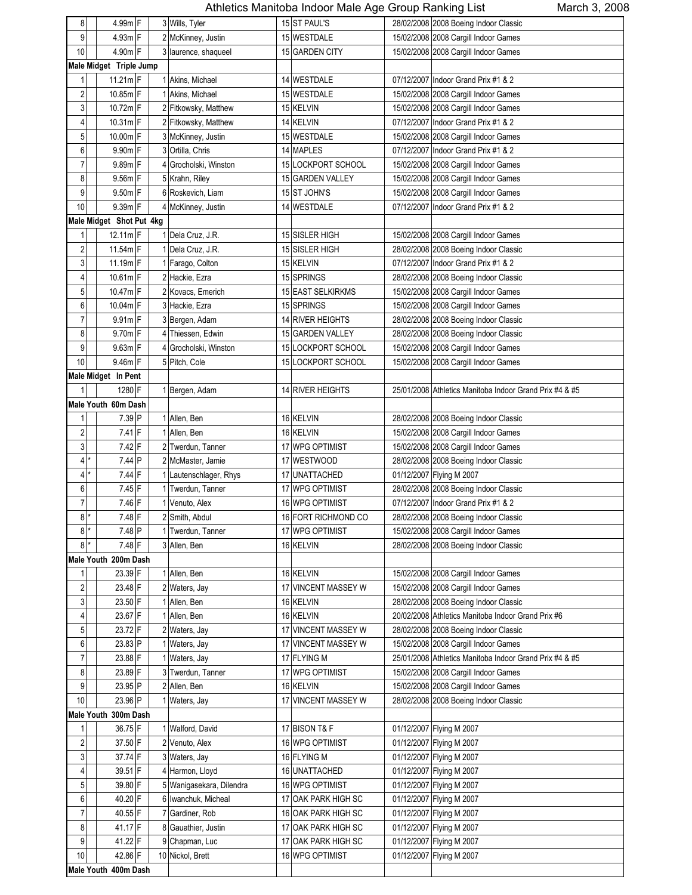| 8              | 4.99m F                  | 3 Wills, Tyler           |                 | 15 ST PAUL'S            | 28/02/2008 2008 Boeing Indoor Classic                   |
|----------------|--------------------------|--------------------------|-----------------|-------------------------|---------------------------------------------------------|
| 9              | 4.93m F                  | 2 McKinney, Justin       |                 | 15 WESTDALE             | 15/02/2008 2008 Cargill Indoor Games                    |
| $10$           | 4.90m F                  | 3 laurence, shaqueel     |                 | 15 GARDEN CITY          | 15/02/2008 2008 Cargill Indoor Games                    |
|                | Male Midget Triple Jump  |                          |                 |                         |                                                         |
| $\mathbf{1}$   | 11.21m F                 | 1 Akins, Michael         |                 | 14 WESTDALE             | 07/12/2007 Indoor Grand Prix #1 & 2                     |
|                |                          |                          |                 |                         |                                                         |
| 2              | 10.85m F                 | 1 Akins, Michael         |                 | 15 WESTDALE             | 15/02/2008 2008 Cargill Indoor Games                    |
| 3              | 10.72m F                 | 2 Fitkowsky, Matthew     |                 | 15 KELVIN               | 15/02/2008 2008 Cargill Indoor Games                    |
| 4              | 10.31m F                 | 2 Fitkowsky, Matthew     |                 | 14 KELVIN               | 07/12/2007 Indoor Grand Prix #1 & 2                     |
| 5              | 10.00m F                 | 3 McKinney, Justin       |                 | 15 WESTDALE             | 15/02/2008 2008 Cargill Indoor Games                    |
| 6              | 9.90m F                  | 3 Ortilla, Chris         |                 | 14 MAPLES               | 07/12/2007 Indoor Grand Prix #1 & 2                     |
| 7              | 9.89m F                  | 4 Grocholski, Winston    | 15              | LOCKPORT SCHOOL         | 15/02/2008 2008 Cargill Indoor Games                    |
| 8              | 9.56m F                  | 5 Krahn, Riley           |                 | 15 GARDEN VALLEY        | 15/02/2008 2008 Cargill Indoor Games                    |
| 9              | $9.50m$ F                | 6 Roskevich, Liam        |                 | 15 ST JOHN'S            | 15/02/2008 2008 Cargill Indoor Games                    |
| $10$           | 9.39m F                  | 4 McKinney, Justin       |                 | 14 WESTDALE             | 07/12/2007 Indoor Grand Prix #1 & 2                     |
|                | Male Midget Shot Put 4kg |                          |                 |                         |                                                         |
| $\mathbf{1}$   | $12.11m$ F               | 1 Dela Cruz, J.R.        |                 | 15 SISLER HIGH          | 15/02/2008 2008 Cargill Indoor Games                    |
| $\sqrt{2}$     | 11.54m F                 | 1 Dela Cruz, J.R.        |                 | 15 SISLER HIGH          | 28/02/2008 2008 Boeing Indoor Classic                   |
| 3              | 11.19m F                 | 1 Farago, Colton         |                 | 15 KELVIN               | 07/12/2007 Indoor Grand Prix #1 & 2                     |
| 4              | 10.61m F                 | 2 Hackie, Ezra           |                 | 15 SPRINGS              | 28/02/2008 2008 Boeing Indoor Classic                   |
| $\mathbf 5$    | 10.47m F                 | 2 Kovacs, Emerich        |                 | 15 EAST SELKIRKMS       | 15/02/2008 2008 Cargill Indoor Games                    |
| 6              | 10.04m F                 | 3 Hackie, Ezra           |                 | 15 SPRINGS              | 15/02/2008 2008 Cargill Indoor Games                    |
| $\overline{7}$ | $9.91m$ F                | 3 Bergen, Adam           |                 | 14 RIVER HEIGHTS        | 28/02/2008 2008 Boeing Indoor Classic                   |
| 8              | $9.70m$ F                | 4 Thiessen, Edwin        |                 | 15 GARDEN VALLEY        | 28/02/2008 2008 Boeing Indoor Classic                   |
| 9              | 9.63m F                  | 4 Grocholski, Winston    |                 | 15 LOCKPORT SCHOOL      | 15/02/2008 2008 Cargill Indoor Games                    |
| $10$           | 9.46m F                  | 5 Pitch, Cole            |                 | 15 LOCKPORT SCHOOL      | 15/02/2008 2008 Cargill Indoor Games                    |
|                | Male Midget In Pent      |                          |                 |                         |                                                         |
| $\mathbf{1}$   | 1280 F                   |                          |                 | 14 RIVER HEIGHTS        |                                                         |
|                |                          | 1 Bergen, Adam           |                 |                         | 25/01/2008 Athletics Manitoba Indoor Grand Prix #4 & #5 |
|                | Male Youth 60m Dash      |                          |                 |                         |                                                         |
| 1              | 7.39 P                   | 1 Allen, Ben             |                 | 16 KELVIN               | 28/02/2008 2008 Boeing Indoor Classic                   |
| $\sqrt{2}$     | $7.41$ F                 | 1 Allen, Ben             |                 | 16 KELVIN               | 15/02/2008 2008 Cargill Indoor Games                    |
| 3              | $7.42$ F                 | 2 Twerdun, Tanner        |                 | 17 WPG OPTIMIST         | 15/02/2008 2008 Cargill Indoor Games                    |
| $\overline{4}$ | 7.44 P                   | 2 McMaster, Jamie        |                 | 17 WESTWOOD             | 28/02/2008 2008 Boeing Indoor Classic                   |
| 4              | $7.44$ F                 | 1 Lautenschlager, Rhys   | 17              | <b>UNATTACHED</b>       | 01/12/2007 Flying M 2007                                |
| 6              | $7.45$ F                 | Twerdun, Tanner          |                 | 17 WPG OPTIMIST         | 28/02/2008 2008 Boeing Indoor Classic                   |
| $\overline{7}$ | 7.46 F                   | 1 Venuto, Alex           |                 | 16 WPG OPTIMIST         | 07/12/2007 Indoor Grand Prix #1 & 2                     |
| 8<br>$\star$   | 7.48 F                   | 2 Smith, Abdul           |                 | 16 FORT RICHMOND CO     | 28/02/2008 2008 Boeing Indoor Classic                   |
| $8$ $^{\star}$ | 7.48 P                   | 1 Twerdun, Tanner        |                 | 17 WPG OPTIMIST         | 15/02/2008 2008 Cargill Indoor Games                    |
| 8 <sup>1</sup> | 7.48 F                   | 3 Allen, Ben             |                 | 16 KELVIN               | 28/02/2008 2008 Boeing Indoor Classic                   |
|                | Male Youth 200m Dash     |                          |                 |                         |                                                         |
| 1              | 23.39 F                  | 1 Allen, Ben             |                 | 16 KELVIN               | 15/02/2008 2008 Cargill Indoor Games                    |
| $\sqrt{2}$     | 23.48 F                  | 2 Waters, Jay            |                 | 17 VINCENT MASSEY W     | 15/02/2008 2008 Cargill Indoor Games                    |
| 3              | 23.50 F                  | 1 Allen, Ben             |                 | 16 KELVIN               | 28/02/2008 2008 Boeing Indoor Classic                   |
| 4              | 23.67 F                  | 1 Allen, Ben             |                 | 16 KELVIN               | 20/02/2008 Athletics Manitoba Indoor Grand Prix #6      |
| $\mathbf 5$    | 23.72 F                  | 2 Waters, Jay            |                 | 17 VINCENT MASSEY W     | 28/02/2008 2008 Boeing Indoor Classic                   |
| 6              | 23.83 P                  | 1 Waters, Jay            | 17              | <b>VINCENT MASSEY W</b> | 15/02/2008 2008 Cargill Indoor Games                    |
| $\overline{7}$ | 23.88 F                  | Waters, Jay              |                 | 17 FLYING M             | 25/01/2008 Athletics Manitoba Indoor Grand Prix #4 & #5 |
| 8              | 23.89 F                  | 3 Twerdun, Tanner        |                 | 17 WPG OPTIMIST         | 15/02/2008 2008 Cargill Indoor Games                    |
| 9              | 23.95 P                  | 2 Allen, Ben             |                 | 16 KELVIN               | 15/02/2008 2008 Cargill Indoor Games                    |
| $10$           | 23.96 P                  | 1 Waters, Jay            | 17              | <b>VINCENT MASSEY W</b> | 28/02/2008 2008 Boeing Indoor Classic                   |
|                | Male Youth 300m Dash     |                          |                 |                         |                                                         |
|                | 36.75 F                  |                          |                 |                         |                                                         |
| 1              |                          | 1 Walford, David         |                 | 17 BISON T& F           | 01/12/2007 Flying M 2007                                |
| $\sqrt{2}$     | 37.50 F                  | 2 Venuto, Alex           |                 | 16 WPG OPTIMIST         | 01/12/2007 Flying M 2007                                |
| 3              | 37.74 F                  | 3 Waters, Jay            |                 | 16 FLYING M             | 01/12/2007 Flying M 2007                                |
| $\overline{4}$ | 39.51 F                  | 4 Harmon, Lloyd          |                 | 16 UNATTACHED           | 01/12/2007 Flying M 2007                                |
| $\mathbf 5$    | 39.80 F                  | 5 Wanigasekara, Dilendra |                 | 16 WPG OPTIMIST         | 01/12/2007 Flying M 2007                                |
| 6              | 40.20 F                  | 6 Iwanchuk, Micheal      |                 | 17 OAK PARK HIGH SC     | 01/12/2007 Flying M 2007                                |
| $\overline{7}$ | 40.55 F                  | 7 Gardiner, Rob          | 16 <sup>1</sup> | <b>OAK PARK HIGH SC</b> | 01/12/2007 Flying M 2007                                |
| 8              | 41.17 F                  | 8 Gauathier, Justin      |                 | 17 OAK PARK HIGH SC     | 01/12/2007 Flying M 2007                                |
| 9              | 41.22 F                  | 9 Chapman, Luc           | 17              | <b>OAK PARK HIGH SC</b> | 01/12/2007 Flying M 2007                                |
| 10             | 42.86 F                  | 10 Nickol, Brett         |                 | 16 WPG OPTIMIST         | 01/12/2007 Flying M 2007                                |
|                | Male Youth 400m Dash     |                          |                 |                         |                                                         |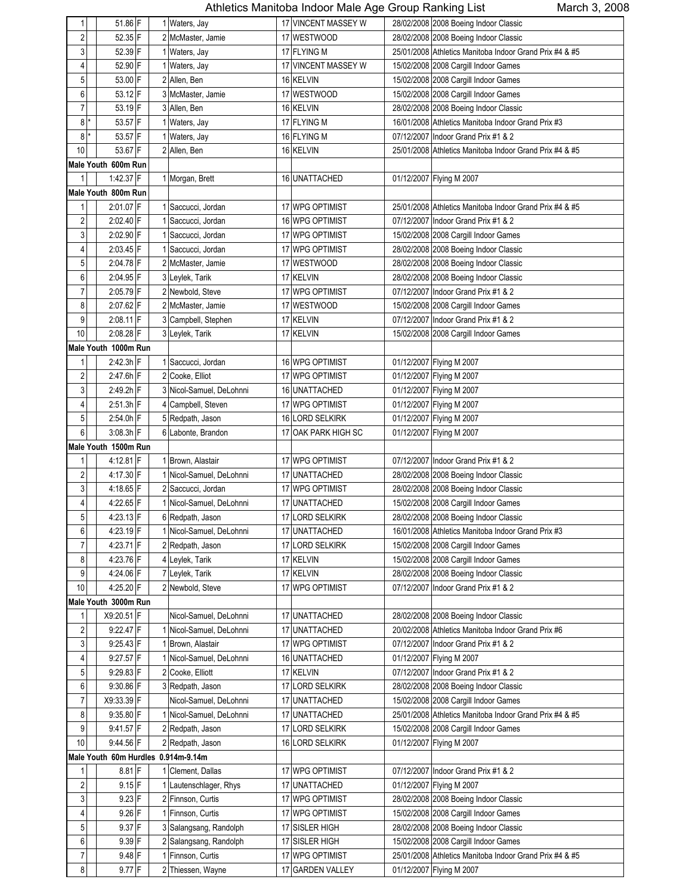| 1                       | 51.86 F              |  | 1 Waters, Jay                       |    | 17 VINCENT MASSEY W | 28/02/2008 2008 Boeing Indoor Classic                   |
|-------------------------|----------------------|--|-------------------------------------|----|---------------------|---------------------------------------------------------|
| $\overline{2}$          | 52.35 F              |  | 2 McMaster, Jamie                   |    | 17 WESTWOOD         | 28/02/2008 2008 Boeing Indoor Classic                   |
| 3                       | 52.39 F              |  | 1 Waters, Jay                       |    | 17 FLYING M         | 25/01/2008 Athletics Manitoba Indoor Grand Prix #4 & #5 |
| 4                       | 52.90 F              |  | 1 Waters, Jay                       |    | 17 VINCENT MASSEY W | 15/02/2008 2008 Cargill Indoor Games                    |
| 5                       | 53.00 F              |  | 2 Allen, Ben                        |    | 16 KELVIN           | 15/02/2008 2008 Cargill Indoor Games                    |
| 6                       | 53.12 F              |  | 3 McMaster, Jamie                   |    | 17 WESTWOOD         | 15/02/2008 2008 Cargill Indoor Games                    |
| $\overline{7}$          | 53.19 F              |  | 3 Allen, Ben                        |    | 16 KELVIN           | 28/02/2008 2008 Boeing Indoor Classic                   |
| 8                       | 53.57 F              |  | 1 Waters, Jay                       |    | 17 FLYING M         | 16/01/2008 Athletics Manitoba Indoor Grand Prix #3      |
| 8                       | 53.57 F              |  | 1 Waters, Jay                       |    | 16 FLYING M         | 07/12/2007 Indoor Grand Prix #1 & 2                     |
| 10                      | 53.67 F              |  | 2 Allen, Ben                        |    | 16 KELVIN           | 25/01/2008 Athletics Manitoba Indoor Grand Prix #4 & #5 |
|                         | Male Youth 600m Run  |  |                                     |    |                     |                                                         |
| $\mathbf{1}$            | 1:42.37 F            |  | 1 Morgan, Brett                     |    | 16 UNATTACHED       | 01/12/2007 Flying M 2007                                |
|                         | Male Youth 800m Run  |  |                                     |    |                     |                                                         |
| 1                       | 2:01.07 F            |  | Saccucci, Jordan                    |    | 17 WPG OPTIMIST     | 25/01/2008 Athletics Manitoba Indoor Grand Prix #4 & #5 |
| $\sqrt{2}$              | 2:02.40 F            |  | Saccucci, Jordan                    |    | 16 WPG OPTIMIST     | 07/12/2007 Indoor Grand Prix #1 & 2                     |
| 3                       | 2:02.90 F            |  | Saccucci, Jordan                    |    | 17 WPG OPTIMIST     | 15/02/2008 2008 Cargill Indoor Games                    |
| 4                       | $2:03.45$ F          |  | Saccucci, Jordan                    |    | 17 WPG OPTIMIST     | 28/02/2008 2008 Boeing Indoor Classic                   |
| 5                       | $2:04.78$ F          |  | 2 McMaster, Jamie                   |    | 17 WESTWOOD         | 28/02/2008 2008 Boeing Indoor Classic                   |
| 6                       | 2:04.95 F            |  | 3 Leylek, Tarik                     |    | 17 KELVIN           | 28/02/2008 2008 Boeing Indoor Classic                   |
| $\overline{7}$          | $2:05.79$ F          |  | 2 Newbold, Steve                    |    | 17 WPG OPTIMIST     | 07/12/2007 Indoor Grand Prix #1 & 2                     |
| 8                       | $2:07.62$ F          |  | 2 McMaster, Jamie                   |    | 17 WESTWOOD         | 15/02/2008 2008 Cargill Indoor Games                    |
| 9                       | $2:08.11$ F          |  | 3 Campbell, Stephen                 |    | 17 KELVIN           | 07/12/2007 Indoor Grand Prix #1 & 2                     |
| 10                      | $2:08.28$ F          |  | 3 Leylek, Tarik                     |    | 17 KELVIN           | 15/02/2008 2008 Cargill Indoor Games                    |
|                         | Male Youth 1000m Run |  |                                     |    |                     |                                                         |
| $\mathbf{1}$            | $2.42.3h$ F          |  | 1 Saccucci, Jordan                  |    | 16 WPG OPTIMIST     | 01/12/2007 Flying M 2007                                |
| $\overline{\mathbf{c}}$ | $2.47.6h$ F          |  | 2 Cooke, Elliot                     |    | 17 WPG OPTIMIST     | 01/12/2007 Flying M 2007                                |
| 3                       | 2:49.2h F            |  | 3 Nicol-Samuel, DeLohnni            |    | 16 UNATTACHED       | 01/12/2007 Flying M 2007                                |
| 4                       | $2:51.3h$ F          |  | 4 Campbell, Steven                  |    | 17 WPG OPTIMIST     | 01/12/2007 Flying M 2007                                |
| 5                       | $2:54.0h$ F          |  | 5 Redpath, Jason                    |    | 16 LORD SELKIRK     | 01/12/2007 Flying M 2007                                |
| 6                       | 3:08.3h F            |  | 6 Labonte, Brandon                  |    | 17 OAK PARK HIGH SC | 01/12/2007 Flying M 2007                                |
|                         | Male Youth 1500m Run |  |                                     |    |                     |                                                         |
| 1                       | 4:12.81 F            |  | 1 Brown, Alastair                   |    | 17 WPG OPTIMIST     | 07/12/2007 Indoor Grand Prix #1 & 2                     |
| $\overline{\mathbf{c}}$ | 4:17.30 F            |  | 1 Nicol-Samuel, DeLohnni            |    | 17 UNATTACHED       | 28/02/2008 2008 Boeing Indoor Classic                   |
| 3                       | 4:18.65 F            |  | 2 Saccucci, Jordan                  |    | 17 WPG OPTIMIST     | 28/02/2008 2008 Boeing Indoor Classic                   |
| 4                       | 4:22.65 F            |  | 1 Nicol-Samuel, DeLohnni            |    | 17 UNATTACHED       | 15/02/2008 2008 Cargill Indoor Games                    |
| 5                       | $4:23.13$ F          |  | 6 Redpath, Jason                    |    | 17 LORD SELKIRK     | 28/02/2008 2008 Boeing Indoor Classic                   |
| 6                       | 4:23.19 F            |  | 1 Nicol-Samuel, DeLohnni            |    | 17 UNATTACHED       | 16/01/2008 Athletics Manitoba Indoor Grand Prix #3      |
| $\overline{7}$          | $4:23.71$ F          |  | 2 Redpath, Jason                    |    | 17 LORD SELKIRK     | 15/02/2008 2008 Cargill Indoor Games                    |
| 8                       | 4:23.76 F            |  | 4 Leylek, Tarik                     |    | 17 KELVIN           | 15/02/2008 2008 Cargill Indoor Games                    |
| 9                       | 4:24.06 F            |  | 7 Leylek, Tarik                     |    | 17 KELVIN           | 28/02/2008 2008 Boeing Indoor Classic                   |
| 10                      | 4:25.20 F            |  | 2 Newbold, Steve                    |    | 17 WPG OPTIMIST     | 07/12/2007 Indoor Grand Prix #1 & 2                     |
|                         | Male Youth 3000m Run |  |                                     |    |                     |                                                         |
| 1                       | X9:20.51 F           |  | Nicol-Samuel, DeLohnni              |    | 17 UNATTACHED       | 28/02/2008 2008 Boeing Indoor Classic                   |
| $\overline{\mathbf{c}}$ | 9:22.47 F            |  | Nicol-Samuel, DeLohnni              |    | 17 UNATTACHED       | 20/02/2008 Athletics Manitoba Indoor Grand Prix #6      |
| $\mathbf{3}$            | $9.25.43$ F          |  | Brown, Alastair                     |    | 17 WPG OPTIMIST     | 07/12/2007 Indoor Grand Prix #1 & 2                     |
| 4                       | 9:27.57 F            |  | 1 Nicol-Samuel, DeLohnni            |    | 16 UNATTACHED       | 01/12/2007 Flying M 2007                                |
| 5 <sub>5</sub>          | $9:29.83$ F          |  | 2 Cooke, Elliott                    |    | 17 KELVIN           | 07/12/2007 Indoor Grand Prix #1 & 2                     |
| 6                       | $9:30.86$ F          |  | 3 Redpath, Jason                    |    | 17 LORD SELKIRK     | 28/02/2008 2008 Boeing Indoor Classic                   |
| 7                       | X9:33.39 F           |  | Nicol-Samuel, DeLohnni              |    | 17 UNATTACHED       | 15/02/2008 2008 Cargill Indoor Games                    |
| 8                       | $9.35.80$ F          |  | Nicol-Samuel, DeLohnni              |    | 17 UNATTACHED       | 25/01/2008 Athletics Manitoba Indoor Grand Prix #4 & #5 |
| 9                       | 9:41.57 F            |  | 2 Redpath, Jason                    |    | 17 LORD SELKIRK     | 15/02/2008 2008 Cargill Indoor Games                    |
| 10                      | 9:44.56 F            |  | 2 Redpath, Jason                    | 16 | <b>LORD SELKIRK</b> | 01/12/2007 Flying M 2007                                |
|                         |                      |  | Male Youth 60m Hurdles 0.914m-9.14m |    |                     |                                                         |
| 1                       | $8.81$ F             |  | 1 Clement, Dallas                   |    | 17 WPG OPTIMIST     | 07/12/2007 Indoor Grand Prix #1 & 2                     |
| $\sqrt{2}$              | $9.15$ F             |  | Lautenschlager, Rhys                |    | 17 UNATTACHED       | 01/12/2007 Flying M 2007                                |
| 3                       | 9.23 F               |  | 2 Finnson, Curtis                   |    | 17 WPG OPTIMIST     | 28/02/2008 2008 Boeing Indoor Classic                   |
| 4                       | $9.26$ F             |  | Finnson, Curtis                     |    | 17 WPG OPTIMIST     | 15/02/2008 2008 Cargill Indoor Games                    |
| 5                       | $9.37$ F             |  | 3 Salangsang, Randolph              |    | 17 SISLER HIGH      | 28/02/2008 2008 Boeing Indoor Classic                   |
| 6                       | $9.39$ F             |  | 2 Salangsang, Randolph              |    | 17 SISLER HIGH      | 15/02/2008 2008 Cargill Indoor Games                    |
| $\overline{7}$          | $9.48$ F             |  | 1 Finnson, Curtis                   |    | 17 WPG OPTIMIST     | 25/01/2008 Athletics Manitoba Indoor Grand Prix #4 & #5 |
| 8                       | $9.77$ F             |  | 2 Thiessen, Wayne                   |    | 17 GARDEN VALLEY    | 01/12/2007 Flying M 2007                                |
|                         |                      |  |                                     |    |                     |                                                         |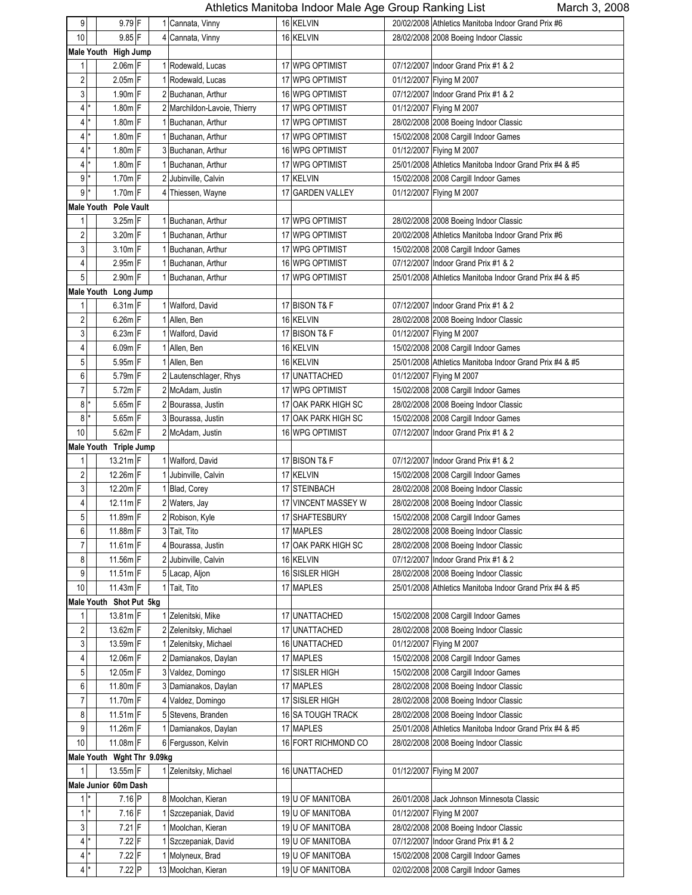| 9                         | $9.79$ F                   |  | 1 Cannata, Vinny             | 16 KELVIN           | 20/02/2008 Athletics Manitoba Indoor Grand Prix #6      |
|---------------------------|----------------------------|--|------------------------------|---------------------|---------------------------------------------------------|
| 10                        | $9.85$ F                   |  | 4 Cannata, Vinny             | 16 KELVIN           | 28/02/2008 2008 Boeing Indoor Classic                   |
|                           | Male Youth High Jump       |  |                              |                     |                                                         |
| 1                         | $2.06m$ F                  |  | 1 Rodewald, Lucas            | 17 WPG OPTIMIST     | 07/12/2007 Indoor Grand Prix #1 & 2                     |
| 2                         | $2.05m$ F                  |  | 1 Rodewald, Lucas            | 17 WPG OPTIMIST     | 01/12/2007 Flying M 2007                                |
| 3                         | $1.90m$ <sup>F</sup>       |  | 2 Buchanan, Arthur           | 16 WPG OPTIMIST     | 07/12/2007 Indoor Grand Prix #1 & 2                     |
| $\overline{4}$<br>*       | $1.80m$ F                  |  | 2 Marchildon-Lavoie, Thierry | 17 WPG OPTIMIST     | 01/12/2007 Flying M 2007                                |
| 4<br>*                    | $1.80m$ F                  |  | 1 Buchanan, Arthur           | 17 WPG OPTIMIST     | 28/02/2008 2008 Boeing Indoor Classic                   |
| 4                         | 1.80m F                    |  | Buchanan, Arthur             | 17 WPG OPTIMIST     | 15/02/2008 2008 Cargill Indoor Games                    |
| 4<br>*                    | $1.80m$ F                  |  | 3 Buchanan, Arthur           | 16 WPG OPTIMIST     | 01/12/2007 Flying M 2007                                |
| $\overline{4}$<br>$\star$ | 1.80m F                    |  | 1 Buchanan, Arthur           | 17 WPG OPTIMIST     | 25/01/2008 Athletics Manitoba Indoor Grand Prix #4 & #5 |
| $\overline{9}$<br>*       | 1.70m F                    |  | 2 Jubinville, Calvin         | 17 KELVIN           | 15/02/2008 2008 Cargill Indoor Games                    |
| $9*$                      | $1.70m$ F                  |  | 4 Thiessen, Wayne            | 17 GARDEN VALLEY    | 01/12/2007 Flying M 2007                                |
|                           | Male Youth Pole Vault      |  |                              |                     |                                                         |
| 1                         | 3.25m F                    |  | 1 Buchanan, Arthur           | 17 WPG OPTIMIST     | 28/02/2008 2008 Boeing Indoor Classic                   |
|                           |                            |  | 1 Buchanan, Arthur           | 17 WPG OPTIMIST     |                                                         |
| 2<br>3                    | $3.20m$ F                  |  |                              |                     | 20/02/2008 Athletics Manitoba Indoor Grand Prix #6      |
|                           | $3.10m$ F<br>$2.95m$ F     |  | 1 Buchanan, Arthur           | 17 WPG OPTIMIST     | 15/02/2008 2008 Cargill Indoor Games                    |
| 4<br>5                    | 2.90m F                    |  | 1 Buchanan, Arthur           | 16 WPG OPTIMIST     | 07/12/2007 Indoor Grand Prix #1 & 2                     |
|                           |                            |  | 1 Buchanan, Arthur           | 17 WPG OPTIMIST     | 25/01/2008 Athletics Manitoba Indoor Grand Prix #4 & #5 |
|                           | Male Youth Long Jump       |  |                              |                     |                                                         |
| 1                         | $6.31m$ F                  |  | 1 Walford, David             | 17 BISON T& F       | 07/12/2007 Indoor Grand Prix #1 & 2                     |
| 2                         | 6.26m F                    |  | 1 Allen, Ben                 | 16 KELVIN           | 28/02/2008 2008 Boeing Indoor Classic                   |
| 3                         | $6.23m$ F                  |  | 1 Walford, David             | 17 BISON T& F       | 01/12/2007 Flying M 2007                                |
| 4                         | $6.09m$ F                  |  | 1 Allen, Ben                 | 16 KELVIN           | 15/02/2008 2008 Cargill Indoor Games                    |
| 5                         | $5.95m$ F                  |  | 1 Allen, Ben                 | 16 KELVIN           | 25/01/2008 Athletics Manitoba Indoor Grand Prix #4 & #5 |
| 6                         | 5.79m F                    |  | 2 Lautenschlager, Rhys       | 17 UNATTACHED       | 01/12/2007 Flying M 2007                                |
| 7                         | $5.72m$ F                  |  | 2 McAdam, Justin             | 17 WPG OPTIMIST     | 15/02/2008 2008 Cargill Indoor Games                    |
| 8                         | 5.65m F                    |  | 2 Bourassa, Justin           | 17 OAK PARK HIGH SC | 28/02/2008 2008 Boeing Indoor Classic                   |
| 8                         | $5.65m$ F                  |  | 3 Bourassa, Justin           | 17 OAK PARK HIGH SC | 15/02/2008 2008 Cargill Indoor Games                    |
| 10                        | $5.62m$ F                  |  | 2 McAdam, Justin             | 16 WPG OPTIMIST     | 07/12/2007 Indoor Grand Prix #1 & 2                     |
|                           | Male Youth Triple Jump     |  |                              |                     |                                                         |
| 1                         | $13.21m$ F                 |  | 1 Walford, David             | 17 BISON T& F       | 07/12/2007 Indoor Grand Prix #1 & 2                     |
| $\overline{2}$            | $12.26m$ F                 |  | 1 Jubinville, Calvin         | 17 KELVIN           | 15/02/2008 2008 Cargill Indoor Games                    |
| 3                         | $12.20m$ F                 |  | Blad, Corey                  | 17 STEINBACH        | 28/02/2008 2008 Boeing Indoor Classic                   |
| 4                         | $12.11m$ F                 |  | 2 Waters, Jay                | 17 VINCENT MASSEY W | 28/02/2008 2008 Boeing Indoor Classic                   |
| 5                         | 11.89m F                   |  | 2 Robison, Kyle              | 17 SHAFTESBURY      | 15/02/2008 2008 Cargill Indoor Games                    |
| 6                         | 11.88m F                   |  | 3 Tait, Tito                 | 17 MAPLES           | 28/02/2008 2008 Boeing Indoor Classic                   |
| 7                         | $11.61m$ F                 |  | 4 Bourassa, Justin           | 17 OAK PARK HIGH SC | 28/02/2008 2008 Boeing Indoor Classic                   |
| 8                         | $11.56m$ F                 |  | 2 Jubinville, Calvin         | 16 KELVIN           | 07/12/2007 Indoor Grand Prix #1 & 2                     |
| 9                         | $11.51m$ F                 |  | 5 Lacap, Aljon               | 16 SISLER HIGH      | 28/02/2008 2008 Boeing Indoor Classic                   |
| 10                        | $11.43m$ F                 |  | 1 Tait, Tito                 | 17 MAPLES           | 25/01/2008 Athletics Manitoba Indoor Grand Prix #4 & #5 |
|                           | Male Youth Shot Put 5kg    |  |                              |                     |                                                         |
| 1                         | $13.81m$ F                 |  | 1 Zelenitski, Mike           | 17 UNATTACHED       | 15/02/2008 2008 Cargill Indoor Games                    |
| 2                         | 13.62m F                   |  | 2 Zelenitsky, Michael        | 17 UNATTACHED       | 28/02/2008 2008 Boeing Indoor Classic                   |
| 3                         | 13.59m F                   |  | 1 Zelenitsky, Michael        | 16 UNATTACHED       | 01/12/2007 Flying M 2007                                |
| 4                         | 12.06m F                   |  | 2 Damianakos, Daylan         | 17 MAPLES           | 15/02/2008 2008 Cargill Indoor Games                    |
| 5                         | 12.05m F                   |  | 3 Valdez, Domingo            | 17 SISLER HIGH      | 15/02/2008 2008 Cargill Indoor Games                    |
| 6                         | 11.80m F                   |  | 3 Damianakos, Daylan         | 17 MAPLES           | 28/02/2008 2008 Boeing Indoor Classic                   |
| $\boldsymbol{7}$          | 11.70m F                   |  | 4 Valdez, Domingo            | 17 SISLER HIGH      | 28/02/2008 2008 Boeing Indoor Classic                   |
| 8                         | $11.51m$ F                 |  | 5 Stevens, Branden           | 16 SA TOUGH TRACK   | 28/02/2008 2008 Boeing Indoor Classic                   |
| 9                         | 11.26 $m$ F                |  | 1 Damianakos, Daylan         | 17 MAPLES           | 25/01/2008 Athletics Manitoba Indoor Grand Prix #4 & #5 |
| 10                        | 11.08m F                   |  | 6 Fergusson, Kelvin          | 16 FORT RICHMOND CO | 28/02/2008 2008 Boeing Indoor Classic                   |
|                           | Male Youth Wght Thr 9.09kg |  |                              |                     |                                                         |
| 1                         | $13.55m$ F                 |  | 1 Zelenitsky, Michael        | 16 UNATTACHED       | 01/12/2007 Flying M 2007                                |
|                           | Male Junior 60m Dash       |  |                              |                     |                                                         |
| $1*$                      | 7.16 P                     |  | 8 Moolchan, Kieran           | 19 U OF MANITOBA    | 26/01/2008 Jack Johnson Minnesota Classic               |
| $1$ <sup>*</sup>          | $7.16$ F                   |  | 1 Szczepaniak, David         | 19 U OF MANITOBA    | 01/12/2007 Flying M 2007                                |
| 3                         | $7.21$ F                   |  | 1 Moolchan, Kieran           | 19 U OF MANITOBA    | 28/02/2008 2008 Boeing Indoor Classic                   |
| $\frac{4}{ }$             | $7.22$ F                   |  | Szczepaniak, David           | 19 U OF MANITOBA    | 07/12/2007 Indoor Grand Prix #1 & 2                     |
| $\frac{4}{ }$             | $7.22$ F                   |  | 1 Molyneux, Brad             | 19 U OF MANITOBA    | 15/02/2008 2008 Cargill Indoor Games                    |
| $\overline{4}$<br>$\star$ | $7.22$ P                   |  | 13 Moolchan, Kieran          | 19 U OF MANITOBA    | 02/02/2008 2008 Cargill Indoor Games                    |
|                           |                            |  |                              |                     |                                                         |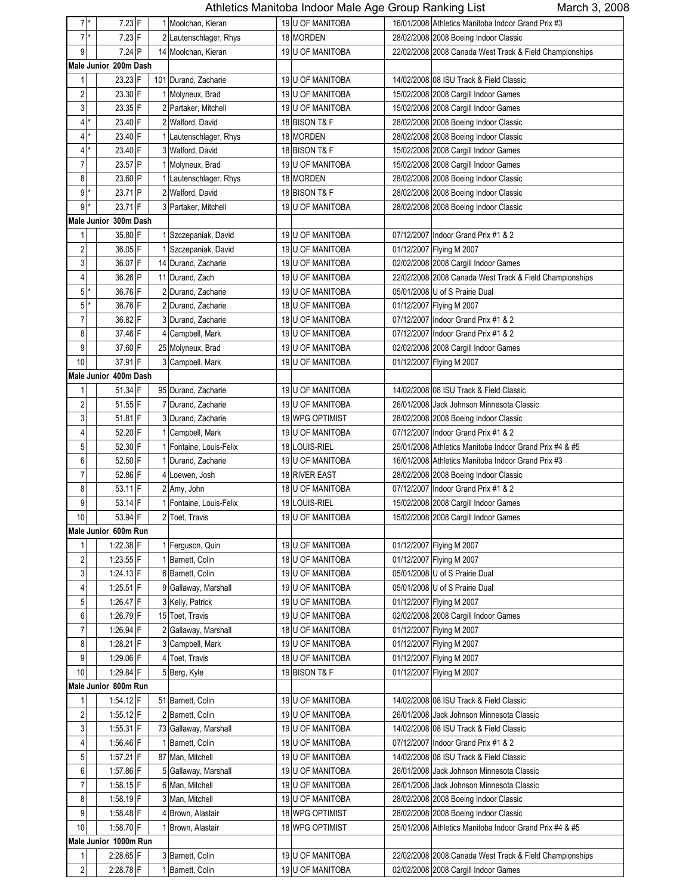| $\star$                 |                       |  |                         |                  | - - - - - - - - - - - - - <del>-</del> |                                                         |
|-------------------------|-----------------------|--|-------------------------|------------------|----------------------------------------|---------------------------------------------------------|
| $\overline{7}$          | $7.23$ F              |  | 1 Moolchan, Kieran      | 19 U OF MANITOBA |                                        | 16/01/2008 Athletics Manitoba Indoor Grand Prix #3      |
| $7^*$                   | $7.23$ F              |  | 2 Lautenschlager, Rhys  | 18 MORDEN        |                                        | 28/02/2008 2008 Boeing Indoor Classic                   |
| 9                       | $7.24$ P              |  | 14 Moolchan, Kieran     | 19 U OF MANITOBA |                                        | 22/02/2008 2008 Canada West Track & Field Championships |
|                         | Male Junior 200m Dash |  |                         |                  |                                        |                                                         |
| 1                       | 23.23 F               |  | 101 Durand, Zacharie    | 19 U OF MANITOBA |                                        | 14/02/2008 08 ISU Track & Field Classic                 |
| 2                       | 23.30 F               |  | 1 Molyneux, Brad        | 19 U OF MANITOBA |                                        | 15/02/2008 2008 Cargill Indoor Games                    |
|                         | 23.35 F               |  |                         |                  |                                        |                                                         |
| 3<br>*                  |                       |  | 2 Partaker, Mitchell    | 19 U OF MANITOBA |                                        | 15/02/2008 2008 Cargill Indoor Games                    |
| 4                       | 23.40 F               |  | 2 Walford, David        | 18 BISON T& F    |                                        | 28/02/2008 2008 Boeing Indoor Classic                   |
| 4                       | 23.40 F               |  | 1 Lautenschlager, Rhys  | 18 MORDEN        |                                        | 28/02/2008 2008 Boeing Indoor Classic                   |
| ¥<br>4                  | 23.40 F               |  | 3 Walford, David        | 18 BISON T& F    |                                        | 15/02/2008 2008 Cargill Indoor Games                    |
| $\overline{7}$          | 23.57 P               |  | 1 Molyneux, Brad        | 19 U OF MANITOBA |                                        | 15/02/2008 2008 Cargill Indoor Games                    |
| 8                       | 23.60 P               |  | 1 Lautenschlager, Rhys  | 18 MORDEN        |                                        | 28/02/2008 2008 Boeing Indoor Classic                   |
| 9                       | 23.71 P               |  | 2 Walford, David        | 18 BISON T& F    |                                        | 28/02/2008 2008 Boeing Indoor Classic                   |
| $\overline{9}$<br>×     | 23.71 F               |  | 3 Partaker, Mitchell    | 19 U OF MANITOBA |                                        | 28/02/2008 2008 Boeing Indoor Classic                   |
|                         | Male Junior 300m Dash |  |                         |                  |                                        |                                                         |
|                         |                       |  |                         |                  |                                        |                                                         |
| 1                       | 35.80 F               |  | 1 Szczepaniak, David    | 19 U OF MANITOBA |                                        | 07/12/2007 Indoor Grand Prix #1 & 2                     |
| $\overline{2}$          | 36.05 F               |  | 1 Szczepaniak, David    | 19 U OF MANITOBA |                                        | 01/12/2007 Flying M 2007                                |
| 3                       | 36.07 F               |  | 14 Durand, Zacharie     | 19 U OF MANITOBA |                                        | 02/02/2008 2008 Cargill Indoor Games                    |
| 4                       | 36.26 P               |  | 11 Durand, Zach         | 19 U OF MANITOBA |                                        | 22/02/2008 2008 Canada West Track & Field Championships |
| 5<br>*                  | 36.76 F               |  | 2 Durand, Zacharie      | 19 U OF MANITOBA |                                        | 05/01/2008 U of S Prairie Dual                          |
| 5<br>*                  | 36.76 F               |  | 2 Durand, Zacharie      | 18 U OF MANITOBA |                                        | 01/12/2007 Flying M 2007                                |
| 7                       | 36.82 F               |  | 3 Durand, Zacharie      | 18 U OF MANITOBA |                                        | 07/12/2007 Indoor Grand Prix #1 & 2                     |
| 8                       | 37.46 F               |  | 4 Campbell, Mark        | 19 U OF MANITOBA |                                        | 07/12/2007 Indoor Grand Prix #1 & 2                     |
|                         |                       |  |                         |                  |                                        |                                                         |
| 9                       | 37.60 F               |  | 25 Molyneux, Brad       | 19 U OF MANITOBA |                                        | 02/02/2008 2008 Cargill Indoor Games                    |
| 10                      | 37.91 F               |  | 3 Campbell, Mark        | 19 U OF MANITOBA |                                        | 01/12/2007 Flying M 2007                                |
|                         | Male Junior 400m Dash |  |                         |                  |                                        |                                                         |
| 1                       | 51.34 F               |  | 95 Durand, Zacharie     | 19 U OF MANITOBA |                                        | 14/02/2008 08 ISU Track & Field Classic                 |
| 2                       | 51.55 F               |  | 7 Durand, Zacharie      | 19 U OF MANITOBA |                                        | 26/01/2008 Jack Johnson Minnesota Classic               |
| 3                       | 51.81 F               |  | 3 Durand, Zacharie      | 19 WPG OPTIMIST  |                                        | 28/02/2008 2008 Boeing Indoor Classic                   |
| $\overline{4}$          | 52.20 F               |  | 1 Campbell, Mark        | 19 U OF MANITOBA |                                        | 07/12/2007 Indoor Grand Prix #1 & 2                     |
|                         |                       |  |                         |                  |                                        |                                                         |
| 5                       | 52.30 F               |  | 1 Fontaine, Louis-Felix | 18 LOUIS-RIEL    |                                        | 25/01/2008 Athletics Manitoba Indoor Grand Prix #4 & #5 |
| 6                       | 52.50 F               |  | 1 Durand, Zacharie      | 19 U OF MANITOBA |                                        | 16/01/2008 Athletics Manitoba Indoor Grand Prix #3      |
| 7                       | 52.86 F               |  | 4 Loewen, Josh          | 18 RIVER EAST    |                                        | 28/02/2008 2008 Boeing Indoor Classic                   |
| 8                       | $53.11$ F             |  | 2 Amy, John             | 18 U OF MANITOBA |                                        | 07/12/2007 Indoor Grand Prix #1 & 2                     |
| 9                       | 53.14 F               |  | 1 Fontaine, Louis-Felix | 18 LOUIS-RIEL    |                                        | 15/02/2008 2008 Cargill Indoor Games                    |
| $10\,$                  | 53.94 F               |  | 2 Toet, Travis          | 19 U OF MANITOBA |                                        | 15/02/2008 2008 Cargill Indoor Games                    |
|                         | Male Junior 600m Run  |  |                         |                  |                                        |                                                         |
| 1                       | 1:22.38 F             |  | 1 Ferguson, Quin        | 19 U OF MANITOBA |                                        | 01/12/2007 Flying M 2007                                |
| $\overline{\mathbf{c}}$ | $1:23.55$ F           |  | 1 Barnett, Colin        | 18 U OF MANITOBA |                                        | 01/12/2007 Flying M 2007                                |
|                         |                       |  |                         |                  |                                        |                                                         |
| 3                       | 1:24.13 F             |  | 6 Barnett, Colin        | 19 U OF MANITOBA |                                        | 05/01/2008 U of S Prairie Dual                          |
| 4                       | $1:25.51$ F           |  | 9 Gallaway, Marshall    | 19 U OF MANITOBA |                                        | 05/01/2008 U of S Prairie Dual                          |
| 5                       | 1:26.47 F             |  | 3 Kelly, Patrick        | 19 U OF MANITOBA |                                        | 01/12/2007 Flying M 2007                                |
| 6                       | 1:26.79 F             |  | 15 Toet, Travis         | 19 U OF MANITOBA |                                        | 02/02/2008 2008 Cargill Indoor Games                    |
| $\overline{7}$          | 1:26.94 F             |  | 2 Gallaway, Marshall    | 18 U OF MANITOBA |                                        | 01/12/2007 Flying M 2007                                |
| 8                       | 1:28.21 F             |  | 3 Campbell, Mark        | 19 U OF MANITOBA |                                        | 01/12/2007 Flying M 2007                                |
| 9                       | 1:29.06 F             |  | 4 Toet, Travis          | 18 U OF MANITOBA |                                        | 01/12/2007 Flying M 2007                                |
| $10$                    | 1:29.84 F             |  | 5 Berg, Kyle            | 19 BISON T& F    |                                        | 01/12/2007 Flying M 2007                                |
|                         | Male Junior 800m Run  |  |                         |                  |                                        |                                                         |
|                         |                       |  |                         |                  |                                        |                                                         |
| 1                       | 1.54.12 F             |  | 51 Barnett, Colin       | 19 U OF MANITOBA |                                        | 14/02/2008 08 ISU Track & Field Classic                 |
| 2                       | $1:55.12$ F           |  | 2 Barnett, Colin        | 19 U OF MANITOBA |                                        | 26/01/2008 Jack Johnson Minnesota Classic               |
| 3                       | 1:55.31 F             |  | 73 Gallaway, Marshall   | 19 U OF MANITOBA |                                        | 14/02/2008 08 ISU Track & Field Classic                 |
| 4                       | 1:56.46 F             |  | 1 Barnett, Colin        | 18 U OF MANITOBA |                                        | 07/12/2007 Indoor Grand Prix #1 & 2                     |
| 5                       | 1.57.21 F             |  | 87 Man, Mitchell        | 19 U OF MANITOBA |                                        | 14/02/2008 08 ISU Track & Field Classic                 |
| 6                       | 1:57.86 F             |  | 5 Gallaway, Marshall    | 19 U OF MANITOBA |                                        | 26/01/2008 Jack Johnson Minnesota Classic               |
| $\overline{7}$          | $1.58.15$ F           |  | 6 Man, Mitchell         | 19 U OF MANITOBA |                                        | 26/01/2008 Jack Johnson Minnesota Classic               |
|                         |                       |  |                         |                  |                                        |                                                         |
| 8                       | $1:58.19$ F           |  | 3 Man, Mitchell         | 19 U OF MANITOBA |                                        | 28/02/2008 2008 Boeing Indoor Classic                   |
| 9                       | $1.58.48$ F           |  | 4 Brown, Alastair       | 18 WPG OPTIMIST  |                                        | 28/02/2008 2008 Boeing Indoor Classic                   |
| $10$                    | 1:58.70 F             |  | 1 Brown, Alastair       | 18 WPG OPTIMIST  |                                        | 25/01/2008 Athletics Manitoba Indoor Grand Prix #4 & #5 |
|                         | Male Junior 1000m Run |  |                         |                  |                                        |                                                         |
| 1                       | 2:28.65 F             |  | 3 Barnett, Colin        | 19 U OF MANITOBA |                                        | 22/02/2008 2008 Canada West Track & Field Championships |
| $\overline{\mathbf{c}}$ | 2:28.78 F             |  | 1 Barnett, Colin        | 19 U OF MANITOBA |                                        | 02/02/2008 2008 Cargill Indoor Games                    |
|                         |                       |  |                         |                  |                                        |                                                         |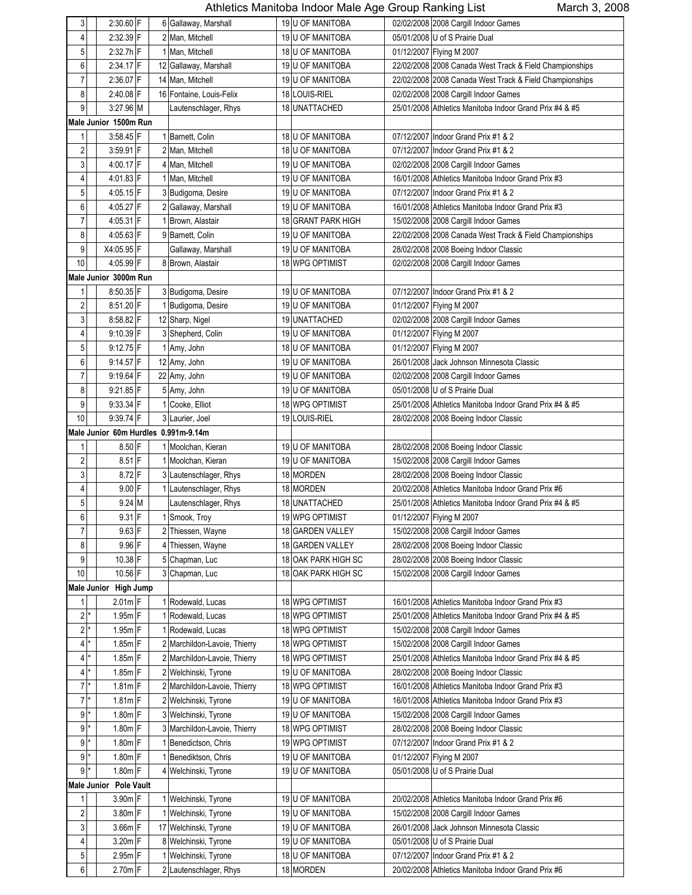| 3                       |          | $2:30.60$ F            |  | 6 Gallaway, Marshall                 |    | 19 U OF MANITOBA        | 02/02/2008 2008 Cargill Indoor Games                    |
|-------------------------|----------|------------------------|--|--------------------------------------|----|-------------------------|---------------------------------------------------------|
| 4                       |          | 2:32.39 F              |  | 2 Man, Mitchell                      |    | 19 U OF MANITOBA        | 05/01/2008 U of S Prairie Dual                          |
| 5                       |          | 2:32.7h F              |  | 1 Man, Mitchell                      |    | 18 U OF MANITOBA        | 01/12/2007 Flying M 2007                                |
| 6                       |          | $2:34.17$ F            |  | 12 Gallaway, Marshall                |    | 19 U OF MANITOBA        | 22/02/2008 2008 Canada West Track & Field Championships |
| 7                       |          | $2:36.07$ F            |  | 14 Man, Mitchell                     |    | 19 U OF MANITOBA        | 22/02/2008 2008 Canada West Track & Field Championships |
| 8                       |          | $2:40.08$ F            |  | 16 Fontaine, Louis-Felix             |    | 18 LOUIS-RIEL           | 02/02/2008 2008 Cargill Indoor Games                    |
| 9                       |          | 3:27.96 M              |  | Lautenschlager, Rhys                 |    | 18 UNATTACHED           | 25/01/2008 Athletics Manitoba Indoor Grand Prix #4 & #5 |
|                         |          | Male Junior 1500m Run  |  |                                      |    |                         |                                                         |
| 1                       |          | 3.58.45 F              |  | 1 Barnett, Colin                     |    | 18 U OF MANITOBA        | 07/12/2007 Indoor Grand Prix #1 & 2                     |
| 2                       |          | $3:59.91$ F            |  | 2 Man, Mitchell                      |    | <b>18 U OF MANITOBA</b> | 07/12/2007 Indoor Grand Prix #1 & 2                     |
| 3                       |          | 4:00.17 F              |  | 4 Man, Mitchell                      |    | <b>19 U OF MANITOBA</b> | 02/02/2008 2008 Cargill Indoor Games                    |
| 4                       |          | 4:01.83 F              |  | 1 Man, Mitchell                      |    | 19 U OF MANITOBA        | 16/01/2008 Athletics Manitoba Indoor Grand Prix #3      |
| 5                       |          | 4:05.15 F              |  | 3 Budigoma, Desire                   |    | 19 U OF MANITOBA        | 07/12/2007 Indoor Grand Prix #1 & 2                     |
| 6                       |          | 4:05.27 F              |  | Gallaway, Marshall                   |    | 19 U OF MANITOBA        | 16/01/2008 Athletics Manitoba Indoor Grand Prix #3      |
| $\overline{7}$          |          | 4:05.31 F              |  | Brown, Alastair                      |    | 18 GRANT PARK HIGH      | 15/02/2008 2008 Cargill Indoor Games                    |
| 8                       |          | 4:05.63 F              |  | 9 Barnett, Colin                     |    | 19 U OF MANITOBA        | 22/02/2008 2008 Canada West Track & Field Championships |
| 9                       |          | X4:05.95 F             |  | Gallaway, Marshall                   |    | 19 U OF MANITOBA        | 28/02/2008 2008 Boeing Indoor Classic                   |
| 10                      |          | 4:05.99 F              |  | 8 Brown, Alastair                    |    | 18 WPG OPTIMIST         |                                                         |
|                         |          | Male Junior 3000m Run  |  |                                      |    |                         | 02/02/2008 2008 Cargill Indoor Games                    |
|                         |          |                        |  |                                      |    |                         |                                                         |
| 1                       |          | 8:50.35 F              |  | 3 Budigoma, Desire                   |    | 19 U OF MANITOBA        | 07/12/2007 Indoor Grand Prix #1 & 2                     |
| $\overline{\mathbf{c}}$ |          | 8:51.20 F              |  | 1 Budigoma, Desire                   |    | 19 U OF MANITOBA        | 01/12/2007 Flying M 2007                                |
| 3                       |          | $8:58.82$ F            |  | 12 Sharp, Nigel                      |    | 19 UNATTACHED           | 02/02/2008 2008 Cargill Indoor Games                    |
| 4                       |          | 9:10.39 F              |  | 3 Shepherd, Colin                    |    | 19 U OF MANITOBA        | 01/12/2007 Flying M 2007                                |
| 5                       |          | $9:12.75$ F            |  | 1 Amy, John                          |    | 18 U OF MANITOBA        | 01/12/2007 Flying M 2007                                |
| 6                       |          | 9:14.57 F              |  | 12 Amy, John                         |    | 19 U OF MANITOBA        | 26/01/2008 Jack Johnson Minnesota Classic               |
| $\overline{7}$          |          | 9:19.64 F              |  | 22 Amy, John                         |    | 19 U OF MANITOBA        | 02/02/2008 2008 Cargill Indoor Games                    |
| 8                       |          | 9:21.85 F              |  | 5 Amy, John                          |    | 19 U OF MANITOBA        | 05/01/2008 U of S Prairie Dual                          |
| 9                       |          | $9.33.34$ F            |  | Cooke, Elliot                        |    | 18 WPG OPTIMIST         | 25/01/2008 Athletics Manitoba Indoor Grand Prix #4 & #5 |
| 10                      |          | 9:39.74 F              |  | 3 Laurier, Joel                      |    | 19 LOUIS-RIEL           | 28/02/2008 2008 Boeing Indoor Classic                   |
|                         |          |                        |  | Male Junior 60m Hurdles 0.991m-9.14m |    |                         |                                                         |
| 1                       |          | 8.50 F                 |  | 1 Moolchan, Kieran                   |    | 19 U OF MANITOBA        | 28/02/2008 2008 Boeing Indoor Classic                   |
| $\overline{\mathbf{c}}$ |          | $8.51$ F               |  | 1 Moolchan, Kieran                   |    | 19 U OF MANITOBA        | 15/02/2008 2008 Cargill Indoor Games                    |
| 3                       |          | 8.72 F                 |  | 3 Lautenschlager, Rhys               |    | 18 MORDEN               | 28/02/2008 2008 Boeing Indoor Classic                   |
| 4                       |          | $9.00$ F               |  | 1 Lautenschlager, Rhys               |    | 18 MORDEN               | 20/02/2008 Athletics Manitoba Indoor Grand Prix #6      |
| 5                       |          | $9.24$ M               |  | Lautenschlager, Rhys                 |    | 18 UNATTACHED           | 25/01/2008 Athletics Manitoba Indoor Grand Prix #4 & #5 |
| 6                       |          | $9.31$ F               |  | 1 Smook, Troy                        |    | <b>19 WPG OPTIMIST</b>  | 01/12/2007 Flying M 2007                                |
| $\overline{7}$          |          | $9.63$ F               |  | 2 Thiessen, Wayne                    |    | 18 GARDEN VALLEY        | 15/02/2008 2008 Cargill Indoor Games                    |
| 8                       |          | $9.96$ F               |  | 4 Thiessen, Wayne                    |    | 18 GARDEN VALLEY        | 28/02/2008 2008 Boeing Indoor Classic                   |
| 9                       |          | 10.38 F                |  | 5 Chapman, Luc                       |    | 18 OAK PARK HIGH SC     | 28/02/2008 2008 Boeing Indoor Classic                   |
| 10                      |          | 10.56 F                |  | 3 Chapman, Luc                       | 18 | OAK PARK HIGH SC        | 15/02/2008 2008 Cargill Indoor Games                    |
|                         |          | Male Junior High Jump  |  |                                      |    |                         |                                                         |
| 1                       |          | $2.01m$ F              |  | 1 Rodewald, Lucas                    |    | 18 WPG OPTIMIST         | 16/01/2008 Athletics Manitoba Indoor Grand Prix #3      |
|                         | $2^*$    | $1.95m$ F              |  | Rodewald, Lucas                      |    | 18 WPG OPTIMIST         | 25/01/2008 Athletics Manitoba Indoor Grand Prix #4 & #5 |
| 2                       |          | $1.95m$ F              |  | Rodewald, Lucas                      |    | 18 WPG OPTIMIST         | 15/02/2008 2008 Cargill Indoor Games                    |
|                         | $4*$     | 1.85m F                |  | 2 Marchildon-Lavoie, Thierry         |    | 18 WPG OPTIMIST         | 15/02/2008 2008 Cargill Indoor Games                    |
|                         | $4^*$    | 1.85m F                |  | 2 Marchildon-Lavoie, Thierry         |    | 18 WPG OPTIMIST         | 25/01/2008 Athletics Manitoba Indoor Grand Prix #4 & #5 |
|                         | $4^*$    | $1.85m$ F              |  | 2 Welchinski, Tyrone                 |    | 19 U OF MANITOBA        | 28/02/2008 2008 Boeing Indoor Classic                   |
|                         | $7$ $^*$ | $1.81m$ F              |  | 2 Marchildon-Lavoie, Thierry         |    | 18 WPG OPTIMIST         | 16/01/2008 Athletics Manitoba Indoor Grand Prix #3      |
|                         | $7^*$    | $1.81m$ F              |  | 2 Welchinski, Tyrone                 |    | 19 U OF MANITOBA        | 16/01/2008 Athletics Manitoba Indoor Grand Prix #3      |
| 9 <sup>1</sup>          |          | $1.80m$ F              |  | 3 Welchinski, Tyrone                 |    | 19 U OF MANITOBA        | 15/02/2008 2008 Cargill Indoor Games                    |
| 9 <sup>1</sup>          |          | $1.80m$ F              |  | 3 Marchildon-Lavoie, Thierry         |    | 18 WPG OPTIMIST         | 28/02/2008 2008 Boeing Indoor Classic                   |
|                         | 9 *      | $1.80m$ F              |  | Benedictson, Chris                   |    | 19 WPG OPTIMIST         | 07/12/2007 Indoor Grand Prix #1 & 2                     |
|                         | $9^*$    | 1.80m F                |  | Benediktson, Chris                   |    | 19 U OF MANITOBA        | 01/12/2007 Flying M 2007                                |
| 9                       |          | $1.80m$ F              |  | 4 Welchinski, Tyrone                 |    | 19 U OF MANITOBA        | 05/01/2008 U of S Prairie Dual                          |
|                         |          | Male Junior Pole Vault |  |                                      |    |                         |                                                         |
| 1                       |          | $3.90m$ F              |  | 1 Welchinski, Tyrone                 |    | 19 U OF MANITOBA        | 20/02/2008 Athletics Manitoba Indoor Grand Prix #6      |
| $\overline{c}$          |          | 3.80m F                |  | Welchinski, Tyrone                   |    | 19 U OF MANITOBA        | 15/02/2008 2008 Cargill Indoor Games                    |
| 3                       |          | 3.66m F                |  | 17 Welchinski, Tyrone                |    | 19 U OF MANITOBA        | 26/01/2008 Jack Johnson Minnesota Classic               |
| 4                       |          | $3.20m$ F              |  | 8 Welchinski, Tyrone                 |    | 19 U OF MANITOBA        | 05/01/2008 U of S Prairie Dual                          |
| 5                       |          | $2.95m$ F              |  | 1 Welchinski, Tyrone                 |    | 18 U OF MANITOBA        | 07/12/2007 Indoor Grand Prix #1 & 2                     |
| 6                       |          | $2.70m$ F              |  | 2 Lautenschlager, Rhys               |    | 18 MORDEN               | 20/02/2008 Athletics Manitoba Indoor Grand Prix #6      |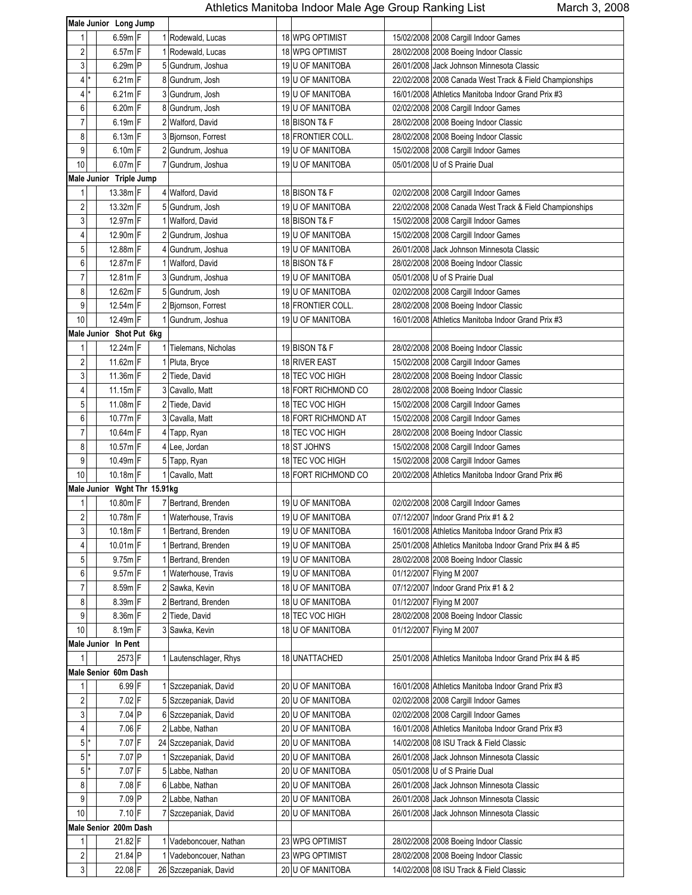|                         | Male Junior Long Jump        |                        |    |                         |                                                         |
|-------------------------|------------------------------|------------------------|----|-------------------------|---------------------------------------------------------|
|                         |                              |                        |    |                         |                                                         |
| 1                       | 6.59m F                      | 1 Rodewald, Lucas      |    | 18 WPG OPTIMIST         | 15/02/2008 2008 Cargill Indoor Games                    |
| $\sqrt{2}$              | $6.57m$ F                    | 1 Rodewald, Lucas      |    | 18 WPG OPTIMIST         | 28/02/2008 2008 Boeing Indoor Classic                   |
| 3                       | 6.29m P                      | 5 Gundrum, Joshua      |    | 19 U OF MANITOBA        | 26/01/2008 Jack Johnson Minnesota Classic               |
| $\overline{4}$          | $6.21m$ F                    | 8 Gundrum, Josh        |    | 19 U OF MANITOBA        | 22/02/2008 2008 Canada West Track & Field Championships |
| 4                       | $6.21m$ F                    | 3 Gundrum, Josh        |    | 19 U OF MANITOBA        | 16/01/2008 Athletics Manitoba Indoor Grand Prix #3      |
| 6                       | $6.20m$ F                    | 8 Gundrum, Josh        |    | 19 U OF MANITOBA        | 02/02/2008 2008 Cargill Indoor Games                    |
| $\overline{7}$          | $6.19m$ F                    | 2 Walford, David       |    | 18 BISON T& F           | 28/02/2008 2008 Boeing Indoor Classic                   |
| 8                       | $6.13m$ F                    | 3 Bjornson, Forrest    |    | 18 FRONTIER COLL.       | 28/02/2008 2008 Boeing Indoor Classic                   |
| 9                       | $6.10m$ F                    | 2 Gundrum, Joshua      |    | 19 U OF MANITOBA        | 15/02/2008 2008 Cargill Indoor Games                    |
| $10$                    | 6.07m F                      | 7 Gundrum, Joshua      |    | 19 U OF MANITOBA        | 05/01/2008 U of S Prairie Dual                          |
|                         | Male Junior Triple Jump      |                        |    |                         |                                                         |
| 1                       | 13.38m F                     | 4 Walford, David       |    | 18 BISON T& F           | 02/02/2008 2008 Cargill Indoor Games                    |
| $\sqrt{2}$              | 13.32m F                     | 5 Gundrum, Josh        |    | 19 U OF MANITOBA        | 22/02/2008 2008 Canada West Track & Field Championships |
| 3                       | 12.97m F                     | 1 Walford, David       |    | 18 BISON T& F           | 15/02/2008 2008 Cargill Indoor Games                    |
| 4                       | 12.90m F                     | 2 Gundrum, Joshua      |    | 19 U OF MANITOBA        | 15/02/2008 2008 Cargill Indoor Games                    |
| 5                       | 12.88m F                     | 4 Gundrum, Joshua      |    | 19 U OF MANITOBA        | 26/01/2008 Jack Johnson Minnesota Classic               |
| 6                       | 12.87m F                     | 1 Walford, David       |    | 18 BISON T& F           | 28/02/2008 2008 Boeing Indoor Classic                   |
| $\overline{7}$          | 12.81m F                     | 3 Gundrum, Joshua      |    | 19 U OF MANITOBA        | 05/01/2008 U of S Prairie Dual                          |
| 8                       | 12.62m F                     | 5 Gundrum, Josh        |    | 19 U OF MANITOBA        | 02/02/2008 2008 Cargill Indoor Games                    |
| 9                       | 12.54m F                     | 2 Bjornson, Forrest    |    | 18 FRONTIER COLL.       | 28/02/2008 2008 Boeing Indoor Classic                   |
| 10                      | 12.49m F                     | 1 Gundrum, Joshua      |    | 19 U OF MANITOBA        | 16/01/2008 Athletics Manitoba Indoor Grand Prix #3      |
|                         | Male Junior Shot Put 6kg     |                        |    |                         |                                                         |
| $\mathbf{1}$            | 12.24m F                     | 1 Tielemans, Nicholas  |    | 19 BISON T& F           | 28/02/2008 2008 Boeing Indoor Classic                   |
| $\sqrt{2}$              | 11.62m F                     | 1 Pluta, Bryce         |    | 18 RIVER EAST           | 15/02/2008 2008 Cargill Indoor Games                    |
| 3                       | 11.36m F                     | 2 Tiede, David         |    | 18 TEC VOC HIGH         | 28/02/2008 2008 Boeing Indoor Classic                   |
| 4                       | 11.15m F                     | 3 Cavallo, Matt        |    | 18 FORT RICHMOND CO     | 28/02/2008 2008 Boeing Indoor Classic                   |
| 5                       | 11.08m F                     | 2 Tiede, David         |    | 18 TEC VOC HIGH         | 15/02/2008 2008 Cargill Indoor Games                    |
| 6                       | 10.77m F                     | 3 Cavalla, Matt        |    | 18 FORT RICHMOND AT     | 15/02/2008 2008 Cargill Indoor Games                    |
| $\overline{7}$          | 10.64m F                     | 4 Tapp, Ryan           |    | 18 TEC VOC HIGH         | 28/02/2008 2008 Boeing Indoor Classic                   |
| 8                       | 10.57m F                     | 4 Lee, Jordan          |    | 18 ST JOHN'S            | 15/02/2008 2008 Cargill Indoor Games                    |
| 9                       | 10.49m F                     | 5 Tapp, Ryan           |    | 18 TEC VOC HIGH         | 15/02/2008 2008 Cargill Indoor Games                    |
| 10                      | 10.18m F                     | 1 Cavallo, Matt        | 18 | <b>FORT RICHMOND CO</b> | 20/02/2008 Athletics Manitoba Indoor Grand Prix #6      |
|                         | Male Junior Wght Thr 15.91kg |                        |    |                         |                                                         |
| 1                       | 10.80m F                     | 7 Bertrand, Brenden    |    | 19 U OF MANITOBA        | 02/02/2008 2008 Cargill Indoor Games                    |
| $\overline{2}$          | 10.78m F                     | 1 Waterhouse, Travis   |    | 19 U OF MANITOBA        | 07/12/2007   Indoor Grand Prix #1 & 2                   |
| 3                       | 10.18m F                     | 1 Bertrand, Brenden    |    | 19 U OF MANITOBA        | 16/01/2008 Athletics Manitoba Indoor Grand Prix #3      |
| 4                       | $10.01m$ F                   | 1 Bertrand, Brenden    |    | 19 U OF MANITOBA        | 25/01/2008 Athletics Manitoba Indoor Grand Prix #4 & #5 |
| 5                       | 9.75m F                      | 1 Bertrand, Brenden    |    | 19 U OF MANITOBA        | 28/02/2008 2008 Boeing Indoor Classic                   |
| 6                       | 9.57m F                      | 1 Waterhouse, Travis   |    | 19 U OF MANITOBA        | 01/12/2007 Flying M 2007                                |
| $\overline{7}$          | 8.59m F                      | 2 Sawka, Kevin         |    | 18 U OF MANITOBA        | 07/12/2007 Indoor Grand Prix #1 & 2                     |
| 8                       | 8.39m F                      | 2 Bertrand, Brenden    |    | 18 U OF MANITOBA        | 01/12/2007 Flying M 2007                                |
| 9                       | 8.36m F                      | 2 Tiede, David         |    | 18 TEC VOC HIGH         |                                                         |
| $10$                    |                              |                        |    |                         | 28/02/2008 2008 Boeing Indoor Classic                   |
|                         | 8.19m F                      | 3 Sawka, Kevin         |    | 18 U OF MANITOBA        | 01/12/2007 Flying M 2007                                |
| 1                       | Male Junior In Pent          |                        |    | 18 UNATTACHED           |                                                         |
|                         | 2573 F                       | 1 Lautenschlager, Rhys |    |                         | 25/01/2008 Athletics Manitoba Indoor Grand Prix #4 & #5 |
|                         | Male Senior 60m Dash         |                        |    |                         |                                                         |
| 1                       | 6.99 F                       | 1 Szczepaniak, David   |    | 20 U OF MANITOBA        | 16/01/2008 Athletics Manitoba Indoor Grand Prix #3      |
| $\sqrt{2}$              | 7.02 F                       | 5 Szczepaniak, David   |    | 20 U OF MANITOBA        | 02/02/2008 2008 Cargill Indoor Games                    |
| 3                       | 7.04 P                       | 6 Szczepaniak, David   |    | 20 U OF MANITOBA        | 02/02/2008 2008 Cargill Indoor Games                    |
| $\overline{\mathbf{4}}$ | 7.06 F                       | 2 Labbe, Nathan        |    | 20 U OF MANITOBA        | 16/01/2008 Athletics Manitoba Indoor Grand Prix #3      |
| 5 <sup>1</sup>          | 7.07 F                       | 24 Szczepaniak, David  |    | 20 U OF MANITOBA        | 14/02/2008 08 ISU Track & Field Classic                 |
| 5 <sup>1</sup>          | 7.07 P                       | 1 Szczepaniak, David   |    | 20 U OF MANITOBA        | 26/01/2008 Jack Johnson Minnesota Classic               |
| 5 <sup>1</sup>          | 7.07 F                       | 5 Labbe, Nathan        |    | 20 U OF MANITOBA        | 05/01/2008 U of S Prairie Dual                          |
| 8                       | 7.08 F                       | 6 Labbe, Nathan        |    | 20 U OF MANITOBA        | 26/01/2008 Jack Johnson Minnesota Classic               |
| 9                       | 7.09 P                       | 2 Labbe, Nathan        |    | 20 U OF MANITOBA        | 26/01/2008 Jack Johnson Minnesota Classic               |
| 10                      | $7.10$ F                     | 7 Szczepaniak, David   |    | 20 U OF MANITOBA        | 26/01/2008 Jack Johnson Minnesota Classic               |
|                         | Male Senior 200m Dash        |                        |    |                         |                                                         |
| 1                       | 21.82 F                      | Vadeboncouer, Nathan   |    | 23 WPG OPTIMIST         | 28/02/2008 2008 Boeing Indoor Classic                   |
| $\sqrt{2}$              | 21.84 P                      | Vadeboncouer, Nathan   |    | 23 WPG OPTIMIST         | 28/02/2008 2008 Boeing Indoor Classic                   |
| $\mathfrak{z}$          | 22.08 F                      | 26 Szczepaniak, David  |    | 20 U OF MANITOBA        | 14/02/2008 08 ISU Track & Field Classic                 |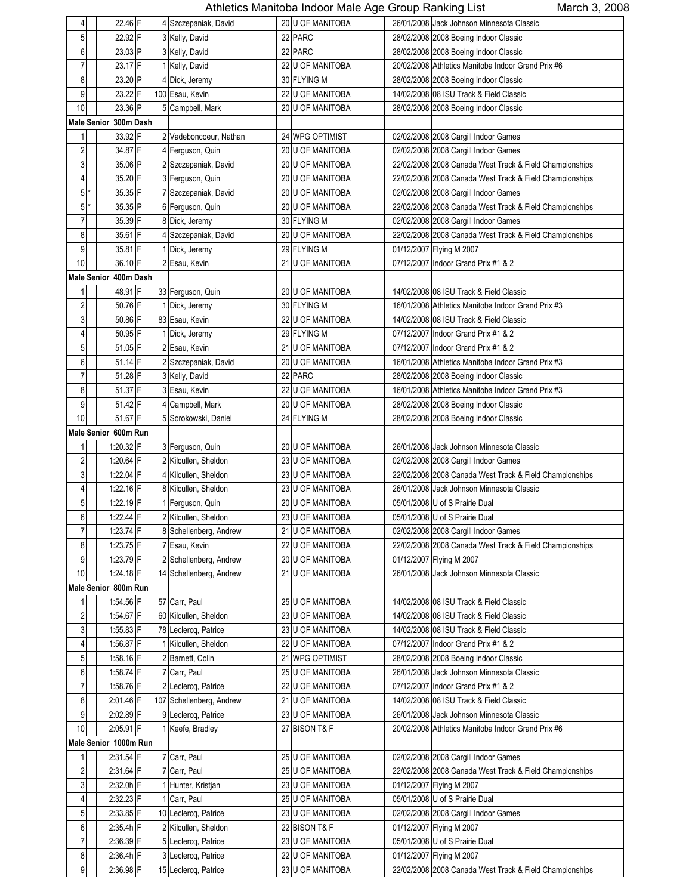| 4                       | 22.46 F               | 4 Szczepaniak, David     | 20 U OF MANITOBA |            | 26/01/2008 Jack Johnson Minnesota Classic               |
|-------------------------|-----------------------|--------------------------|------------------|------------|---------------------------------------------------------|
| 5                       | 22.92 F               | 3 Kelly, David           | 22 PARC          |            | 28/02/2008 2008 Boeing Indoor Classic                   |
| 6                       | 23.03 P               | 3 Kelly, David           | 22 PARC          |            | 28/02/2008 2008 Boeing Indoor Classic                   |
| 7                       | 23.17 F               | 1 Kelly, David           | 22 U OF MANITOBA |            | 20/02/2008 Athletics Manitoba Indoor Grand Prix #6      |
| 8                       | 23.20 P               | 4 Dick, Jeremy           | 30 FLYING M      |            | 28/02/2008 2008 Boeing Indoor Classic                   |
|                         |                       |                          |                  |            |                                                         |
| 9                       | 23.22 F               | 100 Esau, Kevin          | 22 U OF MANITOBA |            | 14/02/2008 08 ISU Track & Field Classic                 |
| 10                      | 23.36 P               | 5 Campbell, Mark         | 20 U OF MANITOBA |            | 28/02/2008 2008 Boeing Indoor Classic                   |
|                         | Male Senior 300m Dash |                          |                  |            |                                                         |
| $\mathbf{1}$            | 33.92 F               | 2 Vadeboncoeur. Nathan   | 24 WPG OPTIMIST  |            | 02/02/2008 2008 Cargill Indoor Games                    |
| $\overline{\mathbf{c}}$ | 34.87 F               | 4 Ferguson, Quin         | 20 U OF MANITOBA |            | 02/02/2008 2008 Cargill Indoor Games                    |
| $\mathbf{3}$            | 35.06 P               | 2 Szczepaniak, David     | 20 U OF MANITOBA |            | 22/02/2008 2008 Canada West Track & Field Championships |
| 4                       | 35.20 F               | 3 Ferguson, Quin         | 20 U OF MANITOBA |            | 22/02/2008 2008 Canada West Track & Field Championships |
| $5*$                    | 35.35 F               | 7 Szczepaniak, David     | 20 U OF MANITOBA |            | 02/02/2008 2008 Cargill Indoor Games                    |
| 5 <sup>1</sup>          | 35.35 P               | 6 Ferguson, Quin         | 20 U OF MANITOBA |            | 22/02/2008 2008 Canada West Track & Field Championships |
| 7                       | 35.39 F               | 8 Dick, Jeremy           | 30 FLYING M      |            | 02/02/2008 2008 Cargill Indoor Games                    |
|                         |                       |                          |                  |            |                                                         |
| 8                       | 35.61 F               | 4 Szczepaniak, David     | 20 U OF MANITOBA |            | 22/02/2008 2008 Canada West Track & Field Championships |
| 9                       | 35.81 F               | 1 Dick, Jeremy           | 29 FLYING M      |            | 01/12/2007 Flying M 2007                                |
| $10$                    | 36.10 F               | 2 Esau, Kevin            | 21 U OF MANITOBA |            | 07/12/2007 Indoor Grand Prix #1 & 2                     |
|                         | Male Senior 400m Dash |                          |                  |            |                                                         |
| 1                       | 48.91 F               | 33 Ferguson, Quin        | 20 U OF MANITOBA |            | 14/02/2008 08 ISU Track & Field Classic                 |
| 2                       | 50.76 F               | 1 Dick, Jeremy           | 30 FLYING M      |            | 16/01/2008 Athletics Manitoba Indoor Grand Prix #3      |
| $\overline{3}$          | 50.86 F               | 83 Esau, Kevin           | 22 U OF MANITOBA |            | 14/02/2008 08 ISU Track & Field Classic                 |
| 4                       | 50.95 F               | 1 Dick, Jeremy           | 29 FLYING M      |            | 07/12/2007 Indoor Grand Prix #1 & 2                     |
| 5                       | 51.05 F               | 2 Esau, Kevin            | 21 U OF MANITOBA |            | 07/12/2007 Indoor Grand Prix #1 & 2                     |
| 6                       | 51.14 F               | 2 Szczepaniak, David     | 20 U OF MANITOBA |            | 16/01/2008 Athletics Manitoba Indoor Grand Prix #3      |
| 7                       | 51.28 F               |                          | 22 PARC          |            |                                                         |
|                         |                       | 3 Kelly, David           |                  |            | 28/02/2008 2008 Boeing Indoor Classic                   |
| 8                       | 51.37 F               | 3 Esau, Kevin            | 22 U OF MANITOBA |            | 16/01/2008 Athletics Manitoba Indoor Grand Prix #3      |
| 9                       | 51.42 F               | 4 Campbell, Mark         | 20 U OF MANITOBA |            | 28/02/2008 2008 Boeing Indoor Classic                   |
| 10                      | 51.67 F               | 5 Sorokowski, Daniel     | 24 FLYING M      |            | 28/02/2008 2008 Boeing Indoor Classic                   |
|                         | Male Senior 600m Run  |                          |                  |            |                                                         |
| 1                       | 1:20.32 F             | 3 Ferguson, Quin         | 20 U OF MANITOBA |            | 26/01/2008 Jack Johnson Minnesota Classic               |
| 2                       | 1:20.64 F             | 2 Kilcullen, Sheldon     | 23 U OF MANITOBA |            | 02/02/2008 2008 Cargill Indoor Games                    |
| 3                       | 1:22.04 F             | 4 Kilcullen, Sheldon     | 23 U OF MANITOBA |            | 22/02/2008 2008 Canada West Track & Field Championships |
| 4                       | $1:22.16$ F           | 8 Kilcullen, Sheldon     | 23 U OF MANITOBA |            | 26/01/2008 Jack Johnson Minnesota Classic               |
| 5 <sup>1</sup>          | 1:22.19 F             | 1 Ferguson, Quin         | 20 U OF MANITOBA |            | 05/01/2008 U of S Prairie Dual                          |
| 6                       | 1:22.44 F             | 2 Kilcullen, Sheldon     | 23 U OF MANITOBA |            | 05/01/2008 U of S Prairie Dual                          |
| $\boldsymbol{7}$        | 1:23.74 F             | 8 Schellenberg, Andrew   | 21 U OF MANITOBA |            | 02/02/2008 2008 Cargill Indoor Games                    |
|                         |                       |                          |                  |            |                                                         |
| 8                       | 1:23.75 F             | 7 Esau, Kevin            | 22 U OF MANITOBA |            | 22/02/2008 2008 Canada West Track & Field Championships |
| 9                       | 1:23.79 F             | 2 Schellenberg, Andrew   | 20 U OF MANITOBA |            | 01/12/2007 Flying M 2007                                |
| $10$                    | 1:24.18 F             | 14 Schellenberg, Andrew  | 21 U OF MANITOBA |            | 26/01/2008 Jack Johnson Minnesota Classic               |
|                         | Male Senior 800m Run  |                          |                  |            |                                                         |
| 1                       | 1:54.56 F             | 57 Carr, Paul            | 25 U OF MANITOBA |            | 14/02/2008 08 ISU Track & Field Classic                 |
| 2                       | 1:54.67 F             | 60 Kilcullen, Sheldon    | 23 U OF MANITOBA |            | 14/02/2008 08 ISU Track & Field Classic                 |
| $\mathbf{3}$            | $1:55.83$ F           | 78 Leclercq, Patrice     | 23 U OF MANITOBA |            | 14/02/2008 08 ISU Track & Field Classic                 |
| 4                       | 1.56.87 F             | 1 Kilcullen, Sheldon     | 22 U OF MANITOBA |            | 07/12/2007 Indoor Grand Prix #1 & 2                     |
| 5 <sup>1</sup>          | $1.58.16$ F           | 2 Barnett, Colin         | 21 WPG OPTIMIST  |            | 28/02/2008 2008 Boeing Indoor Classic                   |
| $6 \,$                  | $1.58.74$ F           | 7 Carr, Paul             | 25 U OF MANITOBA |            | 26/01/2008 Jack Johnson Minnesota Classic               |
| $\boldsymbol{7}$        | 1:58.76 F             | 2 Leclercq, Patrice      | 22 U OF MANITOBA |            | 07/12/2007 Indoor Grand Prix #1 & 2                     |
|                         |                       |                          |                  |            |                                                         |
| 8                       | $2:01.46$ F           | 107 Schellenberg, Andrew | 21 U OF MANITOBA |            | 14/02/2008 08 ISU Track & Field Classic                 |
| $\boldsymbol{9}$        | 2:02.89 F             | 9 Leclercq, Patrice      | 23 U OF MANITOBA |            | 26/01/2008 Jack Johnson Minnesota Classic               |
| $10$                    | 2:05.91 F             | 1 Keefe, Bradley         | 27 BISON T& F    | 20/02/2008 | Athletics Manitoba Indoor Grand Prix #6                 |
|                         | Male Senior 1000m Run |                          |                  |            |                                                         |
| 1                       | 2:31.54 F             | 7 Carr, Paul             | 25 U OF MANITOBA |            | 02/02/2008 2008 Cargill Indoor Games                    |
| 2                       | 2:31.64 F             | 7 Carr, Paul             | 25 U OF MANITOBA |            | 22/02/2008 2008 Canada West Track & Field Championships |
| $\mathbf{3}$            | 2:32.0h F             | 1 Hunter, Kristjan       | 23 U OF MANITOBA |            | 01/12/2007 Flying M 2007                                |
| 4                       | 2:32.23 F             | 1 Carr, Paul             | 25 U OF MANITOBA |            | 05/01/2008 U of S Prairie Dual                          |
| 5 <sub>5</sub>          | $2:33.85$ F           | 10 Leclercq, Patrice     | 23 U OF MANITOBA |            | 02/02/2008 2008 Cargill Indoor Games                    |
| 6                       | 2:35.4h F             | 2 Kilcullen, Sheldon     | 22 BISON T& F    |            | 01/12/2007 Flying M 2007                                |
| 7                       | 2:36.39 F             |                          | 23 U OF MANITOBA |            | 05/01/2008 U of S Prairie Dual                          |
|                         |                       | 5 Leclercq, Patrice      |                  |            |                                                         |
| 8                       | $2:36.4h$ F           | 3 Leclercq, Patrice      | 22 U OF MANITOBA |            | 01/12/2007 Flying M 2007                                |
| $9\,$                   | 2:36.98 F             | 15 Leclercq, Patrice     | 23 U OF MANITOBA |            | 22/02/2008 2008 Canada West Track & Field Championships |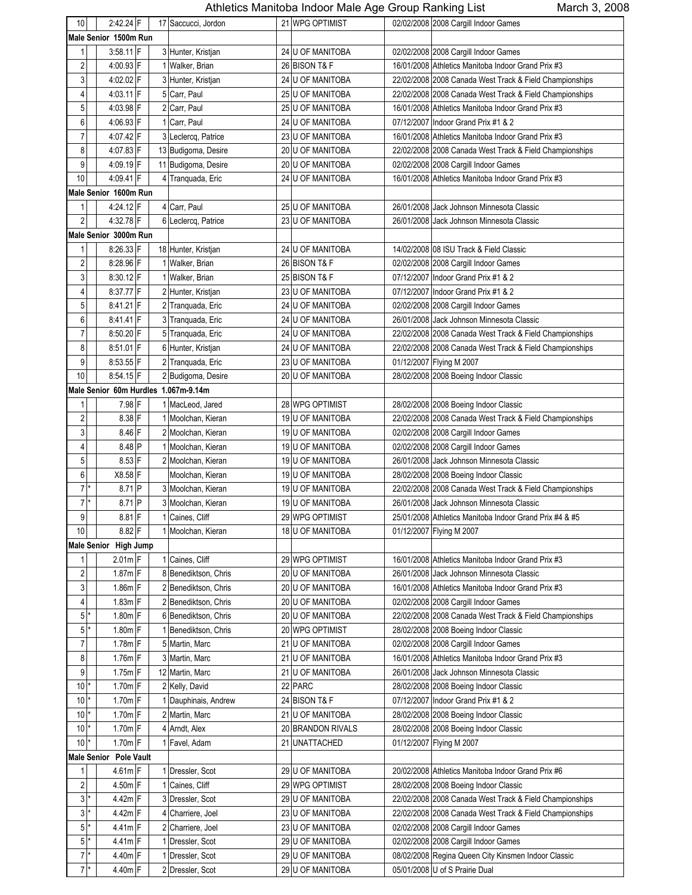| 10                      |                       | 2:42.24 F              |  |  | 17 Saccucci, Jordon                  |    | 21 WPG OPTIMIST      |  | 02/02/2008 2008 Cargill Indoor Games                    |  |
|-------------------------|-----------------------|------------------------|--|--|--------------------------------------|----|----------------------|--|---------------------------------------------------------|--|
|                         | Male Senior 1500m Run |                        |  |  |                                      |    |                      |  |                                                         |  |
| 1                       |                       | $3:58.11$ F            |  |  | 3 Hunter, Kristjan                   |    | 24 U OF MANITOBA     |  | 02/02/2008 2008 Cargill Indoor Games                    |  |
| 2                       |                       | 4:00.93 F              |  |  | 1 Walker, Brian                      |    | 26 BISON T& F        |  | 16/01/2008 Athletics Manitoba Indoor Grand Prix #3      |  |
| 3                       |                       | 4:02.02 F              |  |  | 3 Hunter, Kristjan                   |    | 24 U OF MANITOBA     |  | 22/02/2008 2008 Canada West Track & Field Championships |  |
| 4                       |                       | 4:03.11 F              |  |  | 5 Carr, Paul                         |    | 25 U OF MANITOBA     |  | 22/02/2008 2008 Canada West Track & Field Championships |  |
| 5                       |                       | 4:03.98 F              |  |  | 2 Carr, Paul                         |    | 25 U OF MANITOBA     |  | 16/01/2008 Athletics Manitoba Indoor Grand Prix #3      |  |
| 6                       |                       | 4:06.93 F              |  |  | 1 Carr, Paul                         |    | 24 U OF MANITOBA     |  | 07/12/2007 Indoor Grand Prix #1 & 2                     |  |
| 7                       |                       | 4 07.42 F              |  |  | 3 Leclercq, Patrice                  |    | 23 U OF MANITOBA     |  | 16/01/2008 Athletics Manitoba Indoor Grand Prix #3      |  |
| 8                       |                       | 4:07.83 F              |  |  | 13 Budigoma, Desire                  |    | 20 U OF MANITOBA     |  | 22/02/2008 2008 Canada West Track & Field Championships |  |
| 9                       |                       | 4:09.19 F              |  |  | 11 Budigoma, Desire                  | 20 | <b>U OF MANITOBA</b> |  | 02/02/2008 2008 Cargill Indoor Games                    |  |
| 10                      |                       | 4:09.41 F              |  |  | 4 Tranquada, Eric                    | 24 | U OF MANITOBA        |  | 16/01/2008 Athletics Manitoba Indoor Grand Prix #3      |  |
|                         |                       | Male Senior 1600m Run  |  |  |                                      |    |                      |  |                                                         |  |
| 1                       |                       | 4:24.12 F              |  |  | 4 Carr, Paul                         |    | 25 U OF MANITOBA     |  | 26/01/2008 Jack Johnson Minnesota Classic               |  |
| $\sqrt{2}$              |                       | 4:32.78 F              |  |  |                                      |    |                      |  | 26/01/2008 Jack Johnson Minnesota Classic               |  |
|                         |                       |                        |  |  | 6 Leclercq, Patrice                  |    | 23 U OF MANITOBA     |  |                                                         |  |
|                         |                       | Male Senior 3000m Run  |  |  |                                      |    |                      |  |                                                         |  |
| 1                       |                       | 8:26.33 F              |  |  | 18 Hunter, Kristjan                  |    | 24 U OF MANITOBA     |  | 14/02/2008 08 ISU Track & Field Classic                 |  |
| $\overline{\mathbf{c}}$ |                       | 8:28.96 F              |  |  | 1 Walker, Brian                      |    | 26 BISON T& F        |  | 02/02/2008 2008 Cargill Indoor Games                    |  |
| 3                       |                       | 8:30.12 F              |  |  | 1 Walker, Brian                      |    | 25 BISON T& F        |  | 07/12/2007 Indoor Grand Prix #1 & 2                     |  |
| 4                       |                       | 8:37.77 F              |  |  | 2 Hunter, Kristjan                   |    | 23 U OF MANITOBA     |  | 07/12/2007 Indoor Grand Prix #1 & 2                     |  |
| 5                       |                       | 8:41.21 F              |  |  | 2 Tranguada, Eric                    |    | 24 U OF MANITOBA     |  | 02/02/2008 2008 Cargill Indoor Games                    |  |
| 6                       |                       | 8:41.41 F              |  |  | 3 Tranquada, Eric                    |    | 24 U OF MANITOBA     |  | 26/01/2008 Jack Johnson Minnesota Classic               |  |
| $\overline{7}$          |                       | 8:50.20 F              |  |  | 5 Tranquada, Eric                    |    | 24 U OF MANITOBA     |  | 22/02/2008 2008 Canada West Track & Field Championships |  |
| 8                       |                       | 8:51.01 F              |  |  | 6 Hunter, Kristjan                   |    | 24 U OF MANITOBA     |  | 22/02/2008 2008 Canada West Track & Field Championships |  |
| 9                       |                       | 8:53.55 F              |  |  | 2 Tranquada, Eric                    |    | 23 U OF MANITOBA     |  | 01/12/2007 Flying M 2007                                |  |
| 10                      |                       | 8:54.15 F              |  |  | 2 Budigoma, Desire                   |    | 20 U OF MANITOBA     |  | 28/02/2008 2008 Boeing Indoor Classic                   |  |
|                         |                       |                        |  |  | Male Senior 60m Hurdles 1.067m-9.14m |    |                      |  |                                                         |  |
| 1                       |                       | 7.98 F                 |  |  | 1 MacLeod, Jared                     |    | 28 WPG OPTIMIST      |  | 28/02/2008 2008 Boeing Indoor Classic                   |  |
| $\overline{\mathbf{c}}$ |                       | 8.38 F                 |  |  | 1 Moolchan, Kieran                   |    | 19 U OF MANITOBA     |  | 22/02/2008 2008 Canada West Track & Field Championships |  |
| 3                       |                       | 8.46 F                 |  |  | 2 Moolchan, Kieran                   |    | 19 U OF MANITOBA     |  | 02/02/2008 2008 Cargill Indoor Games                    |  |
| 4                       |                       | 8.48 P                 |  |  | 1 Moolchan, Kieran                   |    | 19 U OF MANITOBA     |  | 02/02/2008 2008 Cargill Indoor Games                    |  |
| 5                       |                       | 8.53 F                 |  |  | 2 Moolchan, Kieran                   |    | 19 U OF MANITOBA     |  | 26/01/2008 Jack Johnson Minnesota Classic               |  |
| 6                       |                       | X8.58 F                |  |  | Moolchan, Kieran                     |    | 19 U OF MANITOBA     |  | 28/02/2008 2008 Boeing Indoor Classic                   |  |
|                         | $7^*$                 | 8.71 P                 |  |  | 3 Moolchan, Kieran                   |    | 19 U OF MANITOBA     |  | 22/02/2008 2008 Canada West Track & Field Championships |  |
| $\overline{7}$          |                       | 8.71 P                 |  |  | 3 Moolchan, Kieran                   |    | 19 U OF MANITOBA     |  | 26/01/2008 Jack Johnson Minnesota Classic               |  |
| 9                       |                       | $8.81$ F               |  |  | Caines, Cliff                        |    | 29 WPG OPTIMIST      |  | 25/01/2008 Athletics Manitoba Indoor Grand Prix #4 & #5 |  |
| $10$                    |                       | $8.82$ F               |  |  | 1 Moolchan, Kieran                   |    | 18 U OF MANITOBA     |  | 01/12/2007 Flying M 2007                                |  |
|                         |                       | Male Senior High Jump  |  |  |                                      |    |                      |  |                                                         |  |
|                         |                       | $2.01m$ F              |  |  | 1 Caines, Cliff                      |    | 29 WPG OPTIMIST      |  | 16/01/2008 Athletics Manitoba Indoor Grand Prix #3      |  |
| 2                       |                       | $1.87m$ F              |  |  | 8 Benediktson, Chris                 |    | 20 U OF MANITOBA     |  | 26/01/2008 Jack Johnson Minnesota Classic               |  |
| 3                       |                       | $1.86m$ F              |  |  | 2 Benediktson, Chris                 |    | 20 U OF MANITOBA     |  | 16/01/2008 Athletics Manitoba Indoor Grand Prix #3      |  |
| 4                       |                       | $1.83m$ F              |  |  | 2 Benediktson, Chris                 |    | 20 U OF MANITOBA     |  | 02/02/2008 2008 Cargill Indoor Games                    |  |
| 5 <sup>1</sup>          |                       | 1.80m F                |  |  | 6 Benediktson, Chris                 |    | 20 U OF MANITOBA     |  | 22/02/2008 2008 Canada West Track & Field Championships |  |
| 5 <sub>1</sub>          |                       | 1.80m F                |  |  | 1 Benediktson, Chris                 |    | 20 WPG OPTIMIST      |  | 28/02/2008 2008 Boeing Indoor Classic                   |  |
| $\overline{7}$          |                       | $1.78m$ F              |  |  | 5 Martin, Marc                       |    | 21 U OF MANITOBA     |  | 02/02/2008 2008 Cargill Indoor Games                    |  |
| 8                       |                       | 1.76m F                |  |  | 3 Martin, Marc                       |    | 21 U OF MANITOBA     |  | 16/01/2008 Athletics Manitoba Indoor Grand Prix #3      |  |
| 9                       |                       | $1.75m$ F              |  |  | 12 Martin, Marc                      |    | 21 U OF MANITOBA     |  | 26/01/2008 Jack Johnson Minnesota Classic               |  |
| 10                      |                       | $1.70m$ F              |  |  | 2 Kelly, David                       |    | 22 PARC              |  | 28/02/2008 2008 Boeing Indoor Classic                   |  |
| 10                      |                       | $1.70m$ F              |  |  | Dauphinais, Andrew                   |    | 24 BISON T& F        |  | 07/12/2007 Indoor Grand Prix #1 & 2                     |  |
| 10 <sup>1</sup>         |                       | $1.70m$ F              |  |  | 2 Martin, Marc                       | 21 | <b>U OF MANITOBA</b> |  | 28/02/2008 2008 Boeing Indoor Classic                   |  |
| 10 <sup>1</sup>         | *                     | $1.70m$ F              |  |  | 4 Arndt, Alex                        |    | 20 BRANDON RIVALS    |  | 28/02/2008 2008 Boeing Indoor Classic                   |  |
| 10                      |                       | $1.70m$ F              |  |  | 1 Favel, Adam                        | 21 | <b>UNATTACHED</b>    |  | 01/12/2007 Flying M 2007                                |  |
|                         |                       | Male Senior Pole Vault |  |  |                                      |    |                      |  |                                                         |  |
| 1                       |                       | 4.61m F                |  |  | Dressler, Scot                       |    | 29 U OF MANITOBA     |  | 20/02/2008 Athletics Manitoba Indoor Grand Prix #6      |  |
| $\sqrt{2}$              |                       | 4.50m F                |  |  | Caines, Cliff                        |    | 29 WPG OPTIMIST      |  | 28/02/2008 2008 Boeing Indoor Classic                   |  |
|                         | $3^*$                 | 4.42m F                |  |  | 3 Dressler, Scot                     |    | 29 U OF MANITOBA     |  | 22/02/2008 2008 Canada West Track & Field Championships |  |
|                         | $3^*$                 | 4.42m F                |  |  |                                      |    | 23 U OF MANITOBA     |  | 22/02/2008 2008 Canada West Track & Field Championships |  |
|                         | $5$ <sup>*</sup>      |                        |  |  | 4 Charriere, Joel                    |    |                      |  |                                                         |  |
|                         |                       | 4.41m F                |  |  | 2 Charriere, Joel                    |    | 23 U OF MANITOBA     |  | 02/02/2008 2008 Cargill Indoor Games                    |  |
|                         | $5$ <sup>*</sup>      | 4.41m F                |  |  | Dressler, Scot                       |    | 29 U OF MANITOBA     |  | 02/02/2008 2008 Cargill Indoor Games                    |  |
|                         | $7$ $*$               | 4.40m F                |  |  | Dressler, Scot                       |    | 29 U OF MANITOBA     |  | 08/02/2008 Regina Queen City Kinsmen Indoor Classic     |  |
|                         | $7*$                  | 4.40m F                |  |  | 2 Dressler, Scot                     |    | 29 U OF MANITOBA     |  | 05/01/2008 U of S Prairie Dual                          |  |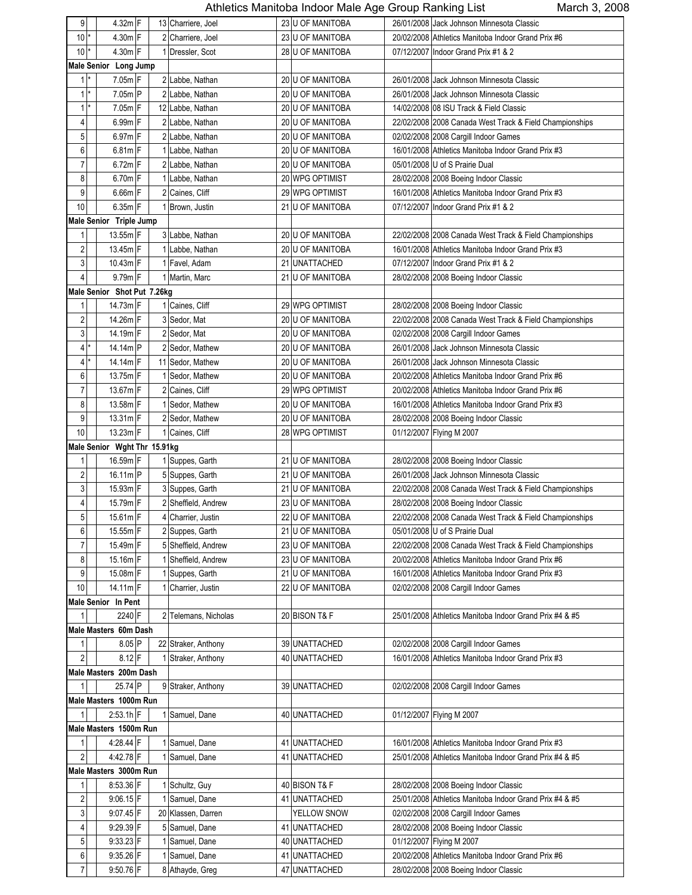| 9                       | $4.32m$ $F$                  |  | 13 Charriere, Joel   |    | 23 U OF MANITOBA  | 26/01/2008 Jack Johnson Minnesota Classic               |
|-------------------------|------------------------------|--|----------------------|----|-------------------|---------------------------------------------------------|
| 10                      | 4.30m F                      |  | 2 Charriere, Joel    |    | 23 U OF MANITOBA  | 20/02/2008 Athletics Manitoba Indoor Grand Prix #6      |
|                         |                              |  |                      |    |                   |                                                         |
| 10                      | 4.30m F                      |  | 1 Dressler, Scot     |    | 28 U OF MANITOBA  | 07/12/2007 Indoor Grand Prix #1 & 2                     |
|                         | Male Senior Long Jump        |  |                      |    |                   |                                                         |
| $1^*$                   | 7.05m F                      |  | 2 Labbe, Nathan      |    | 20 U OF MANITOBA  | 26/01/2008 Jack Johnson Minnesota Classic               |
| $1$ *                   | $7.05m$ P                    |  | 2 Labbe, Nathan      |    | 20 U OF MANITOBA  | 26/01/2008 Jack Johnson Minnesota Classic               |
| 1<br>*                  | $7.05m$ F                    |  | 12 Labbe, Nathan     |    | 20 U OF MANITOBA  | 14/02/2008 08 ISU Track & Field Classic                 |
| 4                       | $6.99m$ F                    |  | 2 Labbe, Nathan      |    | 20 U OF MANITOBA  | 22/02/2008 2008 Canada West Track & Field Championships |
| 5                       | $6.97m$ F                    |  | 2 Labbe, Nathan      |    | 20 U OF MANITOBA  | 02/02/2008 2008 Cargill Indoor Games                    |
| 6                       | $6.81m$ F                    |  | 1 Labbe, Nathan      |    | 20 U OF MANITOBA  | 16/01/2008 Athletics Manitoba Indoor Grand Prix #3      |
| 7                       | $6.72m$ F                    |  | 2 Labbe, Nathan      |    | 20 U OF MANITOBA  | 05/01/2008 U of S Prairie Dual                          |
| 8                       | $6.70m$ F                    |  | 1 Labbe, Nathan      |    | 20 WPG OPTIMIST   | 28/02/2008 2008 Boeing Indoor Classic                   |
| 9                       | $6.66m$ F                    |  | 2 Caines, Cliff      |    | 29 WPG OPTIMIST   | 16/01/2008 Athletics Manitoba Indoor Grand Prix #3      |
| 10                      | $6.35m$ F                    |  |                      |    |                   |                                                         |
|                         |                              |  | 1 Brown, Justin      |    | 21 U OF MANITOBA  | 07/12/2007 Indoor Grand Prix #1 & 2                     |
|                         | Male Senior Triple Jump      |  |                      |    |                   |                                                         |
| 1                       | $13.55m$ F                   |  | 3 Labbe, Nathan      |    | 20 U OF MANITOBA  | 22/02/2008 2008 Canada West Track & Field Championships |
| 2                       | $13.45m$ F                   |  | 1 Labbe, Nathan      |    | 20 U OF MANITOBA  | 16/01/2008 Athletics Manitoba Indoor Grand Prix #3      |
| 3                       | 10.43m F                     |  | 1 Favel, Adam        |    | 21 UNATTACHED     | 07/12/2007 Indoor Grand Prix #1 & 2                     |
| 4                       | $9.79m$ F                    |  | 1 Martin, Marc       |    | 21 U OF MANITOBA  | 28/02/2008 2008 Boeing Indoor Classic                   |
|                         | Male Senior Shot Put 7.26kg  |  |                      |    |                   |                                                         |
| 1                       | 14.73m F                     |  | 1 Caines, Cliff      |    | 29 WPG OPTIMIST   | 28/02/2008 2008 Boeing Indoor Classic                   |
| $\overline{\mathbf{c}}$ | 14.26m F                     |  | 3 Sedor, Mat         |    | 20 U OF MANITOBA  | 22/02/2008 2008 Canada West Track & Field Championships |
| 3                       | 14.19m F                     |  | 2 Sedor, Mat         |    | 20 U OF MANITOBA  | 02/02/2008 2008 Cargill Indoor Games                    |
| 4                       | 14.14m P                     |  | 2 Sedor, Mathew      |    | 20 U OF MANITOBA  | 26/01/2008 Jack Johnson Minnesota Classic               |
| 4                       | 14.14m $ F $                 |  | 11 Sedor, Mathew     |    | 20 U OF MANITOBA  | 26/01/2008 Jack Johnson Minnesota Classic               |
|                         |                              |  |                      |    |                   |                                                         |
| 6                       | $13.75m$ F                   |  | 1 Sedor, Mathew      |    | 20 U OF MANITOBA  | 20/02/2008 Athletics Manitoba Indoor Grand Prix #6      |
| 7                       | $13.67m$ F                   |  | 2 Caines, Cliff      |    | 29 WPG OPTIMIST   | 20/02/2008 Athletics Manitoba Indoor Grand Prix #6      |
| 8                       | 13.58m $ F $                 |  | 1 Sedor, Mathew      |    | 20 U OF MANITOBA  | 16/01/2008 Athletics Manitoba Indoor Grand Prix #3      |
| 9                       | $13.31m$ F                   |  | 2 Sedor, Mathew      |    | 20 U OF MANITOBA  | 28/02/2008 2008 Boeing Indoor Classic                   |
| 10                      | 13.23m F                     |  | 1 Caines, Cliff      |    | 28 WPG OPTIMIST   | 01/12/2007 Flying M 2007                                |
|                         | Male Senior Wght Thr 15.91kg |  |                      |    |                   |                                                         |
| 1                       | $16.59m$ F                   |  | 1 Suppes, Garth      |    | 21 U OF MANITOBA  | 28/02/2008 2008 Boeing Indoor Classic                   |
| 2                       | 16.11m P                     |  | 5 Suppes, Garth      |    | 21 U OF MANITOBA  | 26/01/2008 Jack Johnson Minnesota Classic               |
| 3                       | $15.93m$ F                   |  | 3 Suppes, Garth      |    | 21 U OF MANITOBA  | 22/02/2008 2008 Canada West Track & Field Championships |
| 4                       | 15.79m F                     |  | 2 Sheffield, Andrew  |    | 23 U OF MANITOBA  | 28/02/2008 2008 Boeing Indoor Classic                   |
| 5                       | 15.61m F                     |  | 4 Charrier, Justin   |    | 22 U OF MANITOBA  | 22/02/2008 2008 Canada West Track & Field Championships |
| 6                       | 15.55m F                     |  | 2 Suppes, Garth      |    | 21 U OF MANITOBA  | 05/01/2008 U of S Prairie Dual                          |
| 7                       | $15.49m$ F                   |  | 5 Sheffield, Andrew  |    | 23 U OF MANITOBA  | 22/02/2008 2008 Canada West Track & Field Championships |
|                         |                              |  |                      |    |                   |                                                         |
| 8                       | $15.16m$ F                   |  | 1 Sheffield, Andrew  |    | 23 U OF MANITOBA  | 20/02/2008 Athletics Manitoba Indoor Grand Prix #6      |
| 9                       | 15.08m F                     |  | 1 Suppes, Garth      |    | 21 U OF MANITOBA  | 16/01/2008 Athletics Manitoba Indoor Grand Prix #3      |
| 10                      | $14.11m$ F                   |  | 1 Charrier, Justin   |    | 22 U OF MANITOBA  | 02/02/2008 2008 Cargill Indoor Games                    |
|                         | Male Senior In Pent          |  |                      |    |                   |                                                         |
| $\mathbf{1}$            | 2240 F                       |  | 2 Telemans, Nicholas |    | 20 BISON T& F     | 25/01/2008 Athletics Manitoba Indoor Grand Prix #4 & #5 |
|                         | Male Masters 60m Dash        |  |                      |    |                   |                                                         |
| 1                       | $8.05$ P                     |  | 22 Straker, Anthony  |    | 39 UNATTACHED     | 02/02/2008 2008 Cargill Indoor Games                    |
| 2                       | $8.12$ F                     |  | Straker, Anthony     | 40 | <b>UNATTACHED</b> | 16/01/2008 Athletics Manitoba Indoor Grand Prix #3      |
|                         | Male Masters 200m Dash       |  |                      |    |                   |                                                         |
|                         | 25.74 P                      |  | 9 Straker, Anthony   |    | 39 UNATTACHED     | 02/02/2008 2008 Cargill Indoor Games                    |
|                         | Male Masters 1000m Run       |  |                      |    |                   |                                                         |
| 1                       | $2:53.1h$ F                  |  | 1 Samuel, Dane       |    | 40 UNATTACHED     | 01/12/2007 Flying M 2007                                |
|                         | Male Masters 1500m Run       |  |                      |    |                   |                                                         |
|                         |                              |  |                      |    |                   | 16/01/2008 Athletics Manitoba Indoor Grand Prix #3      |
| 1                       | 4:28.44 F                    |  | Samuel, Dane         |    | 41 UNATTACHED     |                                                         |
| 2                       | 442.78 F                     |  | 1 Samuel, Dane       |    | 41 UNATTACHED     | 25/01/2008 Athletics Manitoba Indoor Grand Prix #4 & #5 |
|                         | Male Masters 3000m Run       |  |                      |    |                   |                                                         |
| 1                       | 8:53.36 F                    |  | 1 Schultz, Guy       |    | 40 BISON T& F     | 28/02/2008 2008 Boeing Indoor Classic                   |
| 2                       | $9.06.15$ F                  |  | 1 Samuel, Dane       |    | 41 UNATTACHED     | 25/01/2008 Athletics Manitoba Indoor Grand Prix #4 & #5 |
| 3                       | 9.07.45 F                    |  | 20 Klassen, Darren   |    | YELLOW SNOW       | 02/02/2008 2008 Cargill Indoor Games                    |
| 4                       | 9:29.39 F                    |  | 5 Samuel, Dane       |    | 41 UNATTACHED     | 28/02/2008 2008 Boeing Indoor Classic                   |
| 5                       | $9:33.23$ F                  |  | 1 Samuel, Dane       | 40 | <b>UNATTACHED</b> | 01/12/2007 Flying M 2007                                |
| 6                       | $9.35.26$ F                  |  | 1 Samuel, Dane       | 41 | <b>UNATTACHED</b> | 20/02/2008 Athletics Manitoba Indoor Grand Prix #6      |
| 7                       | 9:50.76 F                    |  | 8 Athayde, Greg      |    | 47 UNATTACHED     | 28/02/2008 2008 Boeing Indoor Classic                   |
|                         |                              |  |                      |    |                   |                                                         |